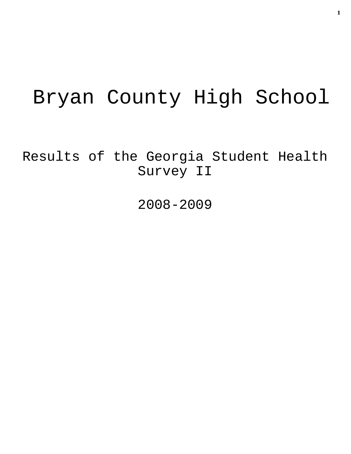# Bryan County High School

Results of the Georgia Student Health Survey II

2008-2009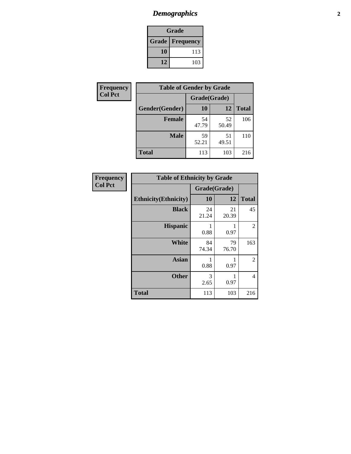# *Demographics* **2**

| Grade                    |     |  |  |
|--------------------------|-----|--|--|
| <b>Grade   Frequency</b> |     |  |  |
| 10                       | 113 |  |  |
| 12                       | 103 |  |  |

| Frequency      | <b>Table of Gender by Grade</b> |              |             |              |
|----------------|---------------------------------|--------------|-------------|--------------|
| <b>Col Pct</b> |                                 | Grade(Grade) |             |              |
|                | Gender(Gender)                  | 10           | 12          | <b>Total</b> |
|                | <b>Female</b>                   | 54<br>47.79  | 52<br>50.49 | 106          |
|                | <b>Male</b>                     | 59<br>52.21  | 51<br>49.51 | 110          |
|                | <b>Total</b>                    | 113          | 103         | 216          |

| Frequency<br>Col Pct |
|----------------------|

| <b>Table of Ethnicity by Grade</b> |              |             |              |  |
|------------------------------------|--------------|-------------|--------------|--|
|                                    | Grade(Grade) |             |              |  |
| <b>Ethnicity</b> (Ethnicity)       | 10           | 12          | <b>Total</b> |  |
| <b>Black</b>                       | 24<br>21.24  | 21<br>20.39 | 45           |  |
| <b>Hispanic</b>                    | 0.88         | 0.97        | 2            |  |
| White                              | 84<br>74.34  | 79<br>76.70 | 163          |  |
| <b>Asian</b>                       | 1<br>0.88    | 0.97        | 2            |  |
| <b>Other</b>                       | 3<br>2.65    | 0.97        | 4            |  |
| <b>Total</b>                       | 113          | 103         | 216          |  |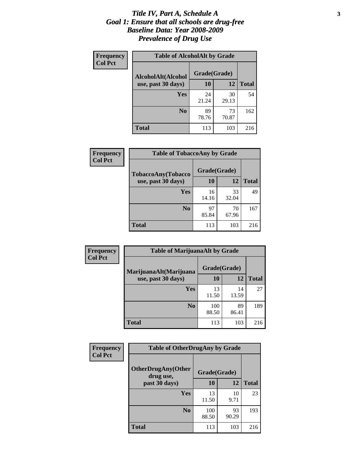### *Title IV, Part A, Schedule A* **3** *Goal 1: Ensure that all schools are drug-free Baseline Data: Year 2008-2009 Prevalence of Drug Use*

| Frequency<br><b>Col Pct</b> | <b>Table of AlcoholAlt by Grade</b> |              |             |              |  |
|-----------------------------|-------------------------------------|--------------|-------------|--------------|--|
|                             | AlcoholAlt(Alcohol                  | Grade(Grade) |             |              |  |
|                             | use, past 30 days)                  | 10           | 12          | <b>Total</b> |  |
|                             | Yes                                 | 24<br>21.24  | 30<br>29.13 | 54           |  |
|                             | N <sub>0</sub>                      | 89<br>78.76  | 73<br>70.87 | 162          |  |
|                             | Total                               | 113          | 103         | 216          |  |

| <b>Frequency</b><br><b>Col Pct</b> | <b>Table of TobaccoAny by Grade</b> |              |             |              |  |
|------------------------------------|-------------------------------------|--------------|-------------|--------------|--|
|                                    | TobaccoAny(Tobacco                  | Grade(Grade) |             |              |  |
|                                    | use, past 30 days)                  | 10           | 12          | <b>Total</b> |  |
|                                    | Yes                                 | 16<br>14.16  | 33<br>32.04 | 49           |  |
|                                    | N <sub>0</sub>                      | 97<br>85.84  | 70<br>67.96 | 167          |  |
|                                    | <b>Total</b>                        | 113          | 103         | 216          |  |

| Frequency      | <b>Table of MarijuanaAlt by Grade</b> |              |             |              |  |
|----------------|---------------------------------------|--------------|-------------|--------------|--|
| <b>Col Pct</b> | MarijuanaAlt(Marijuana                | Grade(Grade) |             |              |  |
|                | use, past 30 days)                    | 10           | 12          | <b>Total</b> |  |
|                | Yes                                   | 13<br>11.50  | 14<br>13.59 | 27           |  |
|                | N <sub>0</sub>                        | 100<br>88.50 | 89<br>86.41 | 189          |  |
|                | <b>Total</b>                          | 113          | 103         | 216          |  |

| Frequency<br><b>Col Pct</b> | <b>Table of OtherDrugAny by Grade</b>  |              |             |              |
|-----------------------------|----------------------------------------|--------------|-------------|--------------|
|                             | <b>OtherDrugAny(Other</b><br>drug use, | Grade(Grade) |             |              |
|                             | past 30 days)                          | 10           | 12          | <b>Total</b> |
|                             | Yes                                    | 13<br>11.50  | 10<br>9.71  | 23           |
|                             | N <sub>0</sub>                         | 100<br>88.50 | 93<br>90.29 | 193          |
|                             | <b>Total</b>                           | 113          | 103         | 216          |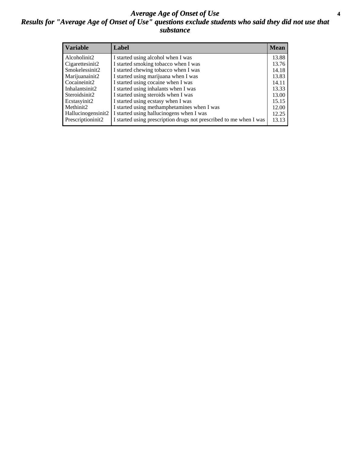### *Average Age of Onset of Use* **4** *Results for "Average Age of Onset of Use" questions exclude students who said they did not use that substance*

| <b>Variable</b>    | Label                                                              | <b>Mean</b> |
|--------------------|--------------------------------------------------------------------|-------------|
| Alcoholinit2       | I started using alcohol when I was                                 | 13.88       |
| Cigarettesinit2    | I started smoking tobacco when I was                               | 13.76       |
| Smokelessinit2     | I started chewing tobacco when I was                               | 14.18       |
| Marijuanainit2     | I started using marijuana when I was                               | 13.83       |
| Cocaineinit2       | I started using cocaine when I was                                 | 14.11       |
| Inhalantsinit2     | I started using inhalants when I was                               | 13.33       |
| Steroidsinit2      | I started using steroids when I was                                | 13.00       |
| Ecstasyinit2       | I started using ecstasy when I was                                 | 15.15       |
| Methinit2          | I started using methamphetamines when I was                        | 12.00       |
| Hallucinogensinit2 | I started using hallucinogens when I was                           | 12.25       |
| Prescriptioninit2  | I started using prescription drugs not prescribed to me when I was | 13.13       |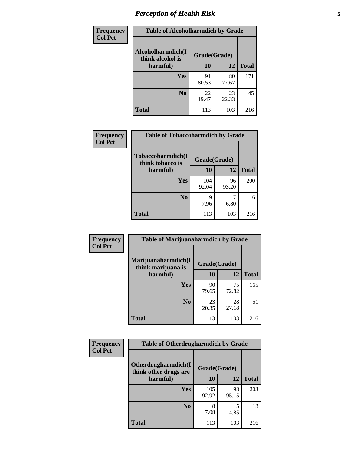# *Perception of Health Risk* **5**

| <b>Frequency</b> | <b>Table of Alcoholharmdich by Grade</b> |              |             |              |
|------------------|------------------------------------------|--------------|-------------|--------------|
| <b>Col Pct</b>   | Alcoholharmdich(I<br>think alcohol is    | Grade(Grade) |             |              |
|                  | harmful)                                 | 10           | 12          | <b>Total</b> |
|                  | Yes                                      | 91           | 80          | 171          |
|                  |                                          | 80.53        | 77.67       |              |
|                  | N <sub>0</sub>                           | 22<br>19.47  | 23<br>22.33 | 45           |
|                  | <b>Total</b>                             | 113          | 103         | 216          |

| Frequency      | <b>Table of Tobaccoharmdich by Grade</b> |              |             |              |
|----------------|------------------------------------------|--------------|-------------|--------------|
| <b>Col Pct</b> | Tobaccoharmdich(I<br>think tobacco is    | Grade(Grade) |             |              |
|                | harmful)                                 | 10           | 12          | <b>Total</b> |
|                | Yes                                      | 104<br>92.04 | 96<br>93.20 | 200          |
|                | N <sub>0</sub>                           | q<br>7.96    | 6.80        | 16           |
|                | <b>Total</b>                             | 113          | 103         | 216          |

| Frequency      | <b>Table of Marijuanaharmdich by Grade</b> |             |              |              |  |
|----------------|--------------------------------------------|-------------|--------------|--------------|--|
| <b>Col Pct</b> | Marijuanaharmdich(I<br>think marijuana is  |             | Grade(Grade) |              |  |
|                | harmful)                                   | 10          | 12           | <b>Total</b> |  |
|                | Yes                                        | 90<br>79.65 | 75<br>72.82  | 165          |  |
|                | N <sub>0</sub>                             | 23<br>20.35 | 28<br>27.18  | 51           |  |
|                | <b>Total</b>                               | 113         | 103          | 216          |  |

| <b>Frequency</b> | <b>Table of Otherdrugharmdich by Grade</b>                   |              |             |              |  |
|------------------|--------------------------------------------------------------|--------------|-------------|--------------|--|
| <b>Col Pct</b>   | Otherdrugharmdich(I<br>Grade(Grade)<br>think other drugs are |              |             |              |  |
|                  | harmful)                                                     | 10           | 12          | <b>Total</b> |  |
|                  | Yes                                                          | 105<br>92.92 | 98<br>95.15 | 203          |  |
|                  | N <sub>0</sub>                                               | 8<br>7.08    | 5<br>4.85   | 13           |  |
|                  | <b>Total</b>                                                 | 113          | 103         | 216          |  |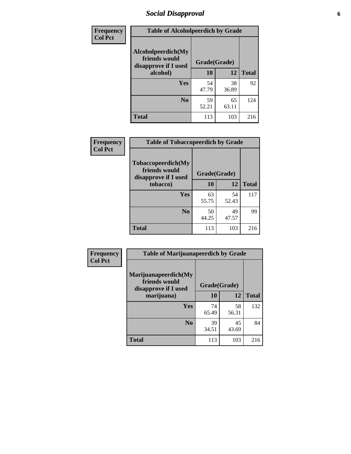# *Social Disapproval* **6**

| Frequency      | <b>Table of Alcoholpeerdich by Grade</b>                    |              |             |              |  |
|----------------|-------------------------------------------------------------|--------------|-------------|--------------|--|
| <b>Col Pct</b> | Alcoholpeerdich(My<br>friends would<br>disapprove if I used | Grade(Grade) |             |              |  |
|                | alcohol)                                                    | 10           | 12          | <b>Total</b> |  |
|                | <b>Yes</b>                                                  | 54<br>47.79  | 38<br>36.89 | 92           |  |
|                | N <sub>0</sub>                                              | 59<br>52.21  | 65<br>63.11 | 124          |  |
|                | <b>Total</b>                                                | 113          | 103         | 216          |  |

| <b>Frequency</b> |
|------------------|
| <b>Col Pct</b>   |

| <b>Table of Tobaccopeerdich by Grade</b>                            |              |             |              |  |  |
|---------------------------------------------------------------------|--------------|-------------|--------------|--|--|
| <b>Tobaccopeerdich</b> (My<br>friends would<br>disapprove if I used | Grade(Grade) |             |              |  |  |
| tobacco)                                                            | 10           | 12          | <b>Total</b> |  |  |
| Yes                                                                 | 63<br>55.75  | 54<br>52.43 | 117          |  |  |
| N <sub>0</sub>                                                      | 50<br>44.25  | 49<br>47.57 | 99           |  |  |
| <b>Total</b>                                                        | 113          | 103         | 216          |  |  |

| Frequency      | <b>Table of Marijuanapeerdich by Grade</b>                    |              |             |              |  |
|----------------|---------------------------------------------------------------|--------------|-------------|--------------|--|
| <b>Col Pct</b> | Marijuanapeerdich(My<br>friends would<br>disapprove if I used | Grade(Grade) |             |              |  |
|                | marijuana)                                                    | 10           | 12          | <b>Total</b> |  |
|                | <b>Yes</b>                                                    | 74<br>65.49  | 58<br>56.31 | 132          |  |
|                | N <sub>0</sub>                                                | 39<br>34.51  | 45<br>43.69 | 84           |  |
|                | <b>Total</b>                                                  | 113          | 103         | 216          |  |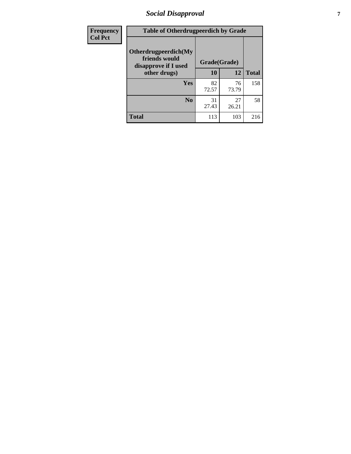# *Social Disapproval* **7**

| Frequency      | <b>Table of Otherdrugpeerdich by Grade</b>                    |              |             |              |  |
|----------------|---------------------------------------------------------------|--------------|-------------|--------------|--|
| <b>Col Pct</b> | Otherdrugpeerdich(My<br>friends would<br>disapprove if I used | Grade(Grade) |             |              |  |
|                | other drugs)                                                  | 10           | 12          | <b>Total</b> |  |
|                | <b>Yes</b>                                                    | 82<br>72.57  | 76<br>73.79 | 158          |  |
|                | N <sub>0</sub>                                                | 31<br>27.43  | 27<br>26.21 | 58           |  |
|                | <b>Total</b>                                                  | 113          | 103         | 216          |  |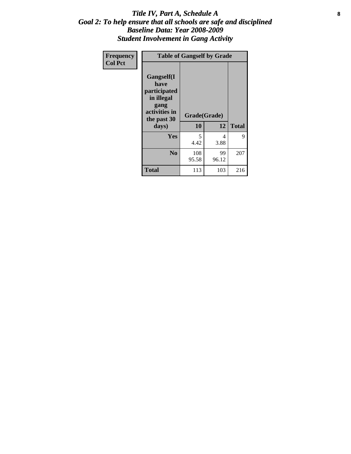### Title IV, Part A, Schedule A **8** *Goal 2: To help ensure that all schools are safe and disciplined Baseline Data: Year 2008-2009 Student Involvement in Gang Activity*

| Frequency      |                                                                                                   | <b>Table of Gangself by Grade</b> |             |              |  |  |
|----------------|---------------------------------------------------------------------------------------------------|-----------------------------------|-------------|--------------|--|--|
| <b>Col Pct</b> | Gangself(I<br>have<br>participated<br>in illegal<br>gang<br>activities in<br>the past 30<br>days) | Grade(Grade)<br>10                | 12          | <b>Total</b> |  |  |
|                | Yes                                                                                               | 5<br>4.42                         | 4<br>3.88   | 9            |  |  |
|                | N <sub>0</sub>                                                                                    | 108<br>95.58                      | 99<br>96.12 | 207          |  |  |
|                | <b>Total</b>                                                                                      | 113                               | 103         | 216          |  |  |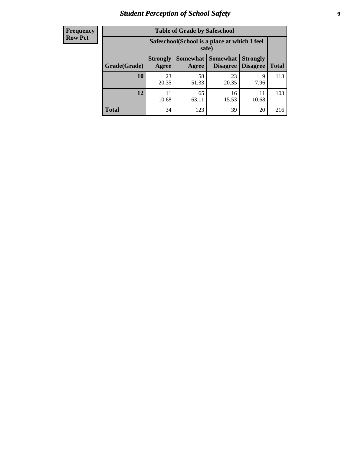# *Student Perception of School Safety* **9**

| <b>Frequency</b><br>Row Pct |
|-----------------------------|
|                             |

| <b>Table of Grade by Safeschool</b> |                                                                                                                          |                                                        |             |             |     |  |  |
|-------------------------------------|--------------------------------------------------------------------------------------------------------------------------|--------------------------------------------------------|-------------|-------------|-----|--|--|
|                                     |                                                                                                                          | Safeschool (School is a place at which I feel<br>safe) |             |             |     |  |  |
| Grade(Grade)                        | Somewhat Somewhat<br><b>Strongly</b><br><b>Strongly</b><br><b>Disagree</b><br>Agree<br>Disagree<br><b>Total</b><br>Agree |                                                        |             |             |     |  |  |
| 10                                  | 23<br>20.35                                                                                                              | 58<br>51.33                                            | 23<br>20.35 | 9<br>7.96   | 113 |  |  |
| 12                                  | 11<br>10.68                                                                                                              | 65<br>63.11                                            | 16<br>15.53 | 11<br>10.68 | 103 |  |  |
| <b>Total</b>                        | 34                                                                                                                       | 123                                                    | 39          | 20          | 216 |  |  |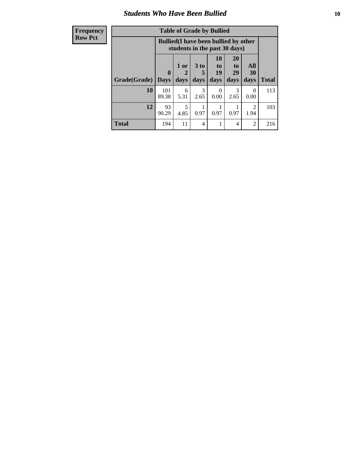### *Students Who Have Been Bullied* **10**

| <b>Frequency</b> | <b>Table of Grade by Bullied</b> |              |           |                       |                                                                               |                       |                        |              |
|------------------|----------------------------------|--------------|-----------|-----------------------|-------------------------------------------------------------------------------|-----------------------|------------------------|--------------|
| <b>Row Pct</b>   |                                  |              |           |                       | <b>Bullied</b> (I have been bullied by other<br>students in the past 30 days) |                       |                        |              |
|                  |                                  | $\mathbf{0}$ | 1 or<br>2 | 3 <sub>to</sub><br>5  | 10<br>to  <br>19                                                              | <b>20</b><br>to<br>29 | All<br>30              |              |
|                  | Grade(Grade)                     | <b>Days</b>  | days      | days                  | days                                                                          | days                  | days                   | <b>Total</b> |
|                  | 10                               | 101<br>89.38 | 6<br>5.31 | $\mathcal{F}$<br>2.65 | $\Omega$<br>0.00                                                              | $\mathcal{R}$<br>2.65 | $\Omega$<br>0.00       | 113          |
|                  | 12                               | 93<br>90.29  | 5<br>4.85 | 0.97                  | 0.97                                                                          | 0.97                  | $\mathfrak{D}$<br>1.94 | 103          |
|                  | <b>Total</b>                     | 194          | 11        | 4                     |                                                                               | 4                     | $\overline{2}$         | 216          |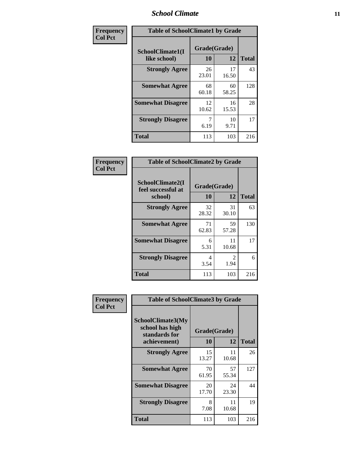### *School Climate* **11**

| Frequency      | <b>Table of SchoolClimate1 by Grade</b> |                    |             |              |  |  |
|----------------|-----------------------------------------|--------------------|-------------|--------------|--|--|
| <b>Col Pct</b> | SchoolClimate1(I<br>like school)        | Grade(Grade)<br>10 | 12          | <b>Total</b> |  |  |
|                | <b>Strongly Agree</b>                   | 26<br>23.01        | 17<br>16.50 | 43           |  |  |
|                | <b>Somewhat Agree</b>                   | 68<br>60.18        | 60<br>58.25 | 128          |  |  |
|                | <b>Somewhat Disagree</b>                | 12<br>10.62        | 16<br>15.53 | 28           |  |  |
|                | <b>Strongly Disagree</b>                | 7<br>6.19          | 10<br>9.71  | 17           |  |  |
|                | <b>Total</b>                            | 113                | 103         | 216          |  |  |

| Frequency      | <b>Table of SchoolClimate2 by Grade</b>           |                    |             |              |  |
|----------------|---------------------------------------------------|--------------------|-------------|--------------|--|
| <b>Col Pct</b> | SchoolClimate2(I<br>feel successful at<br>school) | Grade(Grade)<br>10 | 12          | <b>Total</b> |  |
|                | <b>Strongly Agree</b>                             | 32<br>28.32        | 31<br>30.10 | 63           |  |
|                | <b>Somewhat Agree</b>                             | 71<br>62.83        | 59<br>57.28 | 130          |  |
|                | <b>Somewhat Disagree</b>                          | 6<br>5.31          | 11<br>10.68 | 17           |  |
|                | <b>Strongly Disagree</b>                          | 4<br>3.54          | 2<br>1.94   | 6            |  |
|                | <b>Total</b>                                      | 113                | 103         | 216          |  |

| Frequency<br><b>Col Pct</b> | <b>Table of SchoolClimate3 by Grade</b>               |              |             |              |  |
|-----------------------------|-------------------------------------------------------|--------------|-------------|--------------|--|
|                             | SchoolClimate3(My<br>school has high<br>standards for | Grade(Grade) |             |              |  |
|                             | achievement)                                          | <b>10</b>    | 12          | <b>Total</b> |  |
|                             | <b>Strongly Agree</b>                                 | 15<br>13.27  | 11<br>10.68 | 26           |  |
|                             | <b>Somewhat Agree</b>                                 | 70<br>61.95  | 57<br>55.34 | 127          |  |
|                             | <b>Somewhat Disagree</b>                              | 20<br>17.70  | 24<br>23.30 | 44           |  |
|                             | <b>Strongly Disagree</b>                              | 8<br>7.08    | 11<br>10.68 | 19           |  |
|                             | Total                                                 | 113          | 103         | 216          |  |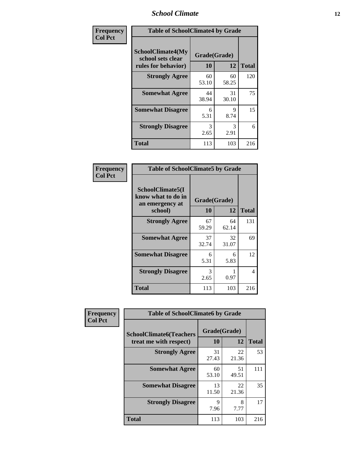### *School Climate* **12**

| Frequency      | <b>Table of SchoolClimate4 by Grade</b>                       |                    |             |              |
|----------------|---------------------------------------------------------------|--------------------|-------------|--------------|
| <b>Col Pct</b> | SchoolClimate4(My<br>school sets clear<br>rules for behavior) | Grade(Grade)<br>10 | 12          | <b>Total</b> |
|                | <b>Strongly Agree</b>                                         | 60<br>53.10        | 60<br>58.25 | 120          |
|                | <b>Somewhat Agree</b>                                         | 44<br>38.94        | 31<br>30.10 | 75           |
|                | <b>Somewhat Disagree</b>                                      | 6<br>5.31          | 9<br>8.74   | 15           |
|                | <b>Strongly Disagree</b>                                      | 3<br>2.65          | 3<br>2.91   | 6            |
|                | <b>Total</b>                                                  | 113                | 103         | 216          |

| <b>Table of SchoolClimate5 by Grade</b>                              |                    |              |     |  |
|----------------------------------------------------------------------|--------------------|--------------|-----|--|
| SchoolClimate5(I<br>know what to do in<br>an emergency at<br>school) | Grade(Grade)<br>10 | <b>Total</b> |     |  |
| <b>Strongly Agree</b>                                                | 67<br>59.29        | 64<br>62.14  | 131 |  |
| <b>Somewhat Agree</b>                                                | 37<br>32.74        | 32<br>31.07  | 69  |  |
| <b>Somewhat Disagree</b>                                             | 6<br>5.31          | 6<br>5.83    | 12  |  |
| <b>Strongly Disagree</b>                                             | 3<br>2.65          | 0.97         | 4   |  |
| <b>Total</b>                                                         | 113                | 103          | 216 |  |

| Frequency      | <b>Table of SchoolClimate6 by Grade</b>                  |                     |             |              |
|----------------|----------------------------------------------------------|---------------------|-------------|--------------|
| <b>Col Pct</b> | <b>SchoolClimate6(Teachers</b><br>treat me with respect) | Grade(Grade)<br>10  | 12          | <b>Total</b> |
|                | <b>Strongly Agree</b>                                    | 31<br>27.43         | 22<br>21.36 | 53           |
|                | <b>Somewhat Agree</b>                                    | 60<br>53.10         | 51<br>49.51 | 111          |
|                | <b>Somewhat Disagree</b>                                 | 13<br>11.50         | 22<br>21.36 | 35           |
|                | <b>Strongly Disagree</b>                                 | $\mathbf Q$<br>7.96 | 8<br>7.77   | 17           |
|                | <b>Total</b>                                             | 113                 | 103         | 216          |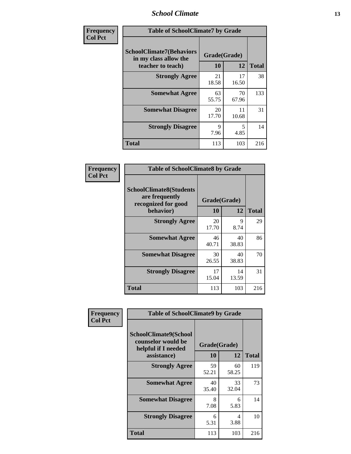### *School Climate* **13**

| Frequency      | <b>Table of SchoolClimate7 by Grade</b>                                       |                           |             |              |
|----------------|-------------------------------------------------------------------------------|---------------------------|-------------|--------------|
| <b>Col Pct</b> | <b>SchoolClimate7(Behaviors</b><br>in my class allow the<br>teacher to teach) | Grade(Grade)<br><b>10</b> | 12          | <b>Total</b> |
|                | <b>Strongly Agree</b>                                                         | 21<br>18.58               | 17<br>16.50 | 38           |
|                | <b>Somewhat Agree</b>                                                         | 63<br>55.75               | 70<br>67.96 | 133          |
|                | <b>Somewhat Disagree</b>                                                      | 20<br>17.70               | 11<br>10.68 | 31           |
|                | <b>Strongly Disagree</b>                                                      | $\mathbf Q$<br>7.96       | 5<br>4.85   | 14           |
|                | <b>Total</b>                                                                  | 113                       | 103         | 216          |

| Frequency      | <b>Table of SchoolClimate8 by Grade</b>                                              |                    |             |              |
|----------------|--------------------------------------------------------------------------------------|--------------------|-------------|--------------|
| <b>Col Pct</b> | <b>SchoolClimate8(Students</b><br>are frequently<br>recognized for good<br>behavior) | Grade(Grade)<br>10 | 12          | <b>Total</b> |
|                | <b>Strongly Agree</b>                                                                | 20<br>17.70        | 9<br>8.74   | 29           |
|                | <b>Somewhat Agree</b>                                                                | 46<br>40.71        | 40<br>38.83 | 86           |
|                | <b>Somewhat Disagree</b>                                                             | 30<br>26.55        | 40<br>38.83 | 70           |
|                | <b>Strongly Disagree</b>                                                             | 17<br>15.04        | 14<br>13.59 | 31           |
|                | <b>Total</b>                                                                         | 113                | 103         | 216          |

| Frequency      | <b>Table of SchoolClimate9 by Grade</b>                                           |                    |             |              |
|----------------|-----------------------------------------------------------------------------------|--------------------|-------------|--------------|
| <b>Col Pct</b> | SchoolClimate9(School<br>counselor would be<br>helpful if I needed<br>assistance) | Grade(Grade)<br>10 | 12          | <b>Total</b> |
|                | <b>Strongly Agree</b>                                                             | 59<br>52.21        | 60<br>58.25 | 119          |
|                | <b>Somewhat Agree</b>                                                             | 40<br>35.40        | 33<br>32.04 | 73           |
|                | <b>Somewhat Disagree</b>                                                          | 8<br>7.08          | 6<br>5.83   | 14           |
|                | <b>Strongly Disagree</b>                                                          | 6<br>5.31          | 4<br>3.88   | 10           |
|                | Total                                                                             | 113                | 103         | 216          |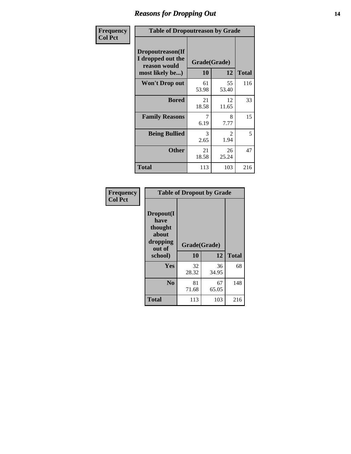### *Reasons for Dropping Out* **14**

| Frequency      | <b>Table of Dropoutreason by Grade</b>                                   |             |                    |              |
|----------------|--------------------------------------------------------------------------|-------------|--------------------|--------------|
| <b>Col Pct</b> | Dropoutreason(If<br>I dropped out the<br>reason would<br>most likely be) | 10          | Grade(Grade)<br>12 | <b>Total</b> |
|                | <b>Won't Drop out</b>                                                    | 61<br>53.98 | 55<br>53.40        | 116          |
|                | <b>Bored</b>                                                             | 21<br>18.58 | 12<br>11.65        | 33           |
|                | <b>Family Reasons</b>                                                    | 7<br>6.19   | 8<br>7.77          | 15           |
|                | <b>Being Bullied</b>                                                     | 3<br>2.65   | 2<br>1.94          | 5            |
|                | <b>Other</b>                                                             | 21<br>18.58 | 26<br>25.24        | 47           |
|                | <b>Total</b>                                                             | 113         | 103                | 216          |

| Frequency<br><b>Col Pct</b> | <b>Table of Dropout by Grade</b>                                       |                    |             |              |  |
|-----------------------------|------------------------------------------------------------------------|--------------------|-------------|--------------|--|
|                             | Dropout(I<br>have<br>thought<br>about<br>dropping<br>out of<br>school) | Grade(Grade)<br>10 | 12          | <b>Total</b> |  |
|                             |                                                                        |                    |             |              |  |
|                             | Yes                                                                    | 32<br>28.32        | 36<br>34.95 | 68           |  |
|                             | N <sub>0</sub>                                                         | 81<br>71.68        | 67<br>65.05 | 148          |  |
|                             |                                                                        |                    |             |              |  |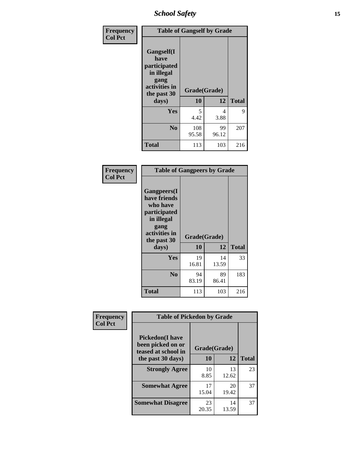*School Safety* **15**

| Frequency<br><b>Col Pct</b> | <b>Table of Gangself by Grade</b>                                                                         |                    |             |              |
|-----------------------------|-----------------------------------------------------------------------------------------------------------|--------------------|-------------|--------------|
|                             | <b>Gangself</b> (I<br>have<br>participated<br>in illegal<br>gang<br>activities in<br>the past 30<br>days) | Grade(Grade)<br>10 | 12          | <b>Total</b> |
|                             | Yes                                                                                                       | 5<br>4.42          | 4<br>3.88   | 9            |
|                             | N <sub>0</sub>                                                                                            | 108<br>95.58       | 99<br>96.12 | 207          |
|                             | Total                                                                                                     | 113                | 103         | 216          |

| Frequency<br><b>Col Pct</b> | <b>Table of Gangpeers by Grade</b>                                                                                             |                    |             |              |
|-----------------------------|--------------------------------------------------------------------------------------------------------------------------------|--------------------|-------------|--------------|
|                             | <b>Gangpeers</b> (I<br>have friends<br>who have<br>participated<br>in illegal<br>gang<br>activities in<br>the past 30<br>days) | Grade(Grade)<br>10 | 12          | <b>Total</b> |
|                             | Yes                                                                                                                            | 19<br>16.81        | 14<br>13.59 | 33           |
|                             | N <sub>0</sub>                                                                                                                 | 94<br>83.19        | 89<br>86.41 | 183          |
|                             | <b>Total</b>                                                                                                                   | 113                | 103         | 216          |

| Frequency      | <b>Table of Pickedon by Grade</b>                                   |              |             |              |
|----------------|---------------------------------------------------------------------|--------------|-------------|--------------|
| <b>Col Pct</b> | <b>Pickedon</b> (I have<br>been picked on or<br>teased at school in | Grade(Grade) |             |              |
|                | the past 30 days)                                                   | 10           | 12          | <b>Total</b> |
|                | <b>Strongly Agree</b>                                               | 10<br>8.85   | 13<br>12.62 | 23           |
|                | <b>Somewhat Agree</b>                                               | 17<br>15.04  | 20<br>19.42 | 37           |
|                | <b>Somewhat Disagree</b>                                            | 23<br>20.35  | 14<br>13.59 | 37           |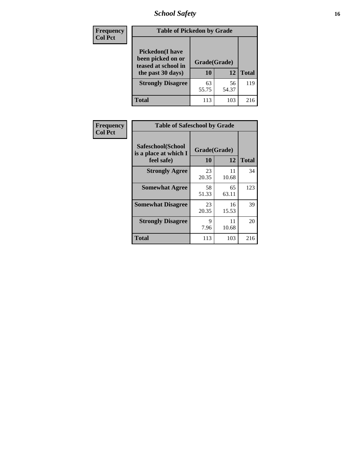# *School Safety* **16**

| <b>Frequency</b> |                                                                                          | <b>Table of Pickedon by Grade</b> |             |              |  |  |  |  |  |  |
|------------------|------------------------------------------------------------------------------------------|-----------------------------------|-------------|--------------|--|--|--|--|--|--|
| <b>Col Pct</b>   | <b>Pickedon</b> (I have<br>been picked on or<br>teased at school in<br>the past 30 days) | Grade(Grade)<br>10                | 12          | <b>Total</b> |  |  |  |  |  |  |
|                  | <b>Strongly Disagree</b>                                                                 | 63<br>55.75                       | 56<br>54.37 | 119          |  |  |  |  |  |  |
|                  | Total                                                                                    | 113                               | 103         | 216          |  |  |  |  |  |  |

| Frequency      |                                                          | <b>Table of Safeschool by Grade</b> |             |              |  |  |  |  |  |  |  |
|----------------|----------------------------------------------------------|-------------------------------------|-------------|--------------|--|--|--|--|--|--|--|
| <b>Col Pct</b> | Safeschool(School<br>is a place at which I<br>feel safe) | Grade(Grade)<br>10                  | 12          | <b>Total</b> |  |  |  |  |  |  |  |
|                | <b>Strongly Agree</b>                                    | 23<br>20.35                         | 11<br>10.68 | 34           |  |  |  |  |  |  |  |
|                | <b>Somewhat Agree</b>                                    | 58<br>51.33                         | 65<br>63.11 | 123          |  |  |  |  |  |  |  |
|                | <b>Somewhat Disagree</b>                                 | 23<br>20.35                         | 16<br>15.53 | 39           |  |  |  |  |  |  |  |
|                | <b>Strongly Disagree</b>                                 | 9<br>7.96                           | 11<br>10.68 | 20           |  |  |  |  |  |  |  |
|                | <b>Total</b>                                             | 113                                 | 103         | 216          |  |  |  |  |  |  |  |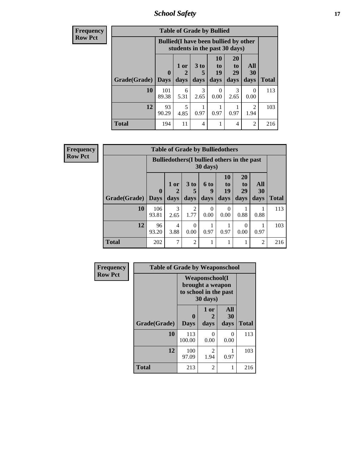*School Safety* **17**

| <b>Frequency</b> |              |                                                                               | <b>Table of Grade by Bullied</b> |                       |                                                             |                       |                  |              |
|------------------|--------------|-------------------------------------------------------------------------------|----------------------------------|-----------------------|-------------------------------------------------------------|-----------------------|------------------|--------------|
| <b>Row Pct</b>   |              | <b>Bullied</b> (I have been bullied by other<br>students in the past 30 days) |                                  |                       |                                                             |                       |                  |              |
|                  |              | $\mathbf 0$                                                                   | 1 or<br>2                        | $3$ to<br>5           | 10<br>$\mathbf{t}$ <sup><math>\mathbf{0}</math></sup><br>19 | <b>20</b><br>to<br>29 | All<br>30        |              |
|                  | Grade(Grade) | <b>Days</b>                                                                   | days                             | days                  | days                                                        | days                  | days             | <b>Total</b> |
|                  | 10           | 101<br>89.38                                                                  | 6<br>5.31                        | $\mathcal{R}$<br>2.65 | $\Omega$<br>0.00                                            | 3<br>2.65             | $\Omega$<br>0.00 | 113          |
|                  | 12           | 93<br>90.29                                                                   | 5<br>4.85                        | 0.97                  | 0.97                                                        | 0.97                  | 2<br>1.94        | 103          |
|                  | <b>Total</b> | 194                                                                           | 11                               | 4                     |                                                             | 4                     | 2                | 216          |

| Frequency      |              |              | <b>Table of Grade by Bulliedothers</b>             |                 |                   |                |                |                |              |
|----------------|--------------|--------------|----------------------------------------------------|-----------------|-------------------|----------------|----------------|----------------|--------------|
| <b>Row Pct</b> |              |              | <b>Bulliedothers</b> (I bullied others in the past |                 | $30 \text{ days}$ |                |                |                |              |
|                |              | $\mathbf{0}$ | 1 or                                               | 3 <sub>to</sub> | 6 to<br>9         | 10<br>to<br>19 | 20<br>to<br>29 | All<br>30      |              |
|                | Grade(Grade) | <b>Days</b>  | days                                               | days            | days              | days           | days           | days           | <b>Total</b> |
|                | 10           | 106<br>93.81 | 3<br>2.65                                          | 2<br>1.77       | $\Omega$<br>0.00  | 0<br>0.00      | 0.88           | 0.88           | 113          |
|                | 12           | 96<br>93.20  | 4<br>3.88                                          | 0<br>0.00       | 0.97              | 0.97           | 0<br>0.00      | 0.97           | 103          |
|                | <b>Total</b> | 202          | 7                                                  | $\overline{2}$  | 1                 |                |                | $\overline{2}$ | 216          |

| Frequency      | <b>Table of Grade by Weaponschool</b> |                                                                                 |                   |                   |              |
|----------------|---------------------------------------|---------------------------------------------------------------------------------|-------------------|-------------------|--------------|
| <b>Row Pct</b> |                                       | <b>Weaponschool</b> (I<br>brought a weapon<br>to school in the past<br>30 days) |                   |                   |              |
|                | Grade(Grade)                          | $\mathbf{0}$<br><b>Days</b>                                                     | 1 or<br>2<br>days | All<br>30<br>days | <b>Total</b> |
|                | 10                                    | 113<br>100.00                                                                   | 0<br>0.00         | 0<br>0.00         | 113          |
|                | 12                                    | 100<br>97.09                                                                    | 2<br>1.94         | 0.97              | 103          |
|                | <b>Total</b>                          | 213                                                                             | $\mathfrak{D}$    | 1                 | 216          |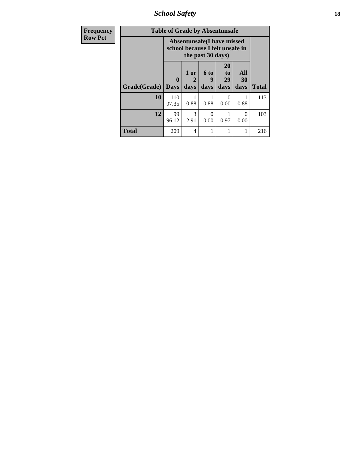*School Safety* **18**

| Frequency      | <b>Table of Grade by Absentunsafe</b> |                                                                      |                       |                   |                        |                   |              |  |
|----------------|---------------------------------------|----------------------------------------------------------------------|-----------------------|-------------------|------------------------|-------------------|--------------|--|
| <b>Row Pct</b> |                                       | <b>Absentunsafe(I have missed</b><br>school because I felt unsafe in |                       |                   |                        |                   |              |  |
|                | Grade(Grade)                          | $\mathbf{0}$<br><b>Days</b>                                          | 1 or<br>2<br>days     | 6 to<br>g<br>days | 20<br>to<br>29<br>days | All<br>30<br>days | <b>Total</b> |  |
|                | 10                                    | 110<br>97.35                                                         | 0.88                  | 0.88              | 0.00                   | 0.88              | 113          |  |
|                | 12                                    | 99<br>96.12                                                          | $\mathcal{R}$<br>2.91 | ∩<br>0.00         | 0.97                   | 0<br>0.00         | 103          |  |
|                | <b>Total</b>                          | 209                                                                  | 4                     |                   | 1                      |                   | 216          |  |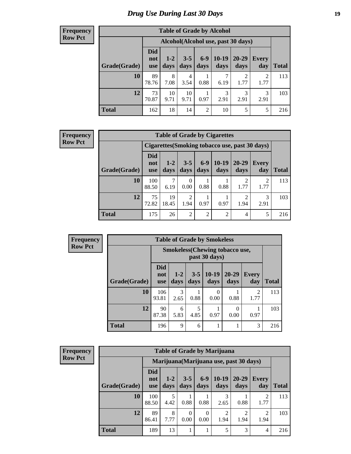### *Drug Use During Last 30 Days* **19**

#### **Frequency Row Pct**

| <b>Table of Grade by Alcohol</b> |                                 |                 |                 |                |                 |                                    |              |              |  |  |  |
|----------------------------------|---------------------------------|-----------------|-----------------|----------------|-----------------|------------------------------------|--------------|--------------|--|--|--|
|                                  |                                 |                 |                 |                |                 | Alcohol(Alcohol use, past 30 days) |              |              |  |  |  |
| Grade(Grade)                     | <b>Did</b><br>not<br><b>use</b> | $1 - 2$<br>days | $3 - 5$<br>days | $6-9$<br>days  | $10-19$<br>days | $20 - 29$<br>days                  | Every<br>day | <b>Total</b> |  |  |  |
| 10                               | 89<br>78.76                     | 8<br>7.08       | 4<br>3.54       | 0.88           | 7<br>6.19       | $\overline{2}$<br>1.77             | 2<br>1.77    | 113          |  |  |  |
| 12                               | 73<br>70.87                     | 10<br>9.71      | 10<br>9.71      | 1<br>0.97      | 3<br>2.91       | 3<br>2.91                          | 3<br>2.91    | 103          |  |  |  |
| <b>Total</b>                     | 162                             | 18              | 14              | $\overline{2}$ | 10              | 5                                  | 5            | 216          |  |  |  |

#### **Frequency Row Pct**

٦.  $\mathbf{r}$ 

| <b>Table of Grade by Cigarettes</b> |                                 |                                                |                        |                |                 |                   |                        |       |  |  |  |
|-------------------------------------|---------------------------------|------------------------------------------------|------------------------|----------------|-----------------|-------------------|------------------------|-------|--|--|--|
|                                     |                                 | Cigarettes (Smoking tobacco use, past 30 days) |                        |                |                 |                   |                        |       |  |  |  |
| Grade(Grade)                        | <b>Did</b><br>not<br><b>use</b> | $1 - 2$<br>days                                | $3 - 5$<br>days        | $6-9$<br>days  | $10-19$<br>days | $20 - 29$<br>days | <b>Every</b><br>day    | Total |  |  |  |
| 10                                  | 100<br>88.50                    | ⇁<br>6.19                                      | 0<br>0.00              | 0.88           | 0.88            | 1.77              | $\mathfrak{D}$<br>1.77 | 113   |  |  |  |
| 12                                  | 75<br>72.82                     | 19<br>18.45                                    | $\overline{c}$<br>1.94 | 0.97           | 0.97            | റ<br>1.94         | 3<br>2.91              | 103   |  |  |  |
| <b>Total</b>                        | 175                             | 26                                             | 2                      | $\overline{2}$ | $\overline{2}$  | 4                 | 5                      | 216   |  |  |  |

| Frequency      |              |                                                        |                 |      | <b>Table of Grade by Smokeless</b> |                                 |                      |  |  |
|----------------|--------------|--------------------------------------------------------|-----------------|------|------------------------------------|---------------------------------|----------------------|--|--|
| <b>Row Pct</b> |              | <b>Smokeless</b> (Chewing tobaccouse,<br>past 30 days) |                 |      |                                    |                                 |                      |  |  |
|                | Grade(Grade) | <b>Did</b><br>not<br><b>use</b>                        | $1 - 2$<br>days | days | days                               | $3-5$   10-19   20-29  <br>days | <b>Every</b><br>day  |  |  |
|                | <b>10</b>    | 106<br>O2 Q1                                           | 3<br>265        | 0.98 | 0.00                               | 0.99                            | $\overline{c}$<br>77 |  |  |

| 10           | 106<br>93.81 | 2.65      | 0.88 | 0.00 | 0.88 | っ<br>∠<br>1.77 | 113 |
|--------------|--------------|-----------|------|------|------|----------------|-----|
| 12           | 90<br>87.38  | O<br>5.83 | 4.85 | 0.97 | 0.00 | 0.97           | 103 |
| <b>Total</b> | 196          | Q         | h    |      |      | 3              | 216 |

**Total day**

| <b>Frequency</b> |
|------------------|
| <b>Row Pct</b>   |

| <b>Table of Grade by Marijuana</b> |                                 |                                         |                 |               |                        |                   |              |              |  |  |
|------------------------------------|---------------------------------|-----------------------------------------|-----------------|---------------|------------------------|-------------------|--------------|--------------|--|--|
|                                    |                                 | Marijuana (Marijuana use, past 30 days) |                 |               |                        |                   |              |              |  |  |
| Grade(Grade)                       | <b>Did</b><br>not<br><b>use</b> | $1 - 2$<br>days                         | $3 - 5$<br>days | $6-9$<br>days | $10-19$<br>days        | $20 - 29$<br>days | Every<br>day | <b>Total</b> |  |  |
| 10                                 | 100<br>88.50                    | 5<br>4.42                               | 0.88            | 0.88          | 3<br>2.65              | 0.88              | 2<br>1.77    | 113          |  |  |
| 12                                 | 89<br>86.41                     | 8<br>7.77                               | 0<br>0.00       | 0<br>0.00     | $\overline{2}$<br>1.94 | റ<br>1.94         | 2<br>1.94    | 103          |  |  |
| <b>Total</b>                       | 189                             | 13                                      |                 |               | 5                      | 3                 | 4            | 216          |  |  |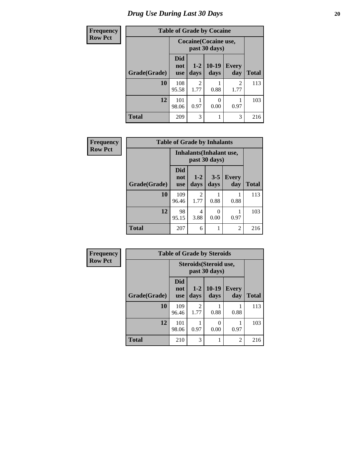# *Drug Use During Last 30 Days* 20

| <b>Frequency</b> | <b>Table of Grade by Cocaine</b> |                                 |                        |                 |                        |              |
|------------------|----------------------------------|---------------------------------|------------------------|-----------------|------------------------|--------------|
| <b>Row Pct</b>   |                                  | <b>Cocaine</b> (Cocaine use,    |                        |                 |                        |              |
|                  | Grade(Grade)                     | <b>Did</b><br>not<br><b>use</b> | $1 - 2$<br>days        | $10-19$<br>days | <b>Every</b><br>day    | <b>Total</b> |
|                  | 10                               | 108<br>95.58                    | $\mathfrak{D}$<br>1.77 | 0.88            | $\overline{2}$<br>1.77 | 113          |
|                  | 12                               | 101<br>98.06                    | 0.97                   | O<br>0.00       | 0.97                   | 103          |
|                  | <b>Total</b>                     | 209                             | 3                      |                 | 3                      | 216          |

| <b>Frequency</b> |              | <b>Table of Grade by Inhalants</b> |                          |                 |                |              |
|------------------|--------------|------------------------------------|--------------------------|-----------------|----------------|--------------|
| <b>Row Pct</b>   |              |                                    | Inhalants (Inhalant use, | past 30 days)   |                |              |
|                  | Grade(Grade) | <b>Did</b><br>not<br><b>use</b>    | $1-2$<br>days            | $3 - 5$<br>days | Every<br>day   | <b>Total</b> |
|                  | 10           | 109<br>96.46                       | 2<br>1.77                | 0.88            | 0.88           | 113          |
|                  | 12           | 98<br>95.15                        | 4<br>3.88                | 0<br>0.00       | 0.97           | 103          |
|                  | <b>Total</b> | 207                                | 6                        |                 | $\mathfrak{D}$ | 216          |

| Frequency      | <b>Table of Grade by Steroids</b> |                          |                 |                                         |                     |              |
|----------------|-----------------------------------|--------------------------|-----------------|-----------------------------------------|---------------------|--------------|
| <b>Row Pct</b> |                                   |                          |                 | Steroids (Steroid use,<br>past 30 days) |                     |              |
|                | Grade(Grade)                      | <b>Did</b><br>not<br>use | $1 - 2$<br>days | 10-19<br>days                           | <b>Every</b><br>day | <b>Total</b> |
|                | 10                                | 109<br>96.46             | 2<br>1.77       | 0.88                                    | 0.88                | 113          |
|                | 12                                | 101<br>98.06             | 0.97            | 0.00                                    | 0.97                | 103          |
|                | <b>Total</b>                      | 210                      | 3               |                                         | $\overline{2}$      | 216          |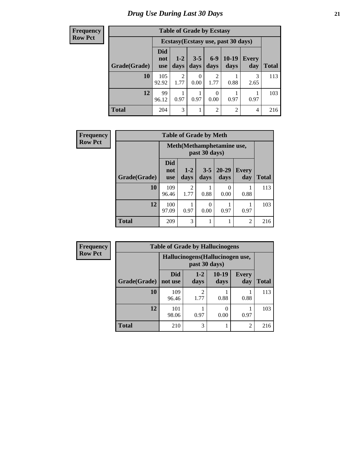**Frequency Row Pct**

| <b>Table of Grade by Ecstasy</b> |                          |                                     |                 |                        |                 |                     |              |  |
|----------------------------------|--------------------------|-------------------------------------|-----------------|------------------------|-----------------|---------------------|--------------|--|
|                                  |                          | Ecstasy (Ecstasy use, past 30 days) |                 |                        |                 |                     |              |  |
| Grade(Grade)                     | Did<br>not<br><b>use</b> | $1 - 2$<br>days                     | $3 - 5$<br>days | $6 - 9$<br>days        | $10-19$<br>days | <b>Every</b><br>day | <b>Total</b> |  |
| 10                               | 105<br>92.92             | 2<br>1.77                           | 0<br>0.00       | $\mathfrak{D}$<br>1.77 | 0.88            | 3<br>2.65           | 113          |  |
| 12                               | 99<br>96.12              | 0.97                                | 0.97            | 0<br>0.00              | 0.97            | 0.97                | 103          |  |
| <b>Total</b>                     | 204                      | 3                                   |                 | $\overline{2}$         | $\overline{2}$  | 4                   | 216          |  |

| <b>Frequency</b> | <b>Table of Grade by Meth</b> |                            |                                     |                 |                   |                |       |
|------------------|-------------------------------|----------------------------|-------------------------------------|-----------------|-------------------|----------------|-------|
| <b>Row Pct</b>   |                               | Meth (Methamphetamine use, |                                     |                 |                   |                |       |
|                  | Grade(Grade)                  | Did<br>not<br><b>use</b>   | $1 - 2$<br>days                     | $3 - 5$<br>days | $20 - 29$<br>days | Every<br>day   | Total |
|                  | 10                            | 109<br>96.46               | $\mathcal{D}_{\mathcal{A}}$<br>1.77 | 0.88            | 0<br>0.00         | 0.88           | 113   |
|                  | 12                            | 100<br>97.09               | 0.97                                | 0<br>0.00       | 0.97              | 0.97           | 103   |
|                  | <b>Total</b>                  | 209                        | 3                                   |                 |                   | $\overline{2}$ | 216   |

| <b>Frequency</b> | <b>Table of Grade by Hallucinogens</b> |                                  |                        |                 |                     |              |  |
|------------------|----------------------------------------|----------------------------------|------------------------|-----------------|---------------------|--------------|--|
| <b>Row Pct</b>   |                                        | Hallucinogens (Hallucinogen use, |                        |                 |                     |              |  |
|                  | Grade(Grade)                           | <b>Did</b><br>not use            | $1 - 2$<br>days        | $10-19$<br>days | <b>Every</b><br>day | <b>Total</b> |  |
|                  | 10                                     | 109<br>96.46                     | $\mathfrak{D}$<br>1.77 | 0.88            | 0.88                | 113          |  |
|                  | 12                                     | 101<br>98.06                     | 0.97                   | 0.00            | 0.97                | 103          |  |
|                  | <b>Total</b>                           | 210                              | 3                      |                 | $\overline{2}$      | 216          |  |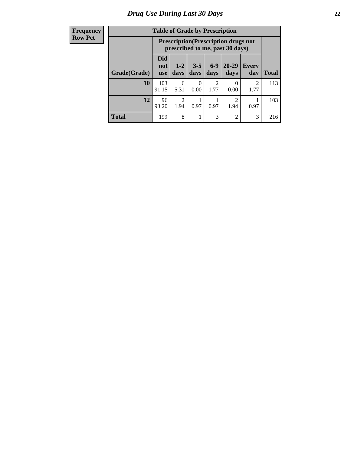#### **Frequency Row Pct**

| <b>Table of Grade by Prescription</b> |                                                                                         |                                                                                                                   |                  |           |                |                        |     |  |
|---------------------------------------|-----------------------------------------------------------------------------------------|-------------------------------------------------------------------------------------------------------------------|------------------|-----------|----------------|------------------------|-----|--|
|                                       |                                                                                         | <b>Prescription</b> (Prescription drugs not<br>prescribed to me, past 30 days)                                    |                  |           |                |                        |     |  |
| Grade(Grade)                          | <b>Did</b><br>not<br><b>use</b>                                                         | $6 - 9$<br>$20 - 29$<br>$3 - 5$<br>$1 - 2$<br><b>Every</b><br>days<br><b>Total</b><br>days<br>days<br>day<br>days |                  |           |                |                        |     |  |
| 10                                    | 103<br>91.15                                                                            | 6<br>5.31                                                                                                         | $\theta$<br>0.00 | 2<br>1.77 | 0<br>0.00      | $\mathfrak{D}$<br>1.77 | 113 |  |
| 12                                    | $\overline{2}$<br>$\overline{2}$<br>96<br>0.97<br>0.97<br>1.94<br>93.20<br>1.94<br>0.97 |                                                                                                                   |                  |           |                |                        |     |  |
| <b>Total</b>                          | 199                                                                                     | 8                                                                                                                 |                  | 3         | $\overline{2}$ | 3                      | 216 |  |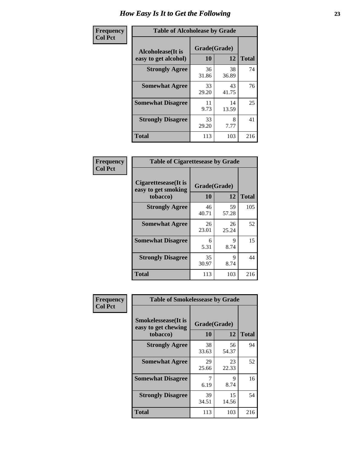| Frequency      | <b>Table of Alcoholease by Grade</b>              |                    |             |              |  |
|----------------|---------------------------------------------------|--------------------|-------------|--------------|--|
| <b>Col Pct</b> | <b>Alcoholease</b> (It is<br>easy to get alcohol) | Grade(Grade)<br>10 | 12          | <b>Total</b> |  |
|                | <b>Strongly Agree</b>                             | 36<br>31.86        | 38<br>36.89 | 74           |  |
|                | <b>Somewhat Agree</b>                             | 33<br>29.20        | 43<br>41.75 | 76           |  |
|                | <b>Somewhat Disagree</b>                          | 11<br>9.73         | 14<br>13.59 | 25           |  |
|                | <b>Strongly Disagree</b>                          | 33<br>29.20        | 8<br>7.77   | 41           |  |
|                | <b>Total</b>                                      | 113                | 103         | 216          |  |

| Frequency      | <b>Table of Cigarettesease by Grade</b>                 |                    |             |              |  |
|----------------|---------------------------------------------------------|--------------------|-------------|--------------|--|
| <b>Col Pct</b> | Cigarettesease(It is<br>easy to get smoking<br>tobacco) | Grade(Grade)<br>10 | 12          | <b>Total</b> |  |
|                | <b>Strongly Agree</b>                                   | 46<br>40.71        | 59<br>57.28 | 105          |  |
|                | <b>Somewhat Agree</b>                                   | 26<br>23.01        | 26<br>25.24 | 52           |  |
|                | <b>Somewhat Disagree</b>                                | 6<br>5.31          | 9<br>8.74   | 15           |  |
|                | <b>Strongly Disagree</b>                                | 35<br>30.97        | 9<br>8.74   | 44           |  |
|                | <b>Total</b>                                            | 113                | 103         | 216          |  |

| Frequency      | <b>Table of Smokelessease by Grade</b>                         |                           |             |              |
|----------------|----------------------------------------------------------------|---------------------------|-------------|--------------|
| <b>Col Pct</b> | <b>Smokelessease</b> (It is<br>easy to get chewing<br>tobacco) | Grade(Grade)<br><b>10</b> | 12          | <b>Total</b> |
|                | <b>Strongly Agree</b>                                          | 38<br>33.63               | 56<br>54.37 | 94           |
|                | <b>Somewhat Agree</b>                                          | 29<br>25.66               | 23<br>22.33 | 52           |
|                | <b>Somewhat Disagree</b>                                       | 6.19                      | 9<br>8.74   | 16           |
|                | <b>Strongly Disagree</b>                                       | 39<br>34.51               | 15<br>14.56 | 54           |
|                | <b>Total</b>                                                   | 113                       | 103         | 216          |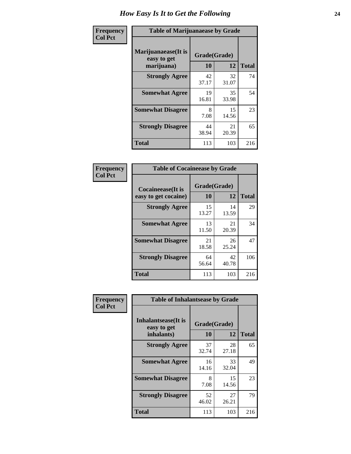| Frequency      | <b>Table of Marijuanaease by Grade</b>           |                    |             |              |  |
|----------------|--------------------------------------------------|--------------------|-------------|--------------|--|
| <b>Col Pct</b> | Marijuanaease(It is<br>easy to get<br>marijuana) | Grade(Grade)<br>10 | 12          | <b>Total</b> |  |
|                | <b>Strongly Agree</b>                            | 42<br>37.17        | 32<br>31.07 | 74           |  |
|                | <b>Somewhat Agree</b>                            | 19<br>16.81        | 35<br>33.98 | 54           |  |
|                | <b>Somewhat Disagree</b>                         | 8<br>7.08          | 15<br>14.56 | 23           |  |
|                | <b>Strongly Disagree</b>                         | 44<br>38.94        | 21<br>20.39 | 65           |  |
|                | <b>Total</b>                                     | 113                | 103         | 216          |  |

| <b>Table of Cocaineease by Grade</b> |             |              |              |  |  |  |
|--------------------------------------|-------------|--------------|--------------|--|--|--|
| Cocaineease(It is                    |             | Grade(Grade) |              |  |  |  |
| easy to get cocaine)                 | 10          | 12           | <b>Total</b> |  |  |  |
| <b>Strongly Agree</b>                | 15<br>13.27 | 14<br>13.59  | 29           |  |  |  |
| <b>Somewhat Agree</b>                | 13<br>11.50 | 21<br>20.39  | 34           |  |  |  |
| <b>Somewhat Disagree</b>             | 21<br>18.58 | 26<br>25.24  | 47           |  |  |  |
| <b>Strongly Disagree</b>             | 64<br>56.64 | 42<br>40.78  | 106          |  |  |  |
| <b>Total</b>                         | 113         | 103          | 216          |  |  |  |

| Frequency      | <b>Table of Inhalantsease by Grade</b>     |              |             |              |  |  |  |
|----------------|--------------------------------------------|--------------|-------------|--------------|--|--|--|
| <b>Col Pct</b> | <b>Inhalantsease</b> (It is<br>easy to get | Grade(Grade) |             |              |  |  |  |
|                | inhalants)                                 | 10           | 12          | <b>Total</b> |  |  |  |
|                | <b>Strongly Agree</b>                      | 37<br>32.74  | 28<br>27.18 | 65           |  |  |  |
|                | <b>Somewhat Agree</b>                      | 16<br>14.16  | 33<br>32.04 | 49           |  |  |  |
|                | <b>Somewhat Disagree</b>                   | 8<br>7.08    | 15<br>14.56 | 23           |  |  |  |
|                | <b>Strongly Disagree</b>                   | 52<br>46.02  | 27<br>26.21 | 79           |  |  |  |
|                | <b>Total</b>                               | 113          | 103         | 216          |  |  |  |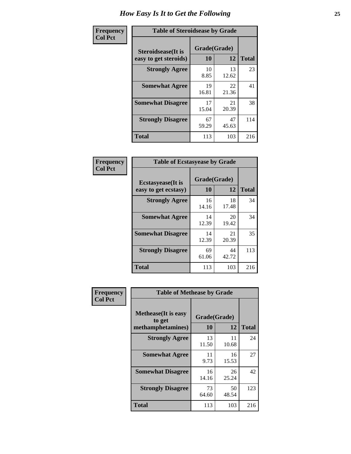| Frequency      |                                                     | <b>Table of Steroidsease by Grade</b> |             |              |  |  |  |  |  |  |  |
|----------------|-----------------------------------------------------|---------------------------------------|-------------|--------------|--|--|--|--|--|--|--|
| <b>Col Pct</b> | <b>Steroidsease</b> (It is<br>easy to get steroids) | Grade(Grade)<br>10                    | 12          | <b>Total</b> |  |  |  |  |  |  |  |
|                | <b>Strongly Agree</b>                               | 10<br>8.85                            | 13<br>12.62 | 23           |  |  |  |  |  |  |  |
|                | <b>Somewhat Agree</b>                               | 19<br>16.81                           | 22<br>21.36 | 41           |  |  |  |  |  |  |  |
|                | <b>Somewhat Disagree</b>                            | 17<br>15.04                           | 21<br>20.39 | 38           |  |  |  |  |  |  |  |
|                | <b>Strongly Disagree</b>                            | 67<br>59.29                           | 47<br>45.63 | 114          |  |  |  |  |  |  |  |
|                | <b>Total</b>                                        | 113                                   | 103         | 216          |  |  |  |  |  |  |  |

| Frequency      | <b>Table of Ecstasyease by Grade</b>              |                    |             |              |
|----------------|---------------------------------------------------|--------------------|-------------|--------------|
| <b>Col Pct</b> | <b>Ecstasyease</b> (It is<br>easy to get ecstasy) | Grade(Grade)<br>10 | 12          | <b>Total</b> |
|                | <b>Strongly Agree</b>                             | 16<br>14.16        | 18<br>17.48 | 34           |
|                | <b>Somewhat Agree</b>                             | 14<br>12.39        | 20<br>19.42 | 34           |
|                | <b>Somewhat Disagree</b>                          | 14<br>12.39        | 21<br>20.39 | 35           |
|                | <b>Strongly Disagree</b>                          | 69<br>61.06        | 44<br>42.72 | 113          |
|                | <b>Total</b>                                      | 113                | 103         | 216          |

| Frequency      | <b>Table of Methease by Grade</b>                          |                    |             |              |
|----------------|------------------------------------------------------------|--------------------|-------------|--------------|
| <b>Col Pct</b> | <b>Methease</b> (It is easy<br>to get<br>methamphetamines) | Grade(Grade)<br>10 | 12          | <b>Total</b> |
|                | <b>Strongly Agree</b>                                      | 13<br>11.50        | 11<br>10.68 | 24           |
|                | <b>Somewhat Agree</b>                                      | 11<br>9.73         | 16<br>15.53 | 27           |
|                | <b>Somewhat Disagree</b>                                   | 16<br>14.16        | 26<br>25.24 | 42           |
|                | <b>Strongly Disagree</b>                                   | 73<br>64.60        | 50<br>48.54 | 123          |
|                | Total                                                      | 113                | 103         | 216          |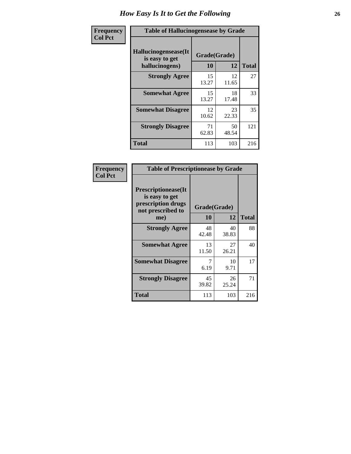| <b>Frequency</b> | <b>Table of Hallucinogensease by Grade</b>               |                    |             |              |
|------------------|----------------------------------------------------------|--------------------|-------------|--------------|
| <b>Col Pct</b>   | Hallucinogensease(It<br>is easy to get<br>hallucinogens) | Grade(Grade)<br>10 | 12          | <b>Total</b> |
|                  | <b>Strongly Agree</b>                                    | 15<br>13.27        | 12<br>11.65 | 27           |
|                  | <b>Somewhat Agree</b>                                    | 15<br>13.27        | 18<br>17.48 | 33           |
|                  | <b>Somewhat Disagree</b>                                 | 12<br>10.62        | 23<br>22.33 | 35           |
|                  | <b>Strongly Disagree</b>                                 | 71<br>62.83        | 50<br>48.54 | 121          |
|                  | <b>Total</b>                                             | 113                | 103         | 216          |

|                                                                                          | <b>Table of Prescriptionease by Grade</b> |             |              |  |  |  |  |  |  |
|------------------------------------------------------------------------------------------|-------------------------------------------|-------------|--------------|--|--|--|--|--|--|
| <b>Prescriptionease</b> (It<br>is easy to get<br>prescription drugs<br>not prescribed to | Grade(Grade)                              |             |              |  |  |  |  |  |  |
| me)                                                                                      | 10                                        | 12          | <b>Total</b> |  |  |  |  |  |  |
| <b>Strongly Agree</b>                                                                    | 48<br>42.48                               | 40<br>38.83 | 88           |  |  |  |  |  |  |
| <b>Somewhat Agree</b>                                                                    | 13<br>11.50                               | 27<br>26.21 | 40           |  |  |  |  |  |  |
| <b>Somewhat Disagree</b>                                                                 | 7<br>6.19                                 | 10<br>9.71  | 17           |  |  |  |  |  |  |
| <b>Strongly Disagree</b>                                                                 | 45<br>39.82                               | 26<br>25.24 | 71           |  |  |  |  |  |  |
| <b>Total</b>                                                                             | 113                                       | 103         | 216          |  |  |  |  |  |  |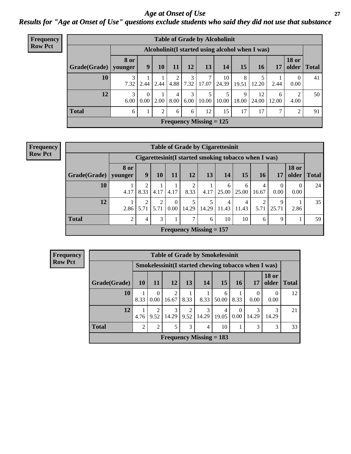*Age at Onset of Use* **27** *Results for "Age at Onset of Use" questions exclude students who said they did not use that substance*

| Frequency      |              |                        |                      |      |           |           |                                | <b>Table of Grade by Alcoholinit</b>             |            |             |            |                       |              |
|----------------|--------------|------------------------|----------------------|------|-----------|-----------|--------------------------------|--------------------------------------------------|------------|-------------|------------|-----------------------|--------------|
| <b>Row Pct</b> |              |                        |                      |      |           |           |                                | Alcoholinit (I started using alcohol when I was) |            |             |            |                       |              |
|                | Grade(Grade) | <b>8</b> or<br>younger | 9                    | 10   | 11        | 12        | 13                             | 14                                               | 15         | 16          | 17         | <b>18 or</b><br>older | <b>Total</b> |
|                | 10           | 3<br>7.32              | 2.44                 | 2.44 | ◠<br>4.88 | 3         | 7<br>$7.32$   17.07            | 10<br>24.39                                      | 8<br>19.51 | 12.20       | 2.44       | $\theta$<br>0.00      | 41           |
|                | 12           | 3<br>6.00              | $\Omega$<br>$0.00\,$ | 2.00 | 4<br>8.00 | 3<br>6.00 | 5<br>10.00                     | 5<br>10.00                                       | 9<br>18.00 | 12<br>24.00 | 6<br>12.00 | 2<br>4.00             | 50           |
|                | <b>Total</b> | 6                      | 1                    | 2    | 6         | 6         | 12                             | 15                                               | 17         | 17          | 7          | 2                     | 91           |
|                |              |                        |                      |      |           |           | <b>Frequency Missing = 125</b> |                                                  |            |             |            |                       |              |

#### **Frequency Row Pct**

|              | <b>Table of Grade by Cigarettesinit</b> |           |      |                  |       |            |                                                      |            |            |            |                       |              |
|--------------|-----------------------------------------|-----------|------|------------------|-------|------------|------------------------------------------------------|------------|------------|------------|-----------------------|--------------|
|              |                                         |           |      |                  |       |            | Cigarettesinit(I started smoking tobacco when I was) |            |            |            |                       |              |
| Grade(Grade) | 8 or<br>younger                         | 9         | 10   | 11               | 12    | 13         | 14                                                   | 15         | 16         | 17         | <b>18 or</b><br>older | <b>Total</b> |
| 10           | 4.17                                    | ◠<br>8.33 | 4.17 | 4.17             | 8.33  | 4.17       | 6<br>25.00                                           | 6<br>25.00 | 4<br>16.67 | 0<br>0.00  | $\theta$<br>0.00      | 24           |
| 12           | 2.86                                    | 2<br>5.71 | 5.71 | $\theta$<br>0.00 | 14.29 | 5<br>14.29 | 4<br>11.43                                           | 4<br>11.43 | ◠<br>5.71  | 9<br>25.71 | 2.86                  | 35           |
| <b>Total</b> | 2                                       | 4         | 3    |                  | 7     | 6          | 10                                                   | 10         | 6          | 9          |                       | 59           |
|              | Frequency Missing $= 157$               |           |      |                  |       |            |                                                      |            |            |            |                       |              |

| Frequency      |                                |      |                        |            |                        |            | <b>Table of Grade by Smokelessinit</b>              |                  |            |                       |              |
|----------------|--------------------------------|------|------------------------|------------|------------------------|------------|-----------------------------------------------------|------------------|------------|-----------------------|--------------|
| <b>Row Pct</b> |                                |      |                        |            |                        |            | Smokelessinit(I started chewing tobacco when I was) |                  |            |                       |              |
|                | Grade(Grade)                   | 10   | 11                     | <b>12</b>  | 13                     | 14         | 15                                                  | 16               | 17         | <b>18 or</b><br>older | <b>Total</b> |
|                | 10                             | 8.33 | $\Omega$<br>0.00       | 2<br>16.67 | 8.33                   | 8.33       | 6<br>50.00                                          | 8.33             | 0<br>0.00  | 0.00                  | 12           |
|                | 12                             | 4.76 | $\overline{2}$<br>9.52 | 3<br>14.29 | $\overline{2}$<br>9.52 | 3<br>14.29 | 4<br>19.05                                          | $\Omega$<br>0.00 | 3<br>14.29 | 3<br>14.29            | 21           |
|                | <b>Total</b>                   | 2    | 2                      | 5          | 3                      | 4          | 10                                                  |                  | 3          | 3                     | 33           |
|                | <b>Frequency Missing = 183</b> |      |                        |            |                        |            |                                                     |                  |            |                       |              |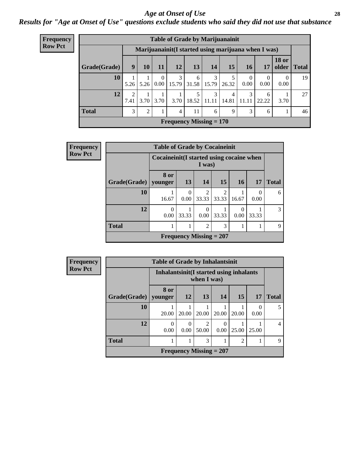#### *Age at Onset of Use* **28**

*Results for "Age at Onset of Use" questions exclude students who said they did not use that substance*

| Frequency      |                           |           |      |                  |                     | <b>Table of Grade by Marijuanainit</b>               |              |            |                  |            |                               |    |
|----------------|---------------------------|-----------|------|------------------|---------------------|------------------------------------------------------|--------------|------------|------------------|------------|-------------------------------|----|
| <b>Row Pct</b> |                           |           |      |                  |                     | Marijuanainit (I started using marijuana when I was) |              |            |                  |            |                               |    |
|                | Grade(Grade)              | 9         | 10   | 11               | 12                  | 13                                                   | 14           | 15         | 16 <sup>1</sup>  | 17         | <b>18 or</b><br>older   Total |    |
|                | 10                        | 5.26      | 5.26 |                  | 3<br>$0.00$   15.79 | 6<br>$31.58$   15.79                                 | 3            | 26.32      | $\theta$<br>0.00 | 0.00       | $\theta$<br>0.00              | 19 |
|                | 12                        | ↑<br>7.41 |      | $3.70 \mid 3.70$ | 3.70                | 18.52                                                | 3<br>  11.11 | 4<br>14.81 | 3<br>11.11       | 6<br>22.22 | 3.70                          | 27 |
|                | <b>Total</b>              | 3         | 2    |                  | 4                   | 11                                                   | 6            | 9          | 3                | 6          |                               | 46 |
|                | Frequency Missing $= 170$ |           |      |                  |                     |                                                      |              |            |                  |            |                               |    |

| Frequency      |                           | <b>Table of Grade by Cocaineinit</b>        |                  |                         |                         |                          |                          |              |
|----------------|---------------------------|---------------------------------------------|------------------|-------------------------|-------------------------|--------------------------|--------------------------|--------------|
| <b>Row Pct</b> |                           | Cocaine in it (I started using cocaine when |                  | I was)                  |                         |                          |                          |              |
|                | Grade(Grade)   younger    | <b>8 or</b>                                 | 13               | 14                      | 15                      | <b>16</b>                | 17                       | <b>Total</b> |
|                | 10                        | 16.67                                       | $\Omega$<br>0.00 | $\mathfrak{D}$<br>33.33 | $\mathfrak{D}$<br>33.33 | 16.67                    | $\left( \right)$<br>0.00 | 6            |
|                | 12                        | 0<br>0.00                                   | 33.33            | 0<br>0.00               | 33.33                   | $\left( \right)$<br>0.00 | 33.33                    | 3            |
|                | <b>Total</b>              |                                             |                  | $\overline{2}$          | 3                       |                          |                          | 9            |
|                | Frequency Missing $= 207$ |                                             |                  |                         |                         |                          |                          |              |

| <b>Frequency</b> |
|------------------|
| <b>Row Pct</b>   |

| <b>Table of Grade by Inhalantsinit</b>                                              |                  |                                                         |                           |       |       |       |   |
|-------------------------------------------------------------------------------------|------------------|---------------------------------------------------------|---------------------------|-------|-------|-------|---|
|                                                                                     |                  | Inhalantsinit (I started using inhalants<br>when I was) |                           |       |       |       |   |
| 8 or<br><b>12</b><br>13<br>15<br>Grade(Grade)   younger<br>14<br><b>Total</b><br>17 |                  |                                                         |                           |       |       |       |   |
| 10                                                                                  | 20.00            | 20.00                                                   | 20.00                     | 20.00 | 20.00 | 0.00  |   |
| 12                                                                                  | $\theta$<br>0.00 | 0<br>0.00                                               | 2<br>50.00                | 0.00  | 25.00 | 25.00 | 4 |
| <b>Total</b><br>3<br>$\overline{c}$                                                 |                  |                                                         |                           |       |       |       |   |
|                                                                                     |                  |                                                         | Frequency Missing $= 207$ |       |       |       |   |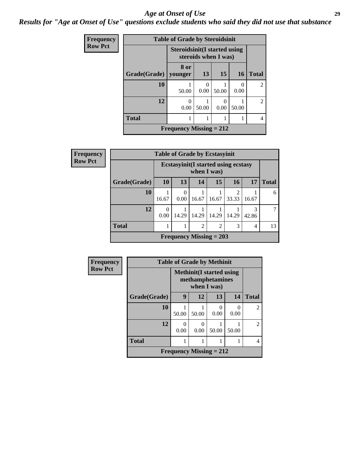#### *Age at Onset of Use* **29**

*Results for "Age at Onset of Use" questions exclude students who said they did not use that substance*

| <b>Frequency</b> | <b>Table of Grade by Steroidsinit</b> |                                                             |       |                       |           |                |
|------------------|---------------------------------------|-------------------------------------------------------------|-------|-----------------------|-----------|----------------|
| <b>Row Pct</b>   |                                       | <b>Steroidsinit(I started using</b><br>steroids when I was) |       |                       |           |                |
|                  | Grade(Grade)                          | 8 or<br>younger                                             | 13    | 15                    | <b>16</b> | <b>Total</b>   |
|                  | 10                                    | 50.00                                                       | 0.00  | 50.00                 | 0<br>0.00 | $\mathfrak{D}$ |
|                  | 12                                    | ∩<br>0.00                                                   | 50.00 | $\mathcal{L}$<br>0.00 | 50.00     | $\mathfrak{D}$ |
|                  | <b>Total</b>                          |                                                             | 4     |                       |           |                |
|                  |                                       | Frequency Missing $= 212$                                   |       |                       |           |                |

| Frequency      | <b>Table of Grade by Ecstasyinit</b> |                                                           |                                            |       |                           |            |            |              |  |
|----------------|--------------------------------------|-----------------------------------------------------------|--------------------------------------------|-------|---------------------------|------------|------------|--------------|--|
| <b>Row Pct</b> |                                      | <b>Ecstasyinit(I started using ecstasy</b><br>when I was) |                                            |       |                           |            |            |              |  |
|                | Grade(Grade)                         | <b>10</b>                                                 | 13                                         | 14    | 15                        | 16         | 17         | <b>Total</b> |  |
|                | 10                                   | 16.67                                                     | $\overline{0}$<br>0.00                     | 16.67 | 16.67                     | റ<br>33.33 | 16.67      | 6            |  |
|                | 12                                   | 0<br>0.00                                                 | 14.29                                      | 14.29 | 14.29                     | 14.29      | 3<br>42.86 |              |  |
|                | <b>Total</b>                         |                                                           | $\overline{2}$<br>$\overline{c}$<br>3<br>4 |       |                           |            |            |              |  |
|                |                                      |                                                           |                                            |       | Frequency Missing $= 203$ |            |            |              |  |

| Frequency      | <b>Table of Grade by Methinit</b> |                                                      |           |           |           |                |
|----------------|-----------------------------------|------------------------------------------------------|-----------|-----------|-----------|----------------|
| <b>Row Pct</b> |                                   | <b>Methinit</b> (I started using<br>methamphetamines |           |           |           |                |
|                | Grade(Grade)                      | 9                                                    | 12        | 13        | 14        | <b>Total</b>   |
|                | 10                                | 50.00                                                | 50.00     | 0<br>0.00 | 0<br>0.00 | $\mathfrak{D}$ |
|                | 12                                | 0<br>0.00                                            | 0<br>0.00 | 50.00     | 50.00     | $\mathfrak{D}$ |
|                | <b>Total</b>                      |                                                      |           |           |           | 4              |
|                |                                   | Frequency Missing $= 212$                            |           |           |           |                |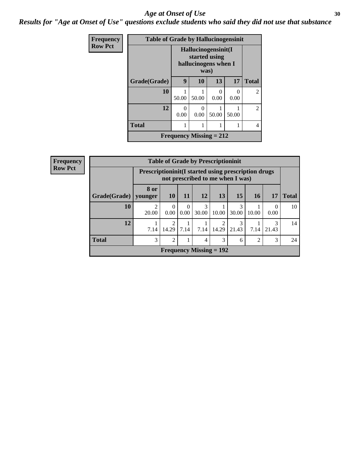#### Age at Onset of Use **30**

*Results for "Age at Onset of Use" questions exclude students who said they did not use that substance*

| <b>Frequency</b> | <b>Table of Grade by Hallucinogensinit</b> |                                                     |                                                                      |      |           |                |  |  |
|------------------|--------------------------------------------|-----------------------------------------------------|----------------------------------------------------------------------|------|-----------|----------------|--|--|
| <b>Row Pct</b>   |                                            |                                                     | Hallucinogensinit(I<br>started using<br>hallucinogens when I<br>was) |      |           |                |  |  |
|                  | Grade(Grade)                               | 17<br>9<br>13<br>10                                 |                                                                      |      |           | <b>Total</b>   |  |  |
|                  | 10                                         | 50.00                                               | 50.00                                                                | 0.00 | 0<br>0.00 | $\mathfrak{D}$ |  |  |
|                  | 12                                         | 0<br>$\mathbf{0}$<br>50.00<br>0.00<br>0.00<br>50.00 |                                                                      |      |           | $\mathfrak{D}$ |  |  |
|                  | <b>Total</b>                               |                                                     | 4                                                                    |      |           |                |  |  |
|                  |                                            | <b>Frequency Missing = 212</b>                      |                                                                      |      |           |                |  |  |

| <b>Frequency</b> | <b>Table of Grade by Prescriptioninit</b> |                                                       |                                      |                  |            |                                  |            |           |                  |              |
|------------------|-------------------------------------------|-------------------------------------------------------|--------------------------------------|------------------|------------|----------------------------------|------------|-----------|------------------|--------------|
| <b>Row Pct</b>   |                                           | Prescription init (I started using prescription drugs |                                      |                  |            | not prescribed to me when I was) |            |           |                  |              |
|                  | Grade(Grade)   younger                    | 8 or                                                  | <b>10</b>                            | <b>11</b>        | 12         | 13                               | 15         | <b>16</b> | 17               | <b>Total</b> |
|                  | 10                                        | 2<br>20.00                                            | $\Omega$<br>0.00                     | $\theta$<br>0.00 | 3<br>30.00 | 10.00                            | 3<br>30.00 | 10.00     | $\Omega$<br>0.00 | 10           |
|                  | 12                                        | 7.14                                                  | $\mathcal{D}_{\mathcal{L}}$<br>14.29 | 7.14             | 7.14       | っ<br>14.29                       | 3<br>21.43 | 7.14      | 3<br>21.43       | 14           |
|                  | <b>Total</b>                              | 3                                                     | 2                                    |                  | 4          | 3                                | 6          | 2         | 3                | 24           |
|                  |                                           |                                                       |                                      |                  |            | Frequency Missing $= 192$        |            |           |                  |              |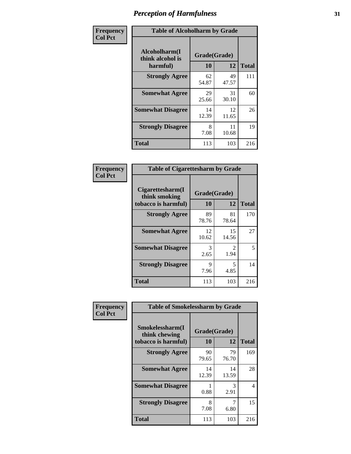| Frequency      | <b>Table of Alcoholharm by Grade</b>          |                           |             |              |  |  |
|----------------|-----------------------------------------------|---------------------------|-------------|--------------|--|--|
| <b>Col Pct</b> | Alcoholharm(I<br>think alcohol is<br>harmful) | Grade(Grade)<br><b>10</b> | 12          | <b>Total</b> |  |  |
|                | <b>Strongly Agree</b>                         | 62<br>54.87               | 49<br>47.57 | 111          |  |  |
|                | <b>Somewhat Agree</b>                         | 29<br>25.66               | 31<br>30.10 | 60           |  |  |
|                | <b>Somewhat Disagree</b>                      | 14<br>12.39               | 12<br>11.65 | 26           |  |  |
|                | <b>Strongly Disagree</b>                      | 8<br>7.08                 | 11<br>10.68 | 19           |  |  |
|                | <b>Total</b>                                  | 113                       | 103         | 216          |  |  |

| <b>Table of Cigarettesharm by Grade</b>                  |                    |                        |              |  |  |  |  |
|----------------------------------------------------------|--------------------|------------------------|--------------|--|--|--|--|
| Cigarettesharm(I<br>think smoking<br>tobacco is harmful) | Grade(Grade)<br>10 | 12                     | <b>Total</b> |  |  |  |  |
| <b>Strongly Agree</b>                                    | 89<br>78.76        | 81<br>78.64            | 170          |  |  |  |  |
| <b>Somewhat Agree</b>                                    | 12<br>10.62        | 15<br>14.56            | 27           |  |  |  |  |
| <b>Somewhat Disagree</b>                                 | 3<br>2.65          | $\mathfrak{D}$<br>1.94 | 5            |  |  |  |  |
| <b>Strongly Disagree</b>                                 | 9<br>7.96          | 5<br>4.85              | 14           |  |  |  |  |
| <b>Total</b>                                             | 113                | 103                    | 216          |  |  |  |  |

| Frequency      | <b>Table of Smokelessharm by Grade</b>                  |                           |             |              |  |  |
|----------------|---------------------------------------------------------|---------------------------|-------------|--------------|--|--|
| <b>Col Pct</b> | Smokelessharm(I<br>think chewing<br>tobacco is harmful) | Grade(Grade)<br><b>10</b> | 12          | <b>Total</b> |  |  |
|                | <b>Strongly Agree</b>                                   | 90<br>79.65               | 79<br>76.70 | 169          |  |  |
|                | <b>Somewhat Agree</b>                                   | 14<br>12.39               | 14<br>13.59 | 28           |  |  |
|                | <b>Somewhat Disagree</b>                                | 0.88                      | 3<br>2.91   | 4            |  |  |
|                | <b>Strongly Disagree</b>                                | 8<br>7.08                 | 7<br>6.80   | 15           |  |  |
|                | Total                                                   | 113                       | 103         | 216          |  |  |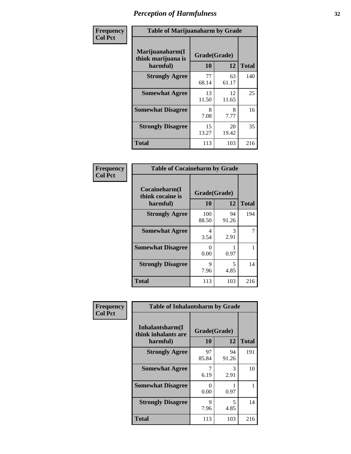| Frequency      | <b>Table of Marijuanaharm by Grade</b>            |                    |             |              |  |  |
|----------------|---------------------------------------------------|--------------------|-------------|--------------|--|--|
| <b>Col Pct</b> | Marijuanaharm(I<br>think marijuana is<br>harmful) | Grade(Grade)<br>10 | 12          | <b>Total</b> |  |  |
|                | <b>Strongly Agree</b>                             | 77<br>68.14        | 63<br>61.17 | 140          |  |  |
|                | <b>Somewhat Agree</b>                             | 13<br>11.50        | 12<br>11.65 | 25           |  |  |
|                | <b>Somewhat Disagree</b>                          | 8<br>7.08          | 8<br>7.77   | 16           |  |  |
|                | <b>Strongly Disagree</b>                          | 15<br>13.27        | 20<br>19.42 | 35           |  |  |
|                | <b>Total</b>                                      | 113                | 103         | 216          |  |  |

| <b>Table of Cocaineharm by Grade</b>          |                    |             |              |  |  |  |  |  |
|-----------------------------------------------|--------------------|-------------|--------------|--|--|--|--|--|
| Cocaineharm(I<br>think cocaine is<br>harmful) | Grade(Grade)<br>10 | 12          | <b>Total</b> |  |  |  |  |  |
| <b>Strongly Agree</b>                         | 100<br>88.50       | 94<br>91.26 | 194          |  |  |  |  |  |
| <b>Somewhat Agree</b>                         | 4<br>3.54          | 3<br>2.91   | 7            |  |  |  |  |  |
| <b>Somewhat Disagree</b>                      | 0<br>0.00          | 0.97        |              |  |  |  |  |  |
| <b>Strongly Disagree</b>                      | 9<br>7.96          | 5<br>4.85   | 14           |  |  |  |  |  |
| <b>Total</b>                                  | 113                | 103         | 216          |  |  |  |  |  |

| Frequency      | <b>Table of Inhalantsharm by Grade</b>              |                    |             |              |  |  |  |  |
|----------------|-----------------------------------------------------|--------------------|-------------|--------------|--|--|--|--|
| <b>Col Pct</b> | Inhalantsharm(I)<br>think inhalants are<br>harmful) | Grade(Grade)<br>10 | 12          | <b>Total</b> |  |  |  |  |
|                | <b>Strongly Agree</b>                               | 97<br>85.84        | 94<br>91.26 | 191          |  |  |  |  |
|                | <b>Somewhat Agree</b>                               | 6.19               | 3<br>2.91   | 10           |  |  |  |  |
|                | <b>Somewhat Disagree</b>                            | $\Omega$<br>0.00   | 0.97        |              |  |  |  |  |
|                | <b>Strongly Disagree</b>                            | 9<br>7.96          | 5<br>4.85   | 14           |  |  |  |  |
|                | <b>Total</b>                                        | 113                | 103         | 216          |  |  |  |  |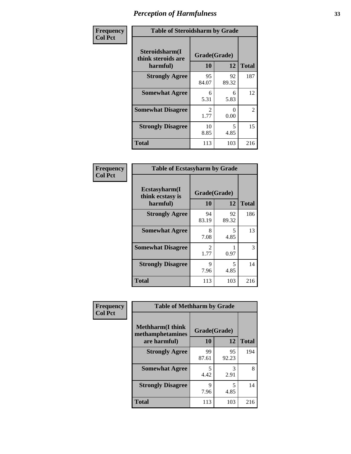| Frequency      | <b>Table of Steroidsharm by Grade</b>            |                        |                                  |                |
|----------------|--------------------------------------------------|------------------------|----------------------------------|----------------|
| <b>Col Pct</b> | Steroidsharm(I<br>think steroids are<br>harmful) | Grade(Grade)<br>10     | 12                               | <b>Total</b>   |
|                | <b>Strongly Agree</b>                            | 95<br>84.07            | 92<br>89.32                      | 187            |
|                | <b>Somewhat Agree</b>                            | 6<br>5.31              | 6<br>5.83                        | 12             |
|                | <b>Somewhat Disagree</b>                         | $\mathfrak{D}$<br>1.77 | 0<br>0.00                        | $\overline{2}$ |
|                | <b>Strongly Disagree</b>                         | 10<br>8.85             | $\overline{\phantom{0}}$<br>4.85 | 15             |
|                | <b>Total</b>                                     | 113                    | 103                              | 216            |

| <b>Table of Ecstasyharm by Grade</b>                |                    |              |     |  |  |
|-----------------------------------------------------|--------------------|--------------|-----|--|--|
| $E$ cstasyharm $(I$<br>think ecstasy is<br>harmful) | Grade(Grade)<br>10 | <b>Total</b> |     |  |  |
| <b>Strongly Agree</b>                               | 94<br>83.19        | 92<br>89.32  | 186 |  |  |
| <b>Somewhat Agree</b>                               | 8<br>7.08          | 5<br>4.85    | 13  |  |  |
| <b>Somewhat Disagree</b>                            | 2<br>1.77          | 0.97         | 3   |  |  |
| <b>Strongly Disagree</b>                            | 9<br>7.96          | 5<br>4.85    | 14  |  |  |
| <b>Total</b>                                        | 113                | 103          | 216 |  |  |

| Frequency      | <b>Table of Methharm by Grade</b>            |              |             |              |  |
|----------------|----------------------------------------------|--------------|-------------|--------------|--|
| <b>Col Pct</b> | <b>Methharm</b> (I think<br>methamphetamines | Grade(Grade) |             |              |  |
|                | are harmful)                                 | 10           | 12          | <b>Total</b> |  |
|                | <b>Strongly Agree</b>                        | 99<br>87.61  | 95<br>92.23 | 194          |  |
|                | <b>Somewhat Agree</b>                        | 5<br>4.42    | 3<br>2.91   | 8            |  |
|                | <b>Strongly Disagree</b>                     | Q<br>7.96    | 5<br>4.85   | 14           |  |
|                | <b>Total</b>                                 | 113          | 103         | 216          |  |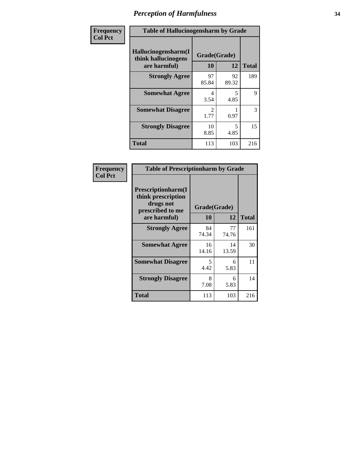| Frequency      | <b>Table of Hallucinogensharm by Grade</b>                 |                        |             |              |
|----------------|------------------------------------------------------------|------------------------|-------------|--------------|
| <b>Col Pct</b> | Hallucinogensharm(I<br>think hallucinogens<br>are harmful) | Grade(Grade)<br>10     | 12          | <b>Total</b> |
|                | <b>Strongly Agree</b>                                      | 97<br>85.84            | 92<br>89.32 | 189          |
|                | <b>Somewhat Agree</b>                                      | 4<br>3.54              | 5<br>4.85   | 9            |
|                | <b>Somewhat Disagree</b>                                   | $\mathfrak{D}$<br>1.77 | 0.97        | 3            |
|                | <b>Strongly Disagree</b>                                   | 10<br>8.85             | 5<br>4.85   | 15           |
|                | <b>Total</b>                                               | 113                    | 103         | 216          |

| <b>Table of Prescriptionharm by Grade</b>                                                 |                    |             |              |  |  |
|-------------------------------------------------------------------------------------------|--------------------|-------------|--------------|--|--|
| Prescriptionharm(I<br>think prescription<br>drugs not<br>prescribed to me<br>are harmful) | Grade(Grade)<br>10 | 12          | <b>Total</b> |  |  |
| <b>Strongly Agree</b>                                                                     | 84<br>74.34        | 77<br>74.76 | 161          |  |  |
| <b>Somewhat Agree</b>                                                                     | 16<br>14.16        | 14<br>13.59 | 30           |  |  |
| <b>Somewhat Disagree</b>                                                                  | 5<br>4.42          | 6<br>5.83   | 11           |  |  |
| <b>Strongly Disagree</b>                                                                  | 8<br>7.08          | 6<br>5.83   | 14           |  |  |
| <b>Total</b>                                                                              | 113                | 103         | 216          |  |  |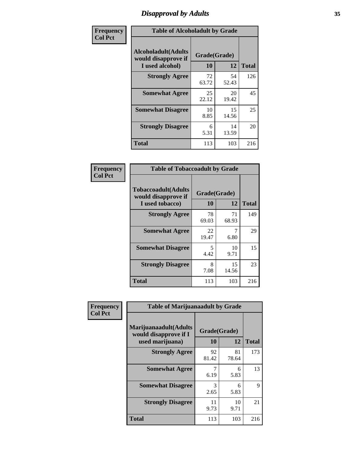# *Disapproval by Adults* **35**

| Frequency      | <b>Table of Alcoholadult by Grade</b>                                 |                    |             |              |
|----------------|-----------------------------------------------------------------------|--------------------|-------------|--------------|
| <b>Col Pct</b> | <b>Alcoholadult</b> (Adults<br>would disapprove if<br>I used alcohol) | Grade(Grade)<br>10 | 12          | <b>Total</b> |
|                | <b>Strongly Agree</b>                                                 | 72<br>63.72        | 54<br>52.43 | 126          |
|                | <b>Somewhat Agree</b>                                                 | 25<br>22.12        | 20<br>19.42 | 45           |
|                | <b>Somewhat Disagree</b>                                              | 10<br>8.85         | 15<br>14.56 | 25           |
|                | <b>Strongly Disagree</b>                                              | 6<br>5.31          | 14<br>13.59 | 20           |
|                | <b>Total</b>                                                          | 113                | 103         | 216          |

| <b>Table of Tobaccoadult by Grade</b>                                 |                                  |             |              |  |  |
|-----------------------------------------------------------------------|----------------------------------|-------------|--------------|--|--|
| <b>Tobaccoadult</b> (Adults<br>would disapprove if<br>I used tobacco) | Grade(Grade)<br>10               | 12          | <b>Total</b> |  |  |
| <b>Strongly Agree</b>                                                 | 78<br>69.03                      | 71<br>68.93 | 149          |  |  |
| <b>Somewhat Agree</b>                                                 | 22<br>19.47                      | 6.80        | 29           |  |  |
| <b>Somewhat Disagree</b>                                              | $\overline{\phantom{0}}$<br>4.42 | 10<br>9.71  | 15           |  |  |
| <b>Strongly Disagree</b>                                              | 8<br>7.08                        | 15<br>14.56 | 23           |  |  |
| <b>Total</b>                                                          | 113                              | 103         | 216          |  |  |

| Frequency      | <b>Table of Marijuanaadult by Grade</b>                           |                    |             |              |
|----------------|-------------------------------------------------------------------|--------------------|-------------|--------------|
| <b>Col Pct</b> | Marijuanaadult(Adults<br>would disapprove if I<br>used marijuana) | Grade(Grade)<br>10 | 12          | <b>Total</b> |
|                | <b>Strongly Agree</b>                                             | 92<br>81.42        | 81<br>78.64 | 173          |
|                | <b>Somewhat Agree</b>                                             | 6.19               | 6<br>5.83   | 13           |
|                | <b>Somewhat Disagree</b>                                          | 3<br>2.65          | 6<br>5.83   | 9            |
|                | <b>Strongly Disagree</b>                                          | 11<br>9.73         | 10<br>9.71  | 21           |
|                | <b>Total</b>                                                      | 113                | 103         | 216          |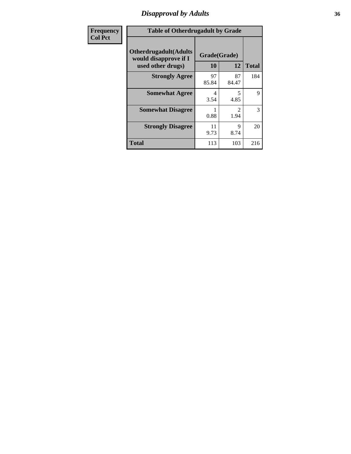### *Disapproval by Adults* **36**

| Frequency      | <b>Table of Otherdrugadult by Grade</b>                                     |                    |                        |              |
|----------------|-----------------------------------------------------------------------------|--------------------|------------------------|--------------|
| <b>Col Pct</b> | <b>Otherdrugadult</b> (Adults<br>would disapprove if I<br>used other drugs) | Grade(Grade)<br>10 | 12                     | <b>Total</b> |
|                | <b>Strongly Agree</b>                                                       | 97<br>85.84        | 87<br>84.47            | 184          |
|                | <b>Somewhat Agree</b>                                                       | 4<br>3.54          | 5<br>4.85              | 9            |
|                | <b>Somewhat Disagree</b>                                                    | 0.88               | $\mathfrak{D}$<br>1.94 | 3            |
|                | <b>Strongly Disagree</b>                                                    | 11<br>9.73         | 9<br>8.74              | 20           |
|                | <b>Total</b>                                                                | 113                | 103                    | 216          |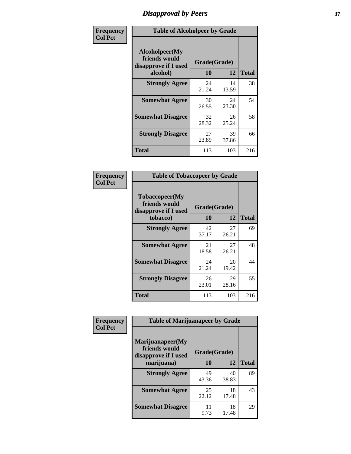# *Disapproval by Peers* **37**

| Frequency      | <b>Table of Alcoholpeer by Grade</b>                    |              |             |              |  |
|----------------|---------------------------------------------------------|--------------|-------------|--------------|--|
| <b>Col Pct</b> | Alcoholpeer(My<br>friends would<br>disapprove if I used | Grade(Grade) |             |              |  |
|                | alcohol)                                                | 10           | 12          | <b>Total</b> |  |
|                | <b>Strongly Agree</b>                                   | 24<br>21.24  | 14<br>13.59 | 38           |  |
|                | <b>Somewhat Agree</b>                                   | 30<br>26.55  | 24<br>23.30 | 54           |  |
|                | <b>Somewhat Disagree</b>                                | 32<br>28.32  | 26<br>25.24 | 58           |  |
|                | <b>Strongly Disagree</b>                                | 27<br>23.89  | 39<br>37.86 | 66           |  |
|                | Total                                                   | 113          | 103         | 216          |  |

| Frequency      | <b>Table of Tobaccopeer by Grade</b>                                |                    |             |              |
|----------------|---------------------------------------------------------------------|--------------------|-------------|--------------|
| <b>Col Pct</b> | Tobaccopeer(My<br>friends would<br>disapprove if I used<br>tobacco) | Grade(Grade)<br>10 | 12          | <b>Total</b> |
|                | <b>Strongly Agree</b>                                               | 42<br>37.17        | 27<br>26.21 | 69           |
|                | <b>Somewhat Agree</b>                                               | 21<br>18.58        | 27<br>26.21 | 48           |
|                | <b>Somewhat Disagree</b>                                            | 24<br>21.24        | 20<br>19.42 | 44           |
|                | <b>Strongly Disagree</b>                                            | 26<br>23.01        | 29<br>28.16 | 55           |
|                | Total                                                               | 113                | 103         | 216          |

| Frequency      | <b>Table of Marijuanapeer by Grade</b>                    |              |             |              |
|----------------|-----------------------------------------------------------|--------------|-------------|--------------|
| <b>Col Pct</b> | Marijuanapeer(My<br>friends would<br>disapprove if I used | Grade(Grade) |             |              |
|                | marijuana)                                                | 10           | 12          | <b>Total</b> |
|                | <b>Strongly Agree</b>                                     | 49<br>43.36  | 40<br>38.83 | 89           |
|                | <b>Somewhat Agree</b>                                     | 25<br>22.12  | 18<br>17.48 | 43           |
|                | <b>Somewhat Disagree</b>                                  | 11<br>9.73   | 18<br>17.48 | 29           |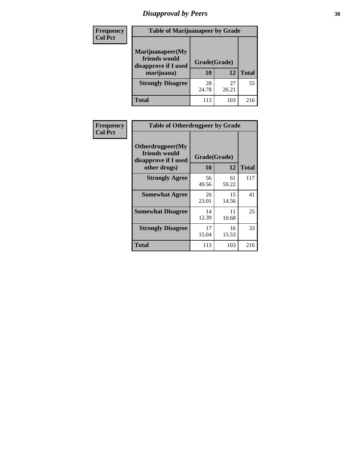# *Disapproval by Peers* **38**

| <b>Frequency</b> | <b>Table of Marijuanapeer by Grade</b>                                  |                    |             |              |  |
|------------------|-------------------------------------------------------------------------|--------------------|-------------|--------------|--|
| <b>Col Pct</b>   | Marijuanapeer(My<br>friends would<br>disapprove if I used<br>marijuana) | Grade(Grade)<br>10 | 12          | <b>Total</b> |  |
|                  | <b>Strongly Disagree</b>                                                | 28<br>24.78        | 27<br>26.21 | 55           |  |
|                  | <b>Total</b>                                                            | 113                | 103         | 216          |  |

| <b>Frequency</b> | <b>Table of Otherdrugpeer by Grade</b>                                    |                           |             |              |
|------------------|---------------------------------------------------------------------------|---------------------------|-------------|--------------|
| <b>Col Pct</b>   | Otherdrugpeer(My<br>friends would<br>disapprove if I used<br>other drugs) | Grade(Grade)<br><b>10</b> | 12          | <b>Total</b> |
|                  | <b>Strongly Agree</b>                                                     | 56                        | 61          | 117          |
|                  |                                                                           | 49.56                     | 59.22       |              |
|                  | <b>Somewhat Agree</b>                                                     | 26<br>23.01               | 15<br>14.56 | 41           |
|                  | <b>Somewhat Disagree</b>                                                  | 14<br>12.39               | 11<br>10.68 | 25           |
|                  | <b>Strongly Disagree</b>                                                  | 17<br>15.04               | 16<br>15.53 | 33           |
|                  | <b>Total</b>                                                              | 113                       | 103         | 216          |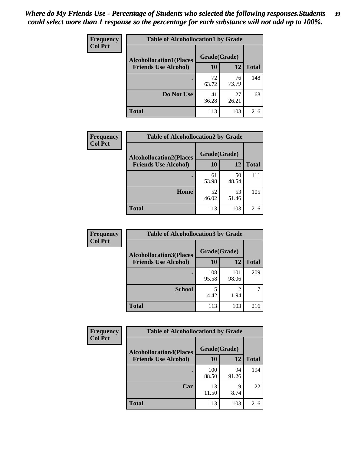| Frequency      | <b>Table of Alcohollocation1 by Grade</b> |              |             |              |
|----------------|-------------------------------------------|--------------|-------------|--------------|
| <b>Col Pct</b> | <b>Alcohollocation1(Places</b>            | Grade(Grade) |             |              |
|                | <b>Friends Use Alcohol)</b>               | 10           | 12          | <b>Total</b> |
|                |                                           | 72<br>63.72  | 76<br>73.79 | 148          |
|                | Do Not Use                                | 41<br>36.28  | 27<br>26.21 | 68           |
|                | <b>Total</b>                              | 113          | 103         | 216          |

| Frequency      | <b>Table of Alcohollocation2 by Grade</b>                     |                           |             |              |
|----------------|---------------------------------------------------------------|---------------------------|-------------|--------------|
| <b>Col Pct</b> | <b>Alcohollocation2(Places</b><br><b>Friends Use Alcohol)</b> | Grade(Grade)<br><b>10</b> | 12          | <b>Total</b> |
|                |                                                               | 61<br>53.98               | 50<br>48.54 | 111          |
|                | Home                                                          | 52<br>46.02               | 53<br>51.46 | 105          |
|                | <b>Total</b>                                                  | 113                       | 103         | 216          |

| Frequency<br><b>Col Pct</b> | <b>Table of Alcohollocation 3 by Grade</b>                    |                    |              |              |
|-----------------------------|---------------------------------------------------------------|--------------------|--------------|--------------|
|                             | <b>Alcohollocation3(Places</b><br><b>Friends Use Alcohol)</b> | Grade(Grade)<br>10 | 12           | <b>Total</b> |
|                             |                                                               | 108<br>95.58       | 101<br>98.06 | 209          |
|                             | <b>School</b>                                                 | 5<br>4.42          | 2<br>1.94    |              |
|                             | <b>Total</b>                                                  | 113                | 103          | 216          |

| <b>Frequency</b> | <b>Table of Alcohollocation4 by Grade</b> |              |             |              |
|------------------|-------------------------------------------|--------------|-------------|--------------|
| <b>Col Pct</b>   | <b>Alcohollocation4(Places</b>            | Grade(Grade) |             |              |
|                  | <b>Friends Use Alcohol)</b>               | 10           | 12          | <b>Total</b> |
|                  |                                           | 100<br>88.50 | 94<br>91.26 | 194          |
|                  | Car                                       | 13<br>11.50  | 9<br>8.74   | 22           |
|                  | <b>Total</b>                              | 113          | 103         | 216          |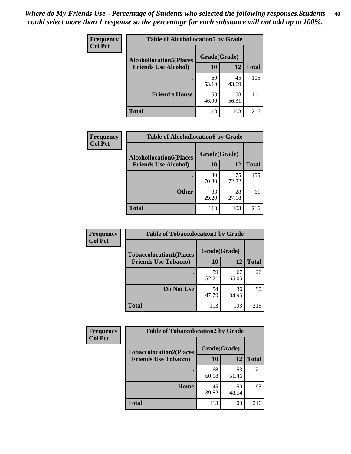| Frequency<br><b>Col Pct</b> | <b>Table of Alcohollocation5 by Grade</b> |              |             |              |
|-----------------------------|-------------------------------------------|--------------|-------------|--------------|
|                             | <b>Alcohollocation5(Places</b>            | Grade(Grade) |             |              |
|                             | <b>Friends Use Alcohol)</b>               | 10           | 12          | <b>Total</b> |
|                             |                                           | 60<br>53.10  | 45<br>43.69 | 105          |
|                             | <b>Friend's House</b>                     | 53<br>46.90  | 58<br>56.31 | 111          |
|                             | <b>Total</b>                              | 113          | 103         | 216          |

| Frequency      | <b>Table of Alcohollocation6 by Grade</b> |              |             |              |
|----------------|-------------------------------------------|--------------|-------------|--------------|
| <b>Col Pct</b> | <b>Alcohollocation6(Places</b>            | Grade(Grade) |             |              |
|                | <b>Friends Use Alcohol)</b>               | 10           | 12          | <b>Total</b> |
|                |                                           | 80<br>70.80  | 75<br>72.82 | 155          |
|                | <b>Other</b>                              | 33<br>29.20  | 28<br>27.18 | 61           |
|                | <b>Total</b>                              | 113          | 103         | 216          |

| Frequency<br><b>Col Pct</b> | <b>Table of Tobaccolocation1 by Grade</b> |              |             |              |
|-----------------------------|-------------------------------------------|--------------|-------------|--------------|
|                             | <b>Tobaccolocation1(Places</b>            | Grade(Grade) |             |              |
|                             | <b>Friends Use Tobacco)</b>               | 10           | <b>12</b>   | <b>Total</b> |
|                             | ٠                                         | 59<br>52.21  | 67<br>65.05 | 126          |
|                             | Do Not Use                                | 54<br>47.79  | 36<br>34.95 | 90           |
|                             | <b>Total</b>                              | 113          | 103         | 216          |

| <b>Frequency</b> | <b>Table of Tobaccolocation2 by Grade</b> |              |             |              |  |  |
|------------------|-------------------------------------------|--------------|-------------|--------------|--|--|
| <b>Col Pct</b>   | <b>Tobaccolocation2(Places</b>            | Grade(Grade) |             |              |  |  |
|                  | <b>Friends Use Tobacco)</b>               | 10           | 12          | <b>Total</b> |  |  |
|                  |                                           | 68<br>60.18  | 53<br>51.46 | 121          |  |  |
|                  | Home                                      | 45<br>39.82  | 50<br>48.54 | 95           |  |  |
|                  | <b>Total</b>                              | 113          | 103         | 216          |  |  |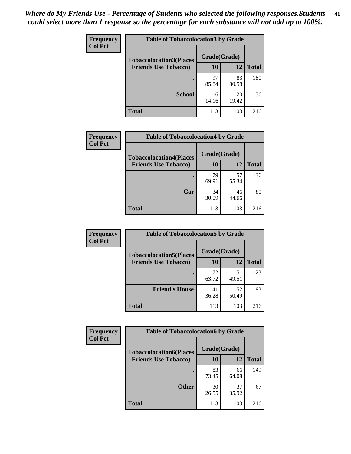| Frequency      | <b>Table of Tobaccolocation 3 by Grade</b> |              |             |              |
|----------------|--------------------------------------------|--------------|-------------|--------------|
| <b>Col Pct</b> | <b>Tobaccolocation3(Places</b>             | Grade(Grade) |             |              |
|                | <b>Friends Use Tobacco)</b>                | 10           | 12          | <b>Total</b> |
|                |                                            | 97<br>85.84  | 83<br>80.58 | 180          |
|                | <b>School</b>                              | 16<br>14.16  | 20<br>19.42 | 36           |
|                | <b>Total</b>                               | 113          | 103         | 216          |

| Frequency<br><b>Col Pct</b> | <b>Table of Tobaccolocation4 by Grade</b> |              |             |              |
|-----------------------------|-------------------------------------------|--------------|-------------|--------------|
|                             | <b>Tobaccolocation4(Places</b>            | Grade(Grade) |             |              |
|                             | <b>Friends Use Tobacco)</b>               | 10           | 12          | <b>Total</b> |
|                             |                                           | 79<br>69.91  | 57<br>55.34 | 136          |
|                             | Car                                       | 34<br>30.09  | 46<br>44.66 | 80           |
|                             | <b>Total</b>                              | 113          | 103         | 216          |

| Frequency      | <b>Table of Tobaccolocation5 by Grade</b> |              |             |              |
|----------------|-------------------------------------------|--------------|-------------|--------------|
| <b>Col Pct</b> | <b>Tobaccolocation5(Places</b>            | Grade(Grade) |             |              |
|                | <b>Friends Use Tobacco)</b>               | 10           | <b>12</b>   | <b>Total</b> |
|                |                                           | 72<br>63.72  | 51<br>49.51 | 123          |
|                | <b>Friend's House</b>                     | 41<br>36.28  | 52<br>50.49 | 93           |
|                | <b>Total</b>                              | 113          | 103         | 216          |

| <b>Frequency</b> | <b>Table of Tobaccolocation6 by Grade</b> |              |             |              |  |  |
|------------------|-------------------------------------------|--------------|-------------|--------------|--|--|
| <b>Col Pct</b>   | <b>Tobaccolocation6(Places</b>            | Grade(Grade) |             |              |  |  |
|                  | <b>Friends Use Tobacco)</b>               | 10           | 12          | <b>Total</b> |  |  |
|                  |                                           | 83<br>73.45  | 66<br>64.08 | 149          |  |  |
|                  | <b>Other</b>                              | 30<br>26.55  | 37<br>35.92 | 67           |  |  |
|                  | <b>Total</b>                              | 113          | 103         | 216          |  |  |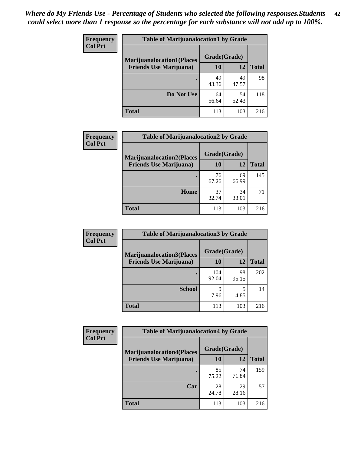| <b>Frequency</b> | <b>Table of Marijuanalocation1 by Grade</b> |              |             |              |
|------------------|---------------------------------------------|--------------|-------------|--------------|
| <b>Col Pct</b>   | <b>Marijuanalocation1(Places</b>            | Grade(Grade) |             |              |
|                  | <b>Friends Use Marijuana</b> )              | 10           | 12          | <b>Total</b> |
|                  |                                             | 49<br>43.36  | 49<br>47.57 | 98           |
|                  | Do Not Use                                  | 64<br>56.64  | 54<br>52.43 | 118          |
|                  | <b>Total</b>                                | 113          | 103         | 216          |

| <b>Frequency</b> | <b>Table of Marijuanalocation2 by Grade</b>                        |                    |             |              |
|------------------|--------------------------------------------------------------------|--------------------|-------------|--------------|
| <b>Col Pct</b>   | <b>Marijuanalocation2(Places</b><br><b>Friends Use Marijuana</b> ) | Grade(Grade)<br>10 | 12          | <b>Total</b> |
|                  |                                                                    | 76<br>67.26        | 69<br>66.99 | 145          |
|                  | Home                                                               | 37<br>32.74        | 34<br>33.01 | 71           |
|                  | <b>Total</b>                                                       | 113                | 103         | 216          |

| Frequency<br><b>Col Pct</b> | <b>Table of Marijuanalocation3 by Grade</b> |              |             |              |
|-----------------------------|---------------------------------------------|--------------|-------------|--------------|
|                             | <b>Marijuanalocation3</b> (Places           | Grade(Grade) |             |              |
|                             | <b>Friends Use Marijuana</b> )              | 10           | 12          | <b>Total</b> |
|                             |                                             | 104<br>92.04 | 98<br>95.15 | 202          |
|                             |                                             |              |             |              |
|                             | <b>School</b>                               | 9            |             | 14           |
|                             |                                             | 7.96         | 4.85        |              |
|                             | <b>Total</b>                                | 113          | 103         | 216          |

| Frequency      | <b>Table of Marijuanalocation4 by Grade</b> |              |             |              |  |
|----------------|---------------------------------------------|--------------|-------------|--------------|--|
| <b>Col Pct</b> | <b>Marijuanalocation4(Places</b>            | Grade(Grade) |             |              |  |
|                | <b>Friends Use Marijuana</b> )              | <b>10</b>    | 12          | <b>Total</b> |  |
|                |                                             | 85<br>75.22  | 74<br>71.84 | 159          |  |
|                | Car                                         | 28<br>24.78  | 29<br>28.16 | 57           |  |
|                | <b>Total</b>                                | 113          | 103         | 216          |  |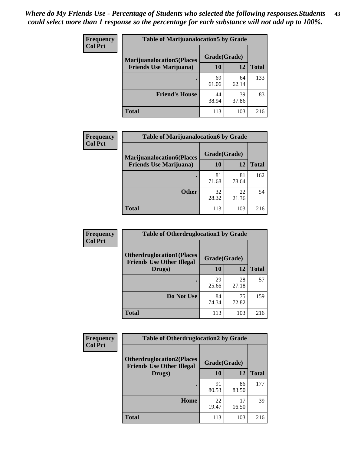| <b>Frequency</b> | <b>Table of Marijuanalocation5 by Grade</b> |              |             |              |
|------------------|---------------------------------------------|--------------|-------------|--------------|
| <b>Col Pct</b>   | <b>Marijuanalocation5</b> (Places           | Grade(Grade) |             |              |
|                  | <b>Friends Use Marijuana</b> )              | 10           | 12          | <b>Total</b> |
|                  |                                             | 69<br>61.06  | 64<br>62.14 | 133          |
|                  | <b>Friend's House</b>                       | 44<br>38.94  | 39<br>37.86 | 83           |
|                  | <b>Total</b>                                | 113          | 103         | 216          |

| <b>Frequency</b> | <b>Table of Marijuanalocation6 by Grade</b>                        |                           |             |       |
|------------------|--------------------------------------------------------------------|---------------------------|-------------|-------|
| <b>Col Pct</b>   | <b>Marijuanalocation6(Places</b><br><b>Friends Use Marijuana</b> ) | Grade(Grade)<br><b>10</b> | 12          | Total |
|                  |                                                                    | 81<br>71.68               | 81<br>78.64 | 162   |
|                  | <b>Other</b>                                                       | 32<br>28.32               | 22<br>21.36 | 54    |
|                  | <b>Total</b>                                                       | 113                       | 103         | 216   |

| <b>Frequency</b> | <b>Table of Otherdruglocation1 by Grade</b>                          |              |             |              |
|------------------|----------------------------------------------------------------------|--------------|-------------|--------------|
| <b>Col Pct</b>   | <b>Otherdruglocation1(Places</b><br><b>Friends Use Other Illegal</b> | Grade(Grade) |             |              |
|                  | Drugs)                                                               | 10           | 12          | <b>Total</b> |
|                  |                                                                      | 29<br>25.66  | 28<br>27.18 | 57           |
|                  | Do Not Use                                                           | 84<br>74.34  | 75<br>72.82 | 159          |
|                  | <b>Total</b>                                                         | 113          | 103         | 216          |

| Frequency      | <b>Table of Otherdruglocation2 by Grade</b>                          |              |             |              |
|----------------|----------------------------------------------------------------------|--------------|-------------|--------------|
| <b>Col Pct</b> | <b>Otherdruglocation2(Places</b><br><b>Friends Use Other Illegal</b> | Grade(Grade) |             |              |
|                | Drugs)                                                               | 10           | 12          | <b>Total</b> |
|                |                                                                      | 91<br>80.53  | 86<br>83.50 | 177          |
|                | Home                                                                 | 22<br>19.47  | 17<br>16.50 | 39           |
|                | <b>Total</b>                                                         | 113          | 103         | 216          |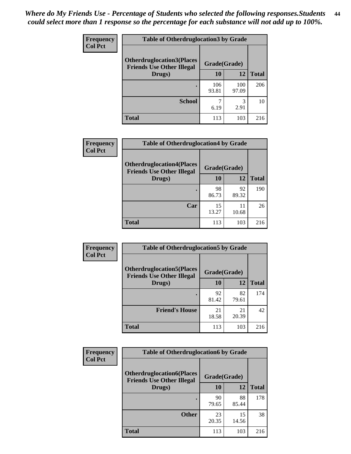| <b>Frequency</b> | <b>Table of Otherdruglocation 3 by Grade</b>                         |              |              |              |
|------------------|----------------------------------------------------------------------|--------------|--------------|--------------|
| <b>Col Pct</b>   | <b>Otherdruglocation3(Places</b><br><b>Friends Use Other Illegal</b> | Grade(Grade) |              |              |
|                  | Drugs)                                                               | 10           | 12           | <b>Total</b> |
|                  |                                                                      | 106<br>93.81 | 100<br>97.09 | 206          |
|                  | <b>School</b>                                                        | 6.19         | 3<br>2.91    | 10           |
|                  | <b>Total</b>                                                         | 113          | 103          | 216          |

| <b>Frequency</b> | <b>Table of Otherdruglocation4 by Grade</b>                          |              |             |              |
|------------------|----------------------------------------------------------------------|--------------|-------------|--------------|
| <b>Col Pct</b>   | <b>Otherdruglocation4(Places</b><br><b>Friends Use Other Illegal</b> | Grade(Grade) |             |              |
|                  | Drugs)                                                               | 10           | 12          | <b>Total</b> |
|                  |                                                                      | 98<br>86.73  | 92<br>89.32 | 190          |
|                  | Car                                                                  | 15<br>13.27  | 11<br>10.68 | 26           |
|                  | <b>Total</b>                                                         | 113          | 103         | 216          |

| <b>Frequency</b> | <b>Table of Otherdruglocation5 by Grade</b>                          |              |             |              |
|------------------|----------------------------------------------------------------------|--------------|-------------|--------------|
| <b>Col Pct</b>   | <b>Otherdruglocation5(Places</b><br><b>Friends Use Other Illegal</b> | Grade(Grade) |             |              |
|                  | Drugs)                                                               | 10           | 12          | <b>Total</b> |
|                  |                                                                      | 92<br>81.42  | 82<br>79.61 | 174          |
|                  | <b>Friend's House</b>                                                | 21<br>18.58  | 21<br>20.39 | 42           |
|                  | <b>Total</b>                                                         | 113          | 103         | 216          |

| <b>Frequency</b> | <b>Table of Otherdruglocation6 by Grade</b>                          |              |             |              |
|------------------|----------------------------------------------------------------------|--------------|-------------|--------------|
| <b>Col Pct</b>   | <b>Otherdruglocation6(Places</b><br><b>Friends Use Other Illegal</b> | Grade(Grade) |             |              |
|                  | Drugs)                                                               | 10           | 12          | <b>Total</b> |
|                  |                                                                      | 90<br>79.65  | 88<br>85.44 | 178          |
|                  | <b>Other</b>                                                         | 23<br>20.35  | 15<br>14.56 | 38           |
|                  | <b>Total</b>                                                         | 113          | 103         | 216          |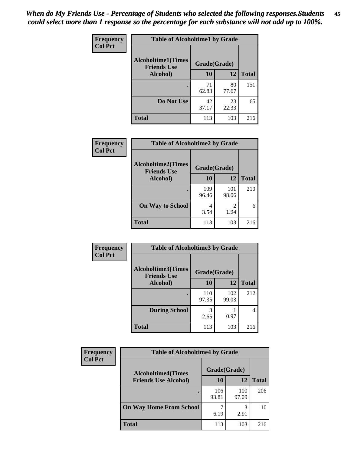| Frequency      | <b>Table of Alcoholtime1 by Grade</b>           |              |             |              |
|----------------|-------------------------------------------------|--------------|-------------|--------------|
| <b>Col Pct</b> | <b>Alcoholtime1(Times</b><br><b>Friends Use</b> | Grade(Grade) |             |              |
|                | Alcohol)                                        | 10           | 12          | <b>Total</b> |
|                | ٠                                               | 71<br>62.83  | 80<br>77.67 | 151          |
|                | Do Not Use                                      | 42<br>37.17  | 23<br>22.33 | 65           |
|                | <b>Total</b>                                    | 113          | 103         | 216          |

| Frequency      | <b>Table of Alcoholtime2 by Grade</b>           |              |              |              |
|----------------|-------------------------------------------------|--------------|--------------|--------------|
| <b>Col Pct</b> | <b>Alcoholtime2(Times</b><br><b>Friends Use</b> | Grade(Grade) |              |              |
|                | Alcohol)                                        | 10           | 12           | <b>Total</b> |
|                |                                                 | 109<br>96.46 | 101<br>98.06 | 210          |
|                | <b>On Way to School</b>                         | 4<br>3.54    | 2<br>1.94    | 6            |
|                | <b>Total</b>                                    | 113          | 103          | 216          |

| Frequency<br><b>Col Pct</b> | <b>Table of Alcoholtime3 by Grade</b>                           |              |              |              |
|-----------------------------|-----------------------------------------------------------------|--------------|--------------|--------------|
|                             | <b>Alcoholtime3(Times</b><br>Grade(Grade)<br><b>Friends Use</b> |              |              |              |
|                             | <b>Alcohol</b> )                                                | 10           | 12           | <b>Total</b> |
|                             |                                                                 | 110<br>97.35 | 102<br>99.03 | 212          |
|                             | <b>During School</b>                                            | 3<br>2.65    | 0.97         | 4            |
|                             | <b>Total</b>                                                    | 113          | 103          | 216          |

| <b>Frequency</b><br><b>Col Pct</b> | <b>Table of Alcoholtime4 by Grade</b> |              |              |              |
|------------------------------------|---------------------------------------|--------------|--------------|--------------|
|                                    | <b>Alcoholtime4(Times</b>             | Grade(Grade) |              |              |
|                                    | <b>Friends Use Alcohol)</b>           | 10           | 12           | <b>Total</b> |
|                                    |                                       | 106<br>93.81 | 100<br>97.09 | 206          |
|                                    | <b>On Way Home From School</b>        | 6.19         | 3<br>2.91    | 10           |
|                                    | <b>Total</b>                          | 113          | 103          | 216          |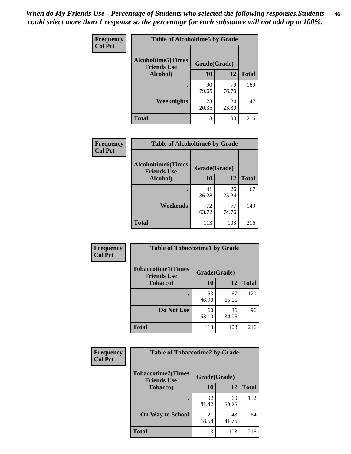*When do My Friends Use - Percentage of Students who selected the following responses.Students could select more than 1 response so the percentage for each substance will not add up to 100%.* **46**

| Frequency      | <b>Table of Alcoholtime5 by Grade</b>           |              |             |              |
|----------------|-------------------------------------------------|--------------|-------------|--------------|
| <b>Col Pct</b> | <b>Alcoholtime5(Times</b><br><b>Friends Use</b> | Grade(Grade) |             |              |
|                | Alcohol)                                        | 10           | 12          | <b>Total</b> |
|                |                                                 | 90<br>79.65  | 79<br>76.70 | 169          |
|                | Weeknights                                      | 23<br>20.35  | 24<br>23.30 | 47           |
|                | <b>Total</b>                                    | 113          | 103         | 216          |

| <b>Frequency</b> | <b>Table of Alcoholtime6 by Grade</b>           |              |             |              |
|------------------|-------------------------------------------------|--------------|-------------|--------------|
| <b>Col Pct</b>   | <b>Alcoholtime6(Times</b><br><b>Friends Use</b> | Grade(Grade) |             |              |
|                  | Alcohol)                                        | 10           | 12          | <b>Total</b> |
|                  |                                                 | 41<br>36.28  | 26<br>25.24 | 67           |
|                  | Weekends                                        | 72<br>63.72  | 77<br>74.76 | 149          |
|                  | <b>Total</b>                                    | 113          | 103         | 216          |

| Frequency      | <b>Table of Tobaccotime1 by Grade</b>           |              |             |              |
|----------------|-------------------------------------------------|--------------|-------------|--------------|
| <b>Col Pct</b> | <b>Tobaccotime1(Times</b><br><b>Friends Use</b> | Grade(Grade) |             |              |
|                | <b>Tobacco</b> )                                | 10           | 12          | <b>Total</b> |
|                | ٠                                               | 53<br>46.90  | 67<br>65.05 | 120          |
|                | Do Not Use                                      | 60<br>53.10  | 36<br>34.95 | 96           |
|                | <b>Total</b>                                    | 113          | 103         | 216          |

| <b>Frequency</b> | <b>Table of Tobaccotime2 by Grade</b>           |              |             |              |
|------------------|-------------------------------------------------|--------------|-------------|--------------|
| <b>Col Pct</b>   | <b>Tobaccotime2(Times</b><br><b>Friends Use</b> | Grade(Grade) |             |              |
|                  | <b>Tobacco</b> )                                | 10           | 12          | <b>Total</b> |
|                  |                                                 | 92<br>81.42  | 60<br>58.25 | 152          |
|                  | <b>On Way to School</b>                         | 21<br>18.58  | 43<br>41.75 | 64           |
|                  | <b>Total</b>                                    | 113          | 103         | 216          |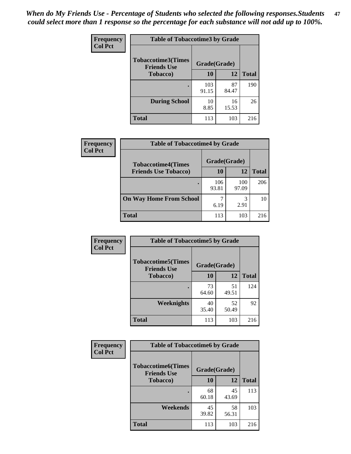*When do My Friends Use - Percentage of Students who selected the following responses.Students could select more than 1 response so the percentage for each substance will not add up to 100%.* **47**

| <b>Frequency</b> | <b>Table of Tobaccotime3 by Grade</b>           |              |             |              |  |
|------------------|-------------------------------------------------|--------------|-------------|--------------|--|
| <b>Col Pct</b>   | <b>Tobaccotime3(Times</b><br><b>Friends Use</b> | Grade(Grade) |             |              |  |
|                  | <b>Tobacco</b> )                                | 10           | 12          | <b>Total</b> |  |
|                  |                                                 | 103<br>91.15 | 87<br>84.47 | 190          |  |
|                  | <b>During School</b>                            | 10<br>8.85   | 16<br>15.53 | 26           |  |
|                  | <b>Total</b>                                    | 113          | 103         | 216          |  |

| <b>Frequency</b> | <b>Table of Tobaccotime4 by Grade</b> |              |              |              |
|------------------|---------------------------------------|--------------|--------------|--------------|
| <b>Col Pct</b>   | <b>Tobaccotime4(Times</b>             | Grade(Grade) |              |              |
|                  | <b>Friends Use Tobacco)</b>           | 10           | 12           | <b>Total</b> |
|                  |                                       | 106<br>93.81 | 100<br>97.09 | 206          |
|                  | <b>On Way Home From School</b>        | 6.19         | 3<br>2.91    | 10           |
|                  | <b>Total</b>                          | 113          | 103          | 216          |

| Frequency      | <b>Table of Tobaccotime5 by Grade</b>            |              |             |              |
|----------------|--------------------------------------------------|--------------|-------------|--------------|
| <b>Col Pct</b> | <b>Tobaccotime5</b> (Times<br><b>Friends Use</b> | Grade(Grade) |             |              |
|                | Tobacco)                                         | 10           | 12          | <b>Total</b> |
|                |                                                  | 73<br>64.60  | 51<br>49.51 | 124          |
|                | Weeknights                                       | 40<br>35.40  | 52<br>50.49 | 92           |
|                | <b>Total</b>                                     | 113          | 103         | 216          |

| Frequency<br><b>Col Pct</b> | <b>Table of Tobaccotime6 by Grade</b>           |              |             |              |  |
|-----------------------------|-------------------------------------------------|--------------|-------------|--------------|--|
|                             | <b>Tobaccotime6(Times</b><br><b>Friends Use</b> | Grade(Grade) |             |              |  |
|                             | <b>Tobacco</b> )                                | 10           | 12          | <b>Total</b> |  |
|                             |                                                 | 68<br>60.18  | 45<br>43.69 | 113          |  |
|                             | Weekends                                        | 45<br>39.82  | 58<br>56.31 | 103          |  |
|                             | <b>Total</b>                                    | 113          | 103         | 216          |  |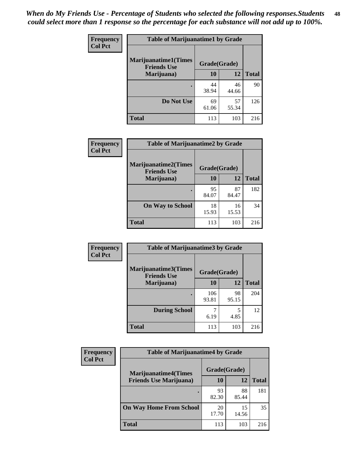| Frequency      | <b>Table of Marijuanatime1 by Grade</b>           |              |             |              |
|----------------|---------------------------------------------------|--------------|-------------|--------------|
| <b>Col Pct</b> | <b>Marijuanatime1(Times</b><br><b>Friends Use</b> | Grade(Grade) |             |              |
|                | Marijuana)                                        | 10           | 12          | <b>Total</b> |
|                |                                                   | 44<br>38.94  | 46<br>44.66 | 90           |
|                | Do Not Use                                        | 69<br>61.06  | 57<br>55.34 | 126          |
|                | <b>Total</b>                                      | 113          | 103         | 216          |

| Frequency      | <b>Table of Marijuanatime2 by Grade</b>           |              |             |              |
|----------------|---------------------------------------------------|--------------|-------------|--------------|
| <b>Col Pct</b> | <b>Marijuanatime2(Times</b><br><b>Friends Use</b> | Grade(Grade) |             |              |
|                | Marijuana)                                        | 10           | 12          | <b>Total</b> |
|                | $\bullet$                                         | 95<br>84.07  | 87<br>84.47 | 182          |
|                | <b>On Way to School</b>                           | 18<br>15.93  | 16<br>15.53 | 34           |
|                | <b>Total</b>                                      | 113          | 103         | 216          |

| Frequency      | <b>Table of Marijuanatime3 by Grade</b>    |              |             |              |
|----------------|--------------------------------------------|--------------|-------------|--------------|
| <b>Col Pct</b> | Marijuanatime3(Times<br><b>Friends Use</b> | Grade(Grade) |             |              |
|                | Marijuana)                                 | 10           | 12          | <b>Total</b> |
|                |                                            | 106<br>93.81 | 98<br>95.15 | 204          |
|                | <b>During School</b>                       | 6.19         | 5<br>4.85   | 12           |
|                | <b>Total</b>                               | 113          | 103         | 216          |

| Frequency      | <b>Table of Marijuanatime4 by Grade</b> |              |             |              |
|----------------|-----------------------------------------|--------------|-------------|--------------|
| <b>Col Pct</b> | <b>Marijuanatime4(Times</b>             | Grade(Grade) |             |              |
|                | <b>Friends Use Marijuana</b> )          | 10           | 12          | <b>Total</b> |
|                |                                         | 93<br>82.30  | 88<br>85.44 | 181          |
|                | <b>On Way Home From School</b>          | 20<br>17.70  | 15<br>14.56 | 35           |
|                | <b>Total</b>                            | 113          | 103         | 216          |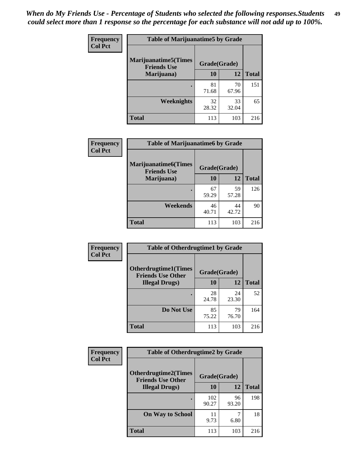| Frequency      | <b>Table of Marijuanatime5 by Grade</b>            |              |             |              |
|----------------|----------------------------------------------------|--------------|-------------|--------------|
| <b>Col Pct</b> | <b>Marijuanatime5</b> (Times<br><b>Friends Use</b> | Grade(Grade) |             |              |
|                | Marijuana)                                         | 10           | 12          | <b>Total</b> |
|                |                                                    | 81<br>71.68  | 70<br>67.96 | 151          |
|                | Weeknights                                         | 32<br>28.32  | 33<br>32.04 | 65           |
|                | <b>Total</b>                                       | 113          | 103         | 216          |

| Frequency      | <b>Table of Marijuanatime6 by Grade</b>    |              |             |              |  |
|----------------|--------------------------------------------|--------------|-------------|--------------|--|
| <b>Col Pct</b> | Marijuanatime6(Times<br><b>Friends Use</b> | Grade(Grade) |             |              |  |
|                | Marijuana)                                 | 10           | 12          | <b>Total</b> |  |
|                |                                            | 67<br>59.29  | 59<br>57.28 | 126          |  |
|                | Weekends                                   | 46<br>40.71  | 44<br>42.72 | 90           |  |
|                | <b>Total</b>                               | 113          | 103         | 216          |  |

| <b>Frequency</b> | <b>Table of Otherdrugtime1 by Grade</b>                 |              |             |              |  |
|------------------|---------------------------------------------------------|--------------|-------------|--------------|--|
| <b>Col Pct</b>   | <b>Otherdrugtime1(Times</b><br><b>Friends Use Other</b> | Grade(Grade) |             |              |  |
|                  | <b>Illegal Drugs</b> )                                  | 10           | 12          | <b>Total</b> |  |
|                  |                                                         | 28<br>24.78  | 24<br>23.30 | 52           |  |
|                  | Do Not Use                                              | 85<br>75.22  | 79<br>76.70 | 164          |  |
|                  | Total                                                   | 113          | 103         | 216          |  |

| <b>Frequency</b> | <b>Table of Otherdrugtime2 by Grade</b>                 |              |             |              |  |  |
|------------------|---------------------------------------------------------|--------------|-------------|--------------|--|--|
| <b>Col Pct</b>   | <b>Otherdrugtime2(Times</b><br><b>Friends Use Other</b> | Grade(Grade) |             |              |  |  |
|                  | <b>Illegal Drugs</b> )                                  | 10           | 12          | <b>Total</b> |  |  |
|                  |                                                         | 102<br>90.27 | 96<br>93.20 | 198          |  |  |
|                  | <b>On Way to School</b>                                 | 11<br>9.73   | 6.80        | 18           |  |  |
|                  | Total                                                   | 113          | 103         | 216          |  |  |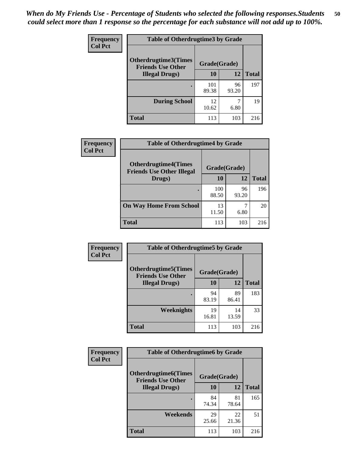| <b>Frequency</b> | <b>Table of Otherdrugtime3 by Grade</b>          |              |             |              |  |  |
|------------------|--------------------------------------------------|--------------|-------------|--------------|--|--|
| <b>Col Pct</b>   | Otherdrugtime3(Times<br><b>Friends Use Other</b> | Grade(Grade) |             |              |  |  |
|                  | <b>Illegal Drugs</b> )                           |              | 12          | <b>Total</b> |  |  |
|                  |                                                  | 101<br>89.38 | 96<br>93.20 | 197          |  |  |
|                  | <b>During School</b>                             | 12<br>10.62  | 6.80        | 19           |  |  |
|                  | Total                                            | 113          | 103         | 216          |  |  |

| Frequency      | <b>Table of Otherdrugtime4 by Grade</b>                         |              |             |              |  |  |
|----------------|-----------------------------------------------------------------|--------------|-------------|--------------|--|--|
| <b>Col Pct</b> | <b>Otherdrugtime4(Times</b><br><b>Friends Use Other Illegal</b> | Grade(Grade) |             |              |  |  |
|                | Drugs)                                                          | 10           | 12          | <b>Total</b> |  |  |
|                | ٠                                                               | 100<br>88.50 | 96<br>93.20 | 196          |  |  |
|                | <b>On Way Home From School</b>                                  | 13<br>11.50  | 6.80        | 20           |  |  |
|                | Total                                                           | 113          | 103         | 216          |  |  |

| <b>Frequency</b> | <b>Table of Otherdrugtime5 by Grade</b>                  |              |             |              |  |  |
|------------------|----------------------------------------------------------|--------------|-------------|--------------|--|--|
| <b>Col Pct</b>   | <b>Otherdrugtime5</b> (Times<br><b>Friends Use Other</b> | Grade(Grade) |             |              |  |  |
|                  | <b>Illegal Drugs</b> )                                   | 10           | 12          | <b>Total</b> |  |  |
|                  |                                                          | 94<br>83.19  | 89<br>86.41 | 183          |  |  |
|                  | Weeknights                                               | 19<br>16.81  | 14<br>13.59 | 33           |  |  |
|                  | <b>Total</b>                                             | 113          | 103         | 216          |  |  |

| <b>Frequency</b> | <b>Table of Otherdrugtime6 by Grade</b>                 |              |             |              |  |  |
|------------------|---------------------------------------------------------|--------------|-------------|--------------|--|--|
| <b>Col Pct</b>   | <b>Otherdrugtime6(Times</b><br><b>Friends Use Other</b> | Grade(Grade) |             |              |  |  |
|                  | <b>Illegal Drugs</b> )                                  | 10           | 12          | <b>Total</b> |  |  |
|                  |                                                         | 84<br>74.34  | 81<br>78.64 | 165          |  |  |
|                  | Weekends                                                | 29<br>25.66  | 22<br>21.36 | 51           |  |  |
|                  | Total                                                   | 113          | 103         | 216          |  |  |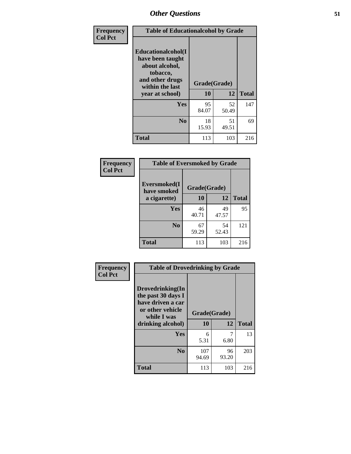| Frequency      | <b>Table of Educationalcohol by Grade</b>                                                                  |              |             |              |  |
|----------------|------------------------------------------------------------------------------------------------------------|--------------|-------------|--------------|--|
| <b>Col Pct</b> | Educationalcohol(I<br>have been taught<br>about alcohol,<br>tobacco,<br>and other drugs<br>within the last | Grade(Grade) |             |              |  |
|                | year at school)                                                                                            | 10           | 12          | <b>Total</b> |  |
|                | Yes                                                                                                        | 95<br>84.07  | 52<br>50.49 | 147          |  |
|                | N <sub>0</sub>                                                                                             | 18<br>15.93  | 51<br>49.51 | 69           |  |
|                | <b>Total</b>                                                                                               | 113          | 103         | 216          |  |

| Frequency      | <b>Table of Eversmoked by Grade</b>         |             |             |              |  |  |
|----------------|---------------------------------------------|-------------|-------------|--------------|--|--|
| <b>Col Pct</b> | Eversmoked(I<br>Grade(Grade)<br>have smoked |             |             |              |  |  |
|                | a cigarette)                                | 10          | 12          | <b>Total</b> |  |  |
|                | <b>Yes</b>                                  | 46<br>40.71 | 49<br>47.57 | 95           |  |  |
|                | N <sub>0</sub>                              | 67<br>59.29 | 54<br>52.43 | 121          |  |  |
|                | <b>Total</b>                                | 113         | 103         | 216          |  |  |

| Frequency      | <b>Table of Drovedrinking by Grade</b>                                                                              |                    |              |     |  |  |
|----------------|---------------------------------------------------------------------------------------------------------------------|--------------------|--------------|-----|--|--|
| <b>Col Pct</b> | Drovedrinking(In<br>the past 30 days I<br>have driven a car<br>or other vehicle<br>while I was<br>drinking alcohol) | Grade(Grade)<br>10 | <b>Total</b> |     |  |  |
|                | <b>Yes</b>                                                                                                          | 6<br>5.31          | 6.80         | 13  |  |  |
|                | N <sub>0</sub>                                                                                                      | 107<br>94.69       | 96<br>93.20  | 203 |  |  |
|                | <b>Total</b>                                                                                                        | 113                | 103          | 216 |  |  |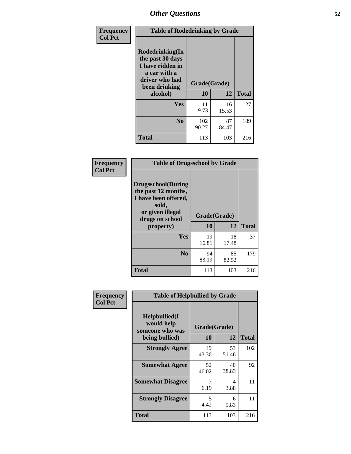| Frequency<br><b>Col Pct</b> | <b>Table of Rodedrinking by Grade</b>                                                                      |                          |             |              |  |
|-----------------------------|------------------------------------------------------------------------------------------------------------|--------------------------|-------------|--------------|--|
|                             | Rodedrinking(In<br>the past 30 days<br>I have ridden in<br>a car with a<br>driver who had<br>been drinking | Grade(Grade)<br>10<br>12 |             | <b>Total</b> |  |
|                             | alcohol)                                                                                                   |                          |             |              |  |
|                             | Yes                                                                                                        | 11<br>9.73               | 16<br>15.53 | 27           |  |
|                             | N <sub>0</sub>                                                                                             | 102<br>90.27             | 87<br>84.47 | 189          |  |
|                             | <b>Total</b>                                                                                               | 113                      | 103         | 216          |  |

#### **Frequency Col Pct**

| <b>Table of Drugsschool by Grade</b>                                                                                      |              |             |              |  |  |  |
|---------------------------------------------------------------------------------------------------------------------------|--------------|-------------|--------------|--|--|--|
| <b>Drugsschool</b> (During<br>the past 12 months,<br>I have been offered,<br>sold,<br>or given illegal<br>drugs on school | Grade(Grade) |             |              |  |  |  |
| property)                                                                                                                 | 10           | 12          | <b>Total</b> |  |  |  |
| Yes                                                                                                                       | 19<br>16.81  | 18<br>17.48 | 37           |  |  |  |
| N <sub>0</sub>                                                                                                            | 94<br>83.19  | 85<br>82.52 | 179          |  |  |  |
| Total                                                                                                                     | 113          | 103         | 216          |  |  |  |

| Frequency      | <b>Table of Helpbullied by Grade</b>                 |                          |             |              |  |  |  |
|----------------|------------------------------------------------------|--------------------------|-------------|--------------|--|--|--|
| <b>Col Pct</b> | $Helpb$ ullied $(I$<br>would help<br>someone who was | Grade(Grade)<br>10<br>12 |             |              |  |  |  |
|                | being bullied)                                       |                          |             | <b>Total</b> |  |  |  |
|                | <b>Strongly Agree</b>                                | 49<br>43.36              | 53<br>51.46 | 102          |  |  |  |
|                | <b>Somewhat Agree</b>                                | 52<br>46.02              | 40<br>38.83 | 92           |  |  |  |
|                | <b>Somewhat Disagree</b>                             | 7<br>6.19                | 4<br>3.88   | 11           |  |  |  |
|                | <b>Strongly Disagree</b>                             | 5<br>4.42                | 6<br>5.83   | 11           |  |  |  |
|                | <b>Total</b>                                         | 113                      | 103         | 216          |  |  |  |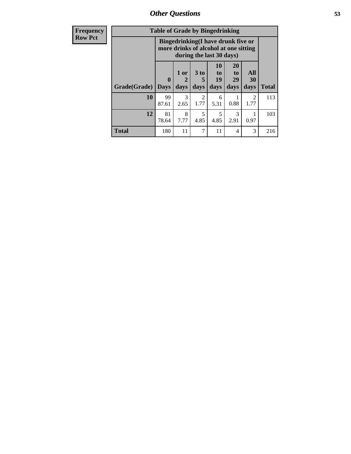*Other Questions* **53**

| <b>Frequency</b> | <b>Table of Grade by Bingedrinking</b> |                         |              |                                                                                                         |                          |                               |                        |              |
|------------------|----------------------------------------|-------------------------|--------------|---------------------------------------------------------------------------------------------------------|--------------------------|-------------------------------|------------------------|--------------|
| <b>Row Pct</b>   |                                        |                         |              | Bingedrinking(I have drunk five or<br>more drinks of alcohol at one sitting<br>during the last 30 days) |                          |                               |                        |              |
|                  | Grade(Grade)                           | $\bf{0}$<br><b>Days</b> | 1 or<br>days | $3$ to $ $<br>5<br>days                                                                                 | 10<br>to l<br>19<br>days | <b>20</b><br>to<br>29<br>days | All<br>30<br>days      | <b>Total</b> |
|                  | 10                                     | 99<br>87.61             | 3<br>2.65    | 2<br>1.77                                                                                               | 6<br>5.31                | 0.88                          | $\overline{2}$<br>1.77 | 113          |
|                  | 12                                     | 81<br>78.64             | 8<br>7.77    | 5<br>4.85                                                                                               | 5<br>4.85                | $\mathcal{F}$<br>2.91         | 0.97                   | 103          |
|                  | <b>Total</b>                           | 180                     | 11           | 7                                                                                                       | 11                       | $\overline{4}$                | 3                      | 216          |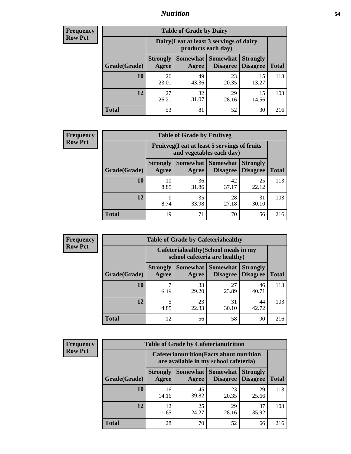### *Nutrition* **54**

| <b>Frequency</b><br>Row Pct |
|-----------------------------|
|                             |

| <b>Table of Grade by Dairy</b> |                          |                                                                 |                             |                                    |              |  |  |
|--------------------------------|--------------------------|-----------------------------------------------------------------|-----------------------------|------------------------------------|--------------|--|--|
|                                |                          | Dairy (I eat at least 3 servings of dairy<br>products each day) |                             |                                    |              |  |  |
| Grade(Grade)                   | <b>Strongly</b><br>Agree | Somewhat  <br>Agree                                             | <b>Somewhat</b><br>Disagree | <b>Strongly</b><br><b>Disagree</b> | <b>Total</b> |  |  |
| 10                             | 26<br>23.01              | 49<br>43.36                                                     | 23<br>20.35                 | 15<br>13.27                        | 113          |  |  |
| 12                             | 27<br>26.21              | 32<br>31.07                                                     | 29<br>28.16                 | 15<br>14.56                        | 103          |  |  |
| <b>Total</b>                   | 53                       | 81                                                              | 52                          | 30                                 | 216          |  |  |

| <b>Frequency</b> |  |
|------------------|--|
| <b>Row Pct</b>   |  |

| y | <b>Table of Grade by Fruitveg</b> |                                                                          |                     |                             |                                    |              |
|---|-----------------------------------|--------------------------------------------------------------------------|---------------------|-----------------------------|------------------------------------|--------------|
|   |                                   | Fruitveg(I eat at least 5 servings of fruits<br>and vegetables each day) |                     |                             |                                    |              |
|   | Grade(Grade)                      | <b>Strongly</b><br>Agree                                                 | Somewhat  <br>Agree | <b>Somewhat</b><br>Disagree | <b>Strongly</b><br><b>Disagree</b> | <b>Total</b> |
|   | <b>10</b>                         | 10<br>8.85                                                               | 36<br>31.86         | 42<br>37.17                 | 25<br>22.12                        | 113          |
|   | 12                                | 9<br>8.74                                                                | 35<br>33.98         | 28<br>27.18                 | 31<br>30.10                        | 103          |
|   | <b>Total</b>                      | 19                                                                       | 71                  | 70                          | 56                                 | 216          |

| Frequency |  |
|-----------|--|
| Row Pct   |  |

| <b>Table of Grade by Cafeteriahealthy</b> |                          |                                                                       |             |                                        |              |  |  |
|-------------------------------------------|--------------------------|-----------------------------------------------------------------------|-------------|----------------------------------------|--------------|--|--|
|                                           |                          | Cafeteriahealthy (School meals in my<br>school cafeteria are healthy) |             |                                        |              |  |  |
| Grade(Grade)                              | <b>Strongly</b><br>Agree | Somewhat  <br>Agree                                                   | Somewhat    | <b>Strongly</b><br>Disagree   Disagree | <b>Total</b> |  |  |
| <b>10</b>                                 | 6.19                     | 33<br>29.20                                                           | 27<br>23.89 | 46<br>40.71                            | 113          |  |  |
| 12                                        | 5<br>4.85                | 23<br>22.33                                                           | 31<br>30.10 | 44<br>42.72                            | 103          |  |  |
| <b>Total</b>                              | 12                       | 56                                                                    | 58          | 90                                     | 216          |  |  |

| <b>Frequency</b> |
|------------------|
| <b>Row Pct</b>   |

| <b>Table of Grade by Cafeterianutrition</b> |                                                                                           |                   |                      |                                    |              |  |
|---------------------------------------------|-------------------------------------------------------------------------------------------|-------------------|----------------------|------------------------------------|--------------|--|
|                                             | <b>Cafeterianutrition</b> (Facts about nutrition<br>are available in my school cafeteria) |                   |                      |                                    |              |  |
| Grade(Grade)                                | <b>Strongly</b><br>Agree                                                                  | Somewhat<br>Agree | Somewhat<br>Disagree | <b>Strongly</b><br><b>Disagree</b> | <b>Total</b> |  |
| 10                                          | 16<br>14.16                                                                               | 45<br>39.82       | 23<br>20.35          | 29<br>25.66                        | 113          |  |
| 12                                          | 12<br>11.65                                                                               | 25<br>24.27       | 29<br>28.16          | 37<br>35.92                        | 103          |  |
| <b>Total</b>                                | 28                                                                                        | 70                | 52                   | 66                                 | 216          |  |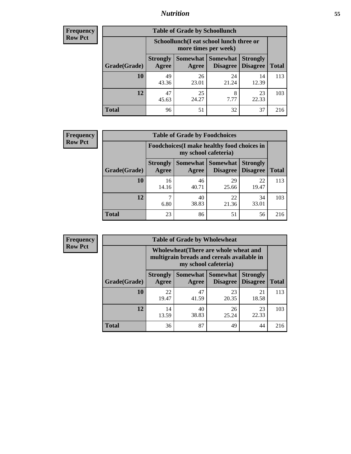### *Nutrition* **55**

| <b>Frequency</b> |
|------------------|
| Row Pct          |

| <b>Table of Grade by Schoollunch</b> |                          |                                                                 |                             |                                    |              |  |  |
|--------------------------------------|--------------------------|-----------------------------------------------------------------|-----------------------------|------------------------------------|--------------|--|--|
|                                      |                          | Schoollunch(I eat school lunch three or<br>more times per week) |                             |                                    |              |  |  |
| Grade(Grade)                         | <b>Strongly</b><br>Agree | Somewhat  <br>Agree                                             | <b>Somewhat</b><br>Disagree | <b>Strongly</b><br><b>Disagree</b> | <b>Total</b> |  |  |
| 10                                   | 49<br>43.36              | 26<br>23.01                                                     | 24<br>21.24                 | 14<br>12.39                        | 113          |  |  |
| 12                                   | 47<br>45.63              | 25<br>24.27                                                     | 8<br>7.77                   | 23<br>22.33                        | 103          |  |  |
| <b>Total</b>                         | 96                       | 51                                                              | 32                          | 37                                 | 216          |  |  |

| <b>Frequency</b> |  |
|------------------|--|
| <b>Row Pct</b>   |  |

| <b>Table of Grade by Foodchoices</b> |                                                                     |             |                               |                                    |              |  |
|--------------------------------------|---------------------------------------------------------------------|-------------|-------------------------------|------------------------------------|--------------|--|
|                                      | Foodchoices (I make healthy food choices in<br>my school cafeteria) |             |                               |                                    |              |  |
| Grade(Grade)                         | <b>Strongly</b><br>Agree                                            | Agree       | Somewhat Somewhat<br>Disagree | <b>Strongly</b><br><b>Disagree</b> | <b>Total</b> |  |
| 10                                   | 16<br>14.16                                                         | 46<br>40.71 | 29<br>25.66                   | 22<br>19.47                        | 113          |  |
| 12                                   | 6.80                                                                | 40<br>38.83 | 22<br>21.36                   | 34<br>33.01                        | 103          |  |
| <b>Total</b>                         | 23                                                                  | 86          | 51                            | 56                                 | 216          |  |

| <b>Frequency</b> | <b>Table of Grade by Wholewheat</b> |                                                                                                             |             |                                          |                                    |              |  |
|------------------|-------------------------------------|-------------------------------------------------------------------------------------------------------------|-------------|------------------------------------------|------------------------------------|--------------|--|
| <b>Row Pct</b>   |                                     | Wholewheat (There are whole wheat and<br>multigrain breads and cereals available in<br>my school cafeteria) |             |                                          |                                    |              |  |
|                  | Grade(Grade)                        | <b>Strongly</b><br>Agree                                                                                    | Agree       | Somewhat   Somewhat  <br><b>Disagree</b> | <b>Strongly</b><br><b>Disagree</b> | <b>Total</b> |  |
|                  | <b>10</b>                           | 22<br>19.47                                                                                                 | 47<br>41.59 | 23<br>20.35                              | 21<br>18.58                        | 113          |  |
|                  | 12                                  | 14<br>13.59                                                                                                 | 40<br>38.83 | 26<br>25.24                              | 23<br>22.33                        | 103          |  |
|                  | <b>Total</b>                        | 36                                                                                                          | 87          | 49                                       | 44                                 | 216          |  |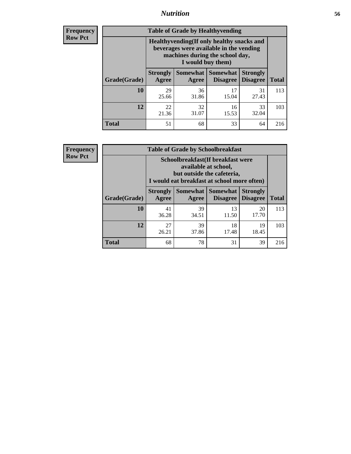### *Nutrition* **56**

**Frequency Row Pct**

| <b>Table of Grade by Healthyvending</b> |                                                                                                                                               |                          |                                    |                                    |              |  |
|-----------------------------------------|-----------------------------------------------------------------------------------------------------------------------------------------------|--------------------------|------------------------------------|------------------------------------|--------------|--|
|                                         | Healthyvending (If only healthy snacks and<br>beverages were available in the vending<br>machines during the school day,<br>I would buy them) |                          |                                    |                                    |              |  |
| Grade(Grade)                            | <b>Strongly</b><br>Agree                                                                                                                      | <b>Somewhat</b><br>Agree | <b>Somewhat</b><br><b>Disagree</b> | <b>Strongly</b><br><b>Disagree</b> | <b>Total</b> |  |
| 10                                      | 29<br>25.66                                                                                                                                   | 36<br>31.86              | 17<br>15.04                        | 31<br>27.43                        | 113          |  |
| 12                                      | 22<br>21.36                                                                                                                                   | 32<br>31.07              | 16<br>15.53                        | 33<br>32.04                        | 103          |  |
| <b>Total</b>                            | 51                                                                                                                                            | 68                       | 33                                 | 64                                 | 216          |  |

**Frequency Row Pct**

| <b>Table of Grade by Schoolbreakfast</b> |                                                                                                                                         |             |                                          |                 |              |  |  |
|------------------------------------------|-----------------------------------------------------------------------------------------------------------------------------------------|-------------|------------------------------------------|-----------------|--------------|--|--|
|                                          | Schoolbreakfast (If breakfast were<br>available at school,<br>but outside the cafeteria,<br>I would eat breakfast at school more often) |             |                                          |                 |              |  |  |
| Grade(Grade)                             | <b>Strongly</b><br><b>Agree</b>                                                                                                         | Agree       | Somewhat Somewhat<br>Disagree   Disagree | <b>Strongly</b> | <b>Total</b> |  |  |
| 10                                       | 41<br>36.28                                                                                                                             | 39<br>34.51 | 13<br>11.50                              | 20<br>17.70     | 113          |  |  |
| 12                                       | 27<br>26.21                                                                                                                             | 39<br>37.86 | 18<br>17.48                              | 19<br>18.45     | 103          |  |  |
| <b>Total</b>                             | 68                                                                                                                                      | 78          | 31                                       | 39              | 216          |  |  |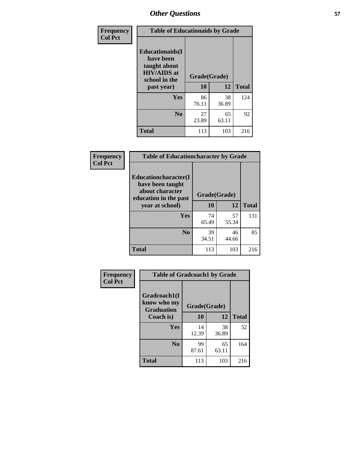| Frequency<br><b>Col Pct</b> | <b>Table of Educationaids by Grade</b>                                                                    |                    |             |              |
|-----------------------------|-----------------------------------------------------------------------------------------------------------|--------------------|-------------|--------------|
|                             | <b>Educationaids</b> (I<br>have been<br>taught about<br><b>HIV/AIDS</b> at<br>school in the<br>past year) | Grade(Grade)<br>10 | 12          | <b>Total</b> |
|                             |                                                                                                           |                    |             |              |
|                             | Yes                                                                                                       | 86<br>76.11        | 38<br>36.89 | 124          |
|                             | N <sub>0</sub>                                                                                            | 27<br>23.89        | 65<br>63.11 | 92           |
|                             | <b>Total</b>                                                                                              | 113                | 103         | 216          |

| Frequency      | <b>Table of Educationcharacter by Grade</b>                                          |              |             |              |
|----------------|--------------------------------------------------------------------------------------|--------------|-------------|--------------|
| <b>Col Pct</b> | Educationcharacter(I<br>have been taught<br>about character<br>education in the past | Grade(Grade) |             |              |
|                | year at school)                                                                      | 10           | 12          | <b>Total</b> |
|                | Yes                                                                                  | 74<br>65.49  | 57<br>55.34 | 131          |
|                | N <sub>0</sub>                                                                       | 39<br>34.51  | 46<br>44.66 | 85           |
|                | <b>Total</b>                                                                         | 113          | 103         | 216          |

| <b>Frequency</b><br><b>Col Pct</b> | <b>Table of Gradcoach1 by Grade</b>              |              |             |              |  |
|------------------------------------|--------------------------------------------------|--------------|-------------|--------------|--|
|                                    | Gradcoach1(I<br>know who my<br><b>Graduation</b> | Grade(Grade) |             |              |  |
|                                    | Coach is)                                        | 10           | 12          | <b>Total</b> |  |
|                                    | Yes                                              | 14<br>12.39  | 38<br>36.89 | 52           |  |
|                                    | N <sub>0</sub>                                   | 99<br>87.61  | 65<br>63.11 | 164          |  |
|                                    | <b>Total</b>                                     | 113          | 103         | 216          |  |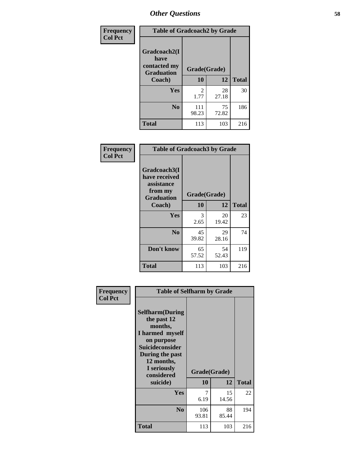| Frequency      | <b>Table of Gradcoach2 by Grade</b> |              |             |              |
|----------------|-------------------------------------|--------------|-------------|--------------|
| <b>Col Pct</b> | Gradcoach2(I<br>have                |              |             |              |
|                | contacted my<br><b>Graduation</b>   | Grade(Grade) |             |              |
|                | Coach)                              | 10           | 12          | <b>Total</b> |
|                | Yes                                 | 2<br>1.77    | 28<br>27.18 | 30           |
|                | N <sub>0</sub>                      | 111<br>98.23 | 75<br>72.82 | 186          |
|                | <b>Total</b>                        | 113          | 103         | 216          |

| Frequency<br><b>Col Pct</b> | <b>Table of Gradcoach3 by Grade</b>                                         |              |             |              |
|-----------------------------|-----------------------------------------------------------------------------|--------------|-------------|--------------|
|                             | Gradcoach3(I<br>have received<br>assistance<br>from my<br><b>Graduation</b> | Grade(Grade) |             |              |
|                             | Coach)                                                                      | 10           | 12          | <b>Total</b> |
|                             | Yes                                                                         | 3<br>2.65    | 20<br>19.42 | 23           |
|                             | N <sub>0</sub>                                                              | 45<br>39.82  | 29<br>28.16 | 74           |
|                             | Don't know                                                                  | 65<br>57.52  | 54<br>52.43 | 119          |
|                             | <b>Total</b>                                                                | 113          | 103         | 216          |

| Frequency      | <b>Table of Selfharm by Grade</b>                                                                                                                                                      |              |                    |              |
|----------------|----------------------------------------------------------------------------------------------------------------------------------------------------------------------------------------|--------------|--------------------|--------------|
| <b>Col Pct</b> | <b>Selfharm</b> (During<br>the past 12<br>months,<br>I harmed myself<br>on purpose<br><b>Suicideconsider</b><br>During the past<br>12 months,<br>I seriously<br>considered<br>suicide) | 10           | Grade(Grade)<br>12 | <b>Total</b> |
|                | Yes                                                                                                                                                                                    | 7<br>6.19    | 15<br>14.56        | 22           |
|                | N <sub>0</sub>                                                                                                                                                                         | 106<br>93.81 | 88<br>85.44        | 194          |
|                | Total                                                                                                                                                                                  | 113          | 103                | 216          |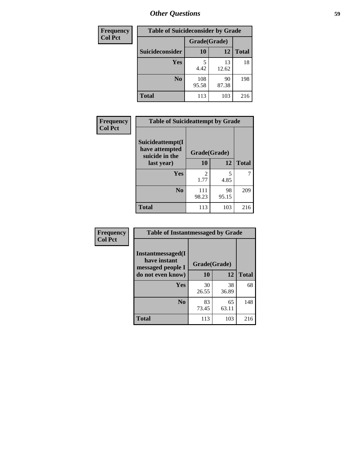| <b>Frequency</b> | <b>Table of Suicideconsider by Grade</b> |              |             |              |
|------------------|------------------------------------------|--------------|-------------|--------------|
| <b>Col Pct</b>   |                                          | Grade(Grade) |             |              |
|                  | Suicideconsider                          | <b>10</b>    | 12          | <b>Total</b> |
|                  | <b>Yes</b>                               | 5<br>4.42    | 13<br>12.62 | 18           |
|                  | N <sub>0</sub>                           | 108<br>95.58 | 90<br>87.38 | 198          |
|                  | <b>Total</b>                             | 113          | 103         | 216          |

| Frequency      | <b>Table of Suicideattempt by Grade</b>              |                        |             |              |
|----------------|------------------------------------------------------|------------------------|-------------|--------------|
| <b>Col Pct</b> | Suicideattempt(I<br>have attempted<br>suicide in the | Grade(Grade)           |             |              |
|                | last year)                                           | 10                     | 12          | <b>Total</b> |
|                | Yes                                                  | $\mathfrak{D}$<br>1.77 | 5<br>4.85   |              |
|                | N <sub>0</sub>                                       | 111<br>98.23           | 98<br>95.15 | 209          |
|                | <b>Total</b>                                         | 113                    | 103         | 216          |

| Frequency      | <b>Table of Instantmessaged by Grade</b>               |              |             |              |
|----------------|--------------------------------------------------------|--------------|-------------|--------------|
| <b>Col Pct</b> | Instantmessaged(I<br>have instant<br>messaged people I | Grade(Grade) |             |              |
|                | do not even know)                                      | 10           | 12          | <b>Total</b> |
|                | <b>Yes</b>                                             | 30<br>26.55  | 38<br>36.89 | 68           |
|                | N <sub>0</sub>                                         | 83<br>73.45  | 65<br>63.11 | 148          |
|                | <b>Total</b>                                           | 113          | 103         | 216          |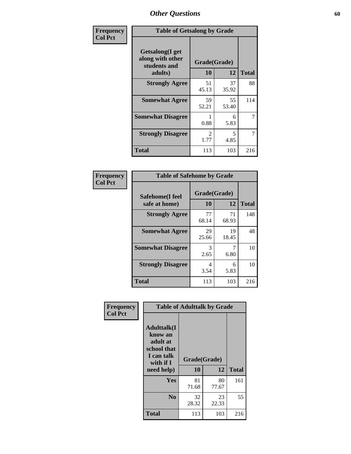| Frequency      | <b>Table of Getsalong by Grade</b>                          |                        |             |              |  |  |  |
|----------------|-------------------------------------------------------------|------------------------|-------------|--------------|--|--|--|
| <b>Col Pct</b> | <b>Getsalong</b> (I get<br>along with other<br>students and | Grade(Grade)           |             |              |  |  |  |
|                | adults)                                                     | 10                     | 12          | <b>Total</b> |  |  |  |
|                | <b>Strongly Agree</b>                                       | 51<br>45.13            | 37<br>35.92 | 88           |  |  |  |
|                | <b>Somewhat Agree</b>                                       | 59<br>52.21            | 55<br>53.40 | 114          |  |  |  |
|                | <b>Somewhat Disagree</b>                                    | 0.88                   | 6<br>5.83   | 7            |  |  |  |
|                | <b>Strongly Disagree</b>                                    | $\mathfrak{D}$<br>1.77 | 5<br>4.85   | 7            |  |  |  |
|                | <b>Total</b>                                                | 113                    | 103         | 216          |  |  |  |

| Frequency      | <b>Table of Safehome by Grade</b> |                    |             |              |  |  |  |
|----------------|-----------------------------------|--------------------|-------------|--------------|--|--|--|
| <b>Col Pct</b> | Safehome(I feel<br>safe at home)  | Grade(Grade)<br>10 | 12          | <b>Total</b> |  |  |  |
|                | <b>Strongly Agree</b>             | 77<br>68.14        | 71<br>68.93 | 148          |  |  |  |
|                | <b>Somewhat Agree</b>             | 29<br>25.66        | 19<br>18.45 | 48           |  |  |  |
|                | <b>Somewhat Disagree</b>          | 3<br>2.65          | 6.80        | 10           |  |  |  |
|                | <b>Strongly Disagree</b>          | 4<br>3.54          | 6<br>5.83   | 10           |  |  |  |
|                | <b>Total</b>                      | 113                | 103         | 216          |  |  |  |

| Frequency      |                                                                                      | <b>Table of Adulttalk by Grade</b> |             |              |
|----------------|--------------------------------------------------------------------------------------|------------------------------------|-------------|--------------|
| <b>Col Pct</b> | <b>Adulttalk</b> (I<br>know an<br>adult at<br>school that<br>I can talk<br>with if I | Grade(Grade)                       |             |              |
|                | need help)                                                                           | 10                                 | 12          | <b>Total</b> |
|                | <b>Yes</b>                                                                           | 81<br>71.68                        | 80<br>77.67 | 161          |
|                | N <sub>0</sub>                                                                       | 32<br>28.32                        | 23<br>22.33 | 55           |
|                | <b>Total</b>                                                                         | 113                                | 103         | 216          |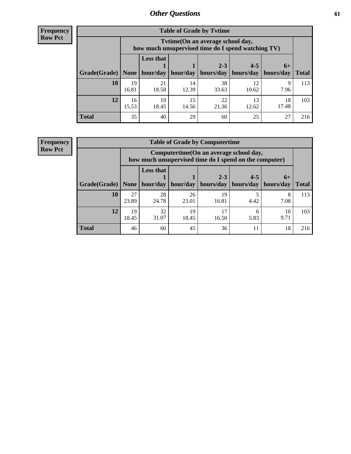**Frequency Row Pct**

| <b>Table of Grade by Tytime</b> |             |                                                                                         |             |             |             |             |              |  |  |  |
|---------------------------------|-------------|-----------------------------------------------------------------------------------------|-------------|-------------|-------------|-------------|--------------|--|--|--|
|                                 |             | Tytime (On an average school day,<br>how much unsupervised time do I spend watching TV) |             |             |             |             |              |  |  |  |
|                                 |             | <b>Less that</b>                                                                        |             | $2 - 3$     | $4 - 5$     | $6+$        |              |  |  |  |
| Grade(Grade)   None             |             | hour/day                                                                                | hour/day    | hours/day   | hours/day   | hours/day   | <b>Total</b> |  |  |  |
| 10                              | 19<br>16.81 | 21<br>18.58                                                                             | 14<br>12.39 | 38<br>33.63 | 12<br>10.62 | Q<br>7.96   | 113          |  |  |  |
| 12                              | 16<br>15.53 | 19<br>18.45                                                                             | 15<br>14.56 | 22<br>21.36 | 13<br>12.62 | 18<br>17.48 | 103          |  |  |  |
| <b>Total</b>                    | 35          | 40                                                                                      | 29          | 60          | 25          | 27          | 216          |  |  |  |

**Frequency Row Pct**

| <b>Table of Grade by Computertime</b> |             |                                                                                                                               |             |             |      |           |     |  |  |  |
|---------------------------------------|-------------|-------------------------------------------------------------------------------------------------------------------------------|-------------|-------------|------|-----------|-----|--|--|--|
|                                       |             | Computertime (On an average school day,<br>how much unsupervised time do I spend on the computer)                             |             |             |      |           |     |  |  |  |
| Grade(Grade)                          | None        | <b>Less that</b><br>$4 - 5$<br>$2 - 3$<br>$6+$<br>hour/day<br>hours/day<br>hours/day<br>hour/day<br>hours/day<br><b>Total</b> |             |             |      |           |     |  |  |  |
| 10                                    | 27<br>23.89 | 28<br>24.78                                                                                                                   | 26<br>23.01 | 19<br>16.81 | 4.42 | 8<br>7.08 | 113 |  |  |  |
| 12                                    | 19<br>18.45 | 32<br>19<br>17<br>10<br>6<br>31.07<br>9.71<br>18.45<br>16.50<br>5.83                                                          |             |             |      |           |     |  |  |  |
| <b>Total</b>                          | 46          | 60                                                                                                                            | 45          | 36          | 11   | 18        | 216 |  |  |  |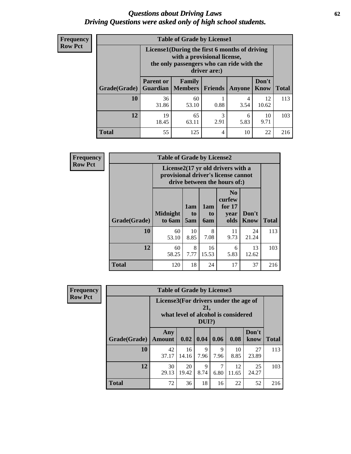#### *Questions about Driving Laws* **62** *Driving Questions were asked only of high school students.*

| <b>Frequency</b> |
|------------------|
| <b>Row Pct</b>   |

| <b>Table of Grade by License1</b> |                                                                    |                                                                                                                                           |                |               |                      |              |  |  |  |
|-----------------------------------|--------------------------------------------------------------------|-------------------------------------------------------------------------------------------------------------------------------------------|----------------|---------------|----------------------|--------------|--|--|--|
|                                   |                                                                    | License1(During the first 6 months of driving<br>with a provisional license,<br>the only passengers who can ride with the<br>driver are:) |                |               |                      |              |  |  |  |
| Grade(Grade)                      | <b>Parent or</b>                                                   | Family<br><b>Guardian   Members  </b>                                                                                                     | <b>Friends</b> | <b>Anyone</b> | Don't<br><b>Know</b> | <b>Total</b> |  |  |  |
| 10                                | 36<br>31.86                                                        | 60<br>53.10                                                                                                                               | 0.88           | 4<br>3.54     | 12<br>10.62          | 113          |  |  |  |
| 12                                | 65<br>3<br>19<br>10<br>6<br>2.91<br>9.71<br>18.45<br>5.83<br>63.11 |                                                                                                                                           |                |               |                      |              |  |  |  |
| Total                             | 55                                                                 | 125                                                                                                                                       | 4              | 10            | 22                   | 216          |  |  |  |

| <b>Frequency</b> | <b>Table of Grade by License2</b> |                                                                                                          |                  |                         |                                                      |                      |              |  |  |
|------------------|-----------------------------------|----------------------------------------------------------------------------------------------------------|------------------|-------------------------|------------------------------------------------------|----------------------|--------------|--|--|
| <b>Row Pct</b>   |                                   | License2(17 yr old drivers with a<br>provisional driver's license cannot<br>drive between the hours of:) |                  |                         |                                                      |                      |              |  |  |
|                  | Grade(Grade)                      | <b>Midnight</b><br>to 6am                                                                                | 1am<br>to<br>5am | 1am<br>to<br><b>6am</b> | N <sub>0</sub><br>curfew<br>for $17$<br>year<br>olds | Don't<br><b>Know</b> | <b>Total</b> |  |  |
|                  | 10                                | 60<br>53.10                                                                                              | 10<br>8.85       | 8<br>7.08               | 11<br>9.73                                           | 24<br>21.24          | 113          |  |  |
|                  | 12                                | 60<br>58.25                                                                                              | 8<br>7.77        | 16<br>15.53             | 6<br>5.83                                            | 13<br>12.62          | 103          |  |  |
|                  | <b>Total</b>                      | 120                                                                                                      | 18               | 24                      | 17                                                   | 37                   | 216          |  |  |

| Frequency      |              | <b>Table of Grade by License3</b>     |             |                 |           |                                     |               |              |  |  |
|----------------|--------------|---------------------------------------|-------------|-----------------|-----------|-------------------------------------|---------------|--------------|--|--|
| <b>Row Pct</b> |              | License3(For drivers under the age of |             | 21,<br>$DUI$ ?) |           | what level of alcohol is considered |               |              |  |  |
|                | Grade(Grade) | Any<br><b>Amount</b>                  | 0.02        | $\vert$ 0.04    | 0.06      | 0.08                                | Don't<br>know | <b>Total</b> |  |  |
|                | <b>10</b>    | 42<br>37.17                           | 16<br>14.16 | 9<br>7.96       | 9<br>7.96 | 10<br>8.85                          | 27<br>23.89   | 113          |  |  |
|                | 12           | 30<br>29.13                           | 20<br>19.42 | 9<br>8.74       | 6.80      | 12<br>11.65                         | 25<br>24.27   | 103          |  |  |
|                | <b>Total</b> | 72                                    | 36          | 18              | 16        | 22                                  | 52            | 216          |  |  |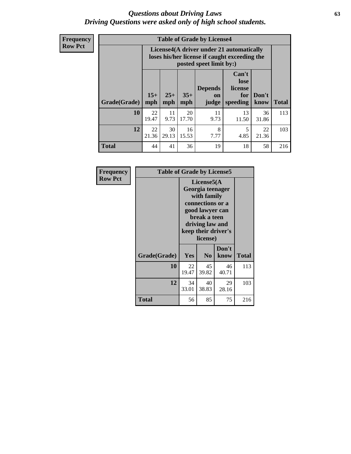#### *Questions about Driving Laws* **63** *Driving Questions were asked only of high school students.*

**Frequency Row Pct**

| <b>Table of Grade by License4</b> |              |                                                                                                                                                      |             |            |             |             |     |  |  |  |
|-----------------------------------|--------------|------------------------------------------------------------------------------------------------------------------------------------------------------|-------------|------------|-------------|-------------|-----|--|--|--|
|                                   |              | License4(A driver under 21 automatically<br>loses his/her license if caught exceeding the<br>posted speet limit by:)                                 |             |            |             |             |     |  |  |  |
| Grade(Grade)                      | $15+$<br>mph | Can't<br>lose<br><b>Depends</b><br>license<br>$25+$<br>$35+$<br>Don't<br>for<br><b>on</b><br>speeding<br><b>Total</b><br>mph<br>know<br>mph<br>judge |             |            |             |             |     |  |  |  |
| 10                                | 22<br>19.47  | 11<br>9.73                                                                                                                                           | 20<br>17.70 | 11<br>9.73 | 13<br>11.50 | 36<br>31.86 | 113 |  |  |  |
| 12                                | 22<br>21.36  | 30<br>8<br>16<br>5<br>22<br>4.85<br>29.13<br>21.36<br>15.53<br>7.77                                                                                  |             |            |             |             |     |  |  |  |
| <b>Total</b>                      | 44           | 41                                                                                                                                                   | 36          | 19         | 18          | 58          | 216 |  |  |  |

| Frequency      | <b>Table of Grade by License5</b> |             |                                                                                                                                      |                     |              |
|----------------|-----------------------------------|-------------|--------------------------------------------------------------------------------------------------------------------------------------|---------------------|--------------|
| <b>Row Pct</b> |                                   |             | License5(A)<br>Georgia teenager<br>with family<br>connections or a<br>good lawyer can<br>break a teen<br>driving law and<br>license) | keep their driver's |              |
|                | Grade(Grade)                      | <b>Yes</b>  | N <sub>0</sub>                                                                                                                       | Don't<br>know       | <b>Total</b> |
|                | 10                                | 22<br>19.47 | 45<br>39.82                                                                                                                          | 46<br>40.71         | 113          |
|                | 12                                | 34<br>33.01 | 40<br>38.83                                                                                                                          | 29<br>28.16         | 103          |
|                | Total                             | 56          | 85                                                                                                                                   | 75                  | 216          |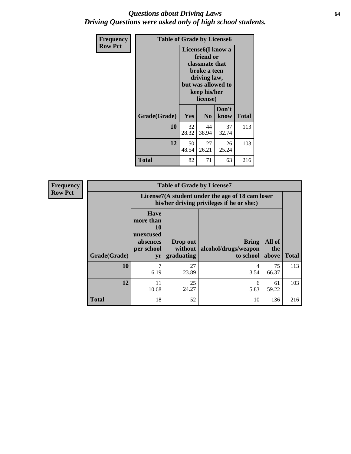#### *Questions about Driving Laws* **64** *Driving Questions were asked only of high school students.*

| <b>Frequency</b> | <b>Table of Grade by License6</b> |                                                                                                                                                 |                |               |       |
|------------------|-----------------------------------|-------------------------------------------------------------------------------------------------------------------------------------------------|----------------|---------------|-------|
| <b>Row Pct</b>   |                                   | License <sub>6</sub> (I know a<br>friend or<br>classmate that<br>broke a teen<br>driving law,<br>but was allowed to<br>keep his/her<br>license) |                |               |       |
|                  | Grade(Grade)                      | Yes                                                                                                                                             | N <sub>0</sub> | Don't<br>know | Total |
|                  | 10                                | 32<br>28.32                                                                                                                                     | 44<br>38.94    | 37<br>32.74   | 113   |
|                  | 12                                | 50<br>48.54                                                                                                                                     | 103            |               |       |
|                  | <b>Total</b>                      | 82                                                                                                                                              | 71             | 63            | 216   |

| <b>Frequency</b> | <b>Table of Grade by License7</b> |                                                                                               |                                   |                                            |                        |              |
|------------------|-----------------------------------|-----------------------------------------------------------------------------------------------|-----------------------------------|--------------------------------------------|------------------------|--------------|
| <b>Row Pct</b>   |                                   | License7(A student under the age of 18 cam loser<br>his/her driving privileges if he or she:) |                                   |                                            |                        |              |
|                  | Grade(Grade)                      | <b>Have</b><br>more than<br>10<br>unexcused<br>absences<br>per school<br>yr                   | Drop out<br>without<br>graduating | Bring<br>alcohol/drugs/weapon<br>to school | All of<br>the<br>above | <b>Total</b> |
|                  | 10                                | 7<br>6.19                                                                                     | 27<br>23.89                       | 4<br>3.54                                  | 75<br>66.37            | 113          |
|                  | 12                                | 11<br>10.68                                                                                   | 25<br>24.27                       | 6<br>5.83                                  | 61<br>59.22            | 103          |
|                  | <b>Total</b>                      | 18                                                                                            | 52                                | 10                                         | 136                    | 216          |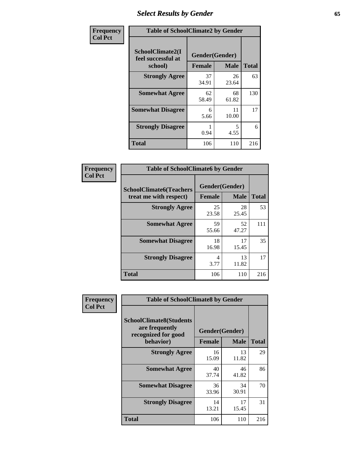# *Select Results by Gender* **65**

| Frequency      | <b>Table of SchoolClimate2 by Gender</b> |                     |                   |                    |
|----------------|------------------------------------------|---------------------|-------------------|--------------------|
| <b>Col Pct</b> | SchoolClimate2(I<br>feel successful at   | Gender(Gender)      |                   |                    |
|                | school)<br><b>Strongly Agree</b>         | <b>Female</b><br>37 | <b>Male</b><br>26 | <b>Total</b><br>63 |
|                |                                          | 34.91               | 23.64             |                    |
|                | <b>Somewhat Agree</b>                    | 62<br>58.49         | 68<br>61.82       | 130                |
|                | <b>Somewhat Disagree</b>                 | 6<br>5.66           | 11<br>10.00       | 17                 |
|                | <b>Strongly Disagree</b>                 | 0.94                | 5<br>4.55         | 6                  |
|                | <b>Total</b>                             | 106                 | 110               | 216                |

| <b>Frequency</b> | <b>Table of SchoolClimate6 by Gender</b>                 |                                 |             |              |  |
|------------------|----------------------------------------------------------|---------------------------------|-------------|--------------|--|
| <b>Col Pct</b>   | <b>SchoolClimate6(Teachers</b><br>treat me with respect) | Gender(Gender)<br><b>Female</b> | <b>Male</b> | <b>Total</b> |  |
|                  | <b>Strongly Agree</b>                                    | 25<br>23.58                     | 28<br>25.45 | 53           |  |
|                  | <b>Somewhat Agree</b>                                    | 59<br>55.66                     | 52<br>47.27 | 111          |  |
|                  | <b>Somewhat Disagree</b>                                 | 18<br>16.98                     | 17<br>15.45 | 35           |  |
|                  | <b>Strongly Disagree</b>                                 | 4<br>3.77                       | 13<br>11.82 | 17           |  |
|                  | <b>Total</b>                                             | 106                             | 110         | 216          |  |

| <b>Frequency</b> | <b>Table of SchoolClimate8 by Gender</b>                                             |                                 |                            |     |
|------------------|--------------------------------------------------------------------------------------|---------------------------------|----------------------------|-----|
| <b>Col Pct</b>   | <b>SchoolClimate8(Students</b><br>are frequently<br>recognized for good<br>behavior) | Gender(Gender)<br><b>Female</b> | <b>Total</b>               |     |
|                  | <b>Strongly Agree</b>                                                                | 16<br>15.09                     | <b>Male</b><br>13<br>11.82 | 29  |
|                  | <b>Somewhat Agree</b>                                                                | 40<br>37.74                     | 46<br>41.82                | 86  |
|                  | <b>Somewhat Disagree</b>                                                             | 36<br>33.96                     | 34<br>30.91                | 70  |
|                  | <b>Strongly Disagree</b>                                                             | 14<br>13.21                     | 17<br>15.45                | 31  |
|                  | Total                                                                                | 106                             | 110                        | 216 |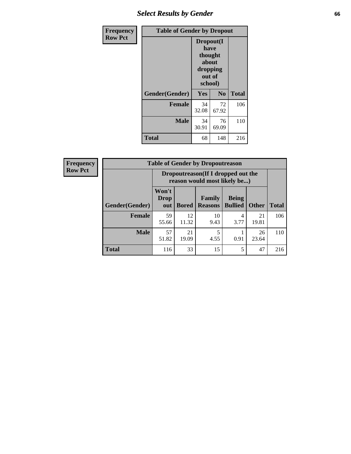# *Select Results by Gender* **66**

| Frequency      | <b>Table of Gender by Dropout</b> |                                                                        |                |              |
|----------------|-----------------------------------|------------------------------------------------------------------------|----------------|--------------|
| <b>Row Pct</b> |                                   | Dropout(I<br>have<br>thought<br>about<br>dropping<br>out of<br>school) |                |              |
|                | Gender(Gender)                    | Yes                                                                    | N <sub>0</sub> | <b>Total</b> |
|                | <b>Female</b>                     | 34<br>32.08                                                            | 72<br>67.92    | 106          |
|                | <b>Male</b>                       | 34<br>30.91                                                            | 76<br>69.09    | 110          |
|                | <b>Total</b>                      | 68                                                                     | 148            | 216          |

| <b>Frequency</b> | <b>Table of Gender by Dropoutreason</b> |                                                                     |              |                                 |                                |              |              |
|------------------|-----------------------------------------|---------------------------------------------------------------------|--------------|---------------------------------|--------------------------------|--------------|--------------|
| <b>Row Pct</b>   |                                         | Dropoutreason (If I dropped out the<br>reason would most likely be) |              |                                 |                                |              |              |
|                  | <b>Gender</b> (Gender)                  | Won't<br><b>Drop</b><br>out                                         | <b>Bored</b> | <b>Family</b><br><b>Reasons</b> | <b>Being</b><br><b>Bullied</b> | <b>Other</b> | <b>Total</b> |
|                  | <b>Female</b>                           | 59<br>55.66                                                         | 12<br>11.32  | 10<br>9.43                      | 4<br>3.77                      | 21<br>19.81  | 106          |
|                  | <b>Male</b>                             | 57<br>51.82                                                         | 21<br>19.09  | 5<br>4.55                       | 0.91                           | 26<br>23.64  | 110          |
|                  | <b>Total</b>                            | 116                                                                 | 33           | 15                              | 5                              | 47           | 216          |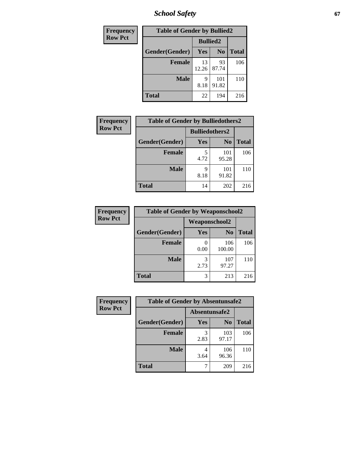*School Safety* **67**

| Frequency      | <b>Table of Gender by Bullied2</b> |                 |                |              |
|----------------|------------------------------------|-----------------|----------------|--------------|
| <b>Row Pct</b> |                                    | <b>Bullied2</b> |                |              |
|                | Gender(Gender)                     | Yes             | N <sub>0</sub> | <b>Total</b> |
|                | <b>Female</b>                      | 13<br>12.26     | 93<br>87.74    | 106          |
|                | <b>Male</b>                        | 9<br>8.18       | 101<br>91.82   | 110          |
|                | <b>Total</b>                       | 22              | 194            | 216          |

| <b>Frequency</b> | <b>Table of Gender by Bulliedothers2</b> |                       |                |              |
|------------------|------------------------------------------|-----------------------|----------------|--------------|
| <b>Row Pct</b>   |                                          | <b>Bulliedothers2</b> |                |              |
|                  | Gender(Gender)                           | <b>Yes</b>            | N <sub>0</sub> | <b>Total</b> |
|                  | <b>Female</b>                            | 5<br>4.72             | 101<br>95.28   | 106          |
|                  | <b>Male</b>                              | Q<br>8.18             | 101<br>91.82   | 110          |
|                  | <b>Total</b>                             | 14                    | 202            | 216          |

| <b>Frequency</b> | <b>Table of Gender by Weaponschool2</b> |               |                |              |  |
|------------------|-----------------------------------------|---------------|----------------|--------------|--|
| <b>Row Pct</b>   |                                         | Weaponschool2 |                |              |  |
|                  | Gender(Gender)                          | <b>Yes</b>    | N <sub>0</sub> | <b>Total</b> |  |
|                  | <b>Female</b>                           | 0.00          | 106<br>100.00  | 106          |  |
|                  | <b>Male</b>                             | 3<br>2.73     | 107<br>97.27   | 110          |  |
|                  | <b>Total</b>                            | 3             | 213            | 216          |  |

| Frequency      | <b>Table of Gender by Absentunsafe2</b> |               |                |              |
|----------------|-----------------------------------------|---------------|----------------|--------------|
| <b>Row Pct</b> |                                         | Absentunsafe2 |                |              |
|                | Gender(Gender)                          | Yes           | N <sub>0</sub> | <b>Total</b> |
|                | <b>Female</b>                           | 2.83          | 103<br>97.17   | 106          |
|                | <b>Male</b>                             | 3.64          | 106<br>96.36   | 110          |
|                | <b>Total</b>                            |               | 209            | 216          |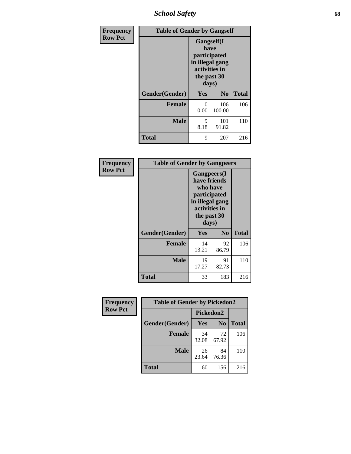*School Safety* **68**

| Frequency      | <b>Table of Gender by Gangself</b> |                                                                                                        |                |              |
|----------------|------------------------------------|--------------------------------------------------------------------------------------------------------|----------------|--------------|
| <b>Row Pct</b> |                                    | <b>Gangself</b> (I<br>have<br>participated<br>in illegal gang<br>activities in<br>the past 30<br>days) |                |              |
|                | Gender(Gender)                     | Yes                                                                                                    | N <sub>0</sub> | <b>Total</b> |
|                | <b>Female</b>                      | 0<br>0.00                                                                                              | 106<br>100.00  | 106          |
|                | <b>Male</b>                        | 9<br>8.18                                                                                              | 101<br>91.82   | 110          |
|                | <b>Total</b>                       | 9                                                                                                      | 207            | 216          |

| Frequency      | <b>Table of Gender by Gangpeers</b> |                                                                                                                             |                |              |  |
|----------------|-------------------------------------|-----------------------------------------------------------------------------------------------------------------------------|----------------|--------------|--|
| <b>Row Pct</b> |                                     | <b>Gangpeers</b> (I<br>have friends<br>who have<br>participated<br>in illegal gang<br>activities in<br>the past 30<br>days) |                |              |  |
|                | Gender(Gender)                      | <b>Yes</b>                                                                                                                  | N <sub>0</sub> | <b>Total</b> |  |
|                | <b>Female</b>                       | 14<br>13.21                                                                                                                 | 92<br>86.79    | 106          |  |
|                | <b>Male</b>                         | 19<br>17.27                                                                                                                 | 91<br>82.73    | 110          |  |
|                | <b>Total</b>                        | 33                                                                                                                          | 183            | 216          |  |

| Frequency      | <b>Table of Gender by Pickedon2</b> |             |                |              |
|----------------|-------------------------------------|-------------|----------------|--------------|
| <b>Row Pct</b> |                                     | Pickedon2   |                |              |
|                | Gender(Gender)                      | <b>Yes</b>  | N <sub>0</sub> | <b>Total</b> |
|                | <b>Female</b>                       | 34<br>32.08 | 72<br>67.92    | 106          |
|                | <b>Male</b>                         | 26<br>23.64 | 84<br>76.36    | 110          |
|                | <b>Total</b>                        | 60          | 156            | 216          |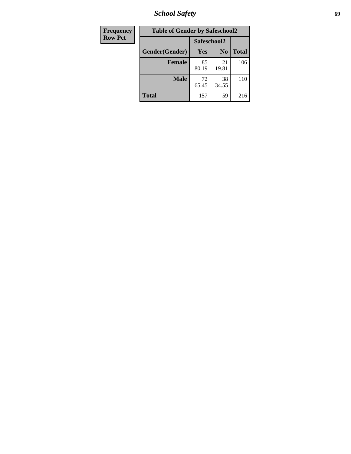*School Safety* **69**

| Frequency      | <b>Table of Gender by Safeschool2</b> |             |                |              |  |
|----------------|---------------------------------------|-------------|----------------|--------------|--|
| <b>Row Pct</b> |                                       | Safeschool2 |                |              |  |
|                | Gender(Gender)                        | Yes         | N <sub>0</sub> | <b>Total</b> |  |
|                | <b>Female</b>                         | 85<br>80.19 | 21<br>19.81    | 106          |  |
|                | <b>Male</b>                           | 72<br>65.45 | 38<br>34.55    | 110          |  |
|                | <b>Total</b>                          | 157         | 59             | 216          |  |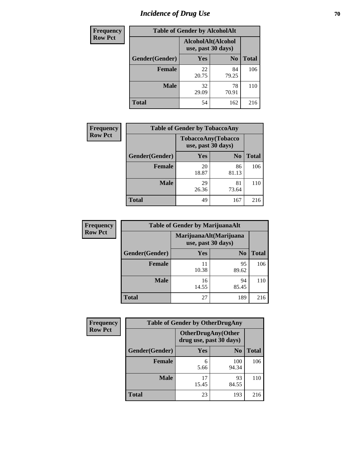# *Incidence of Drug Use* **70**

| <b>Frequency</b> | <b>Table of Gender by AlcoholAlt</b> |                                          |                |              |
|------------------|--------------------------------------|------------------------------------------|----------------|--------------|
| <b>Row Pct</b>   |                                      | AlcoholAlt(Alcohol<br>use, past 30 days) |                |              |
|                  | Gender(Gender)                       | <b>Yes</b>                               | N <sub>0</sub> | <b>Total</b> |
|                  | <b>Female</b>                        | 22<br>20.75                              | 84<br>79.25    | 106          |
|                  | <b>Male</b>                          | 32<br>29.09                              | 78<br>70.91    | 110          |
|                  | <b>Total</b>                         | 54                                       | 162            | 216          |

| <b>Frequency</b> |                | <b>Table of Gender by TobaccoAny</b> |                    |              |  |
|------------------|----------------|--------------------------------------|--------------------|--------------|--|
| <b>Row Pct</b>   |                | use, past 30 days)                   | TobaccoAny(Tobacco |              |  |
|                  | Gender(Gender) | Yes                                  | N <sub>0</sub>     | <b>Total</b> |  |
|                  | <b>Female</b>  | 20<br>18.87                          | 86<br>81.13        | 106          |  |
|                  | <b>Male</b>    | 29<br>26.36                          | 81<br>73.64        | 110          |  |
|                  | <b>Total</b>   | 49                                   | 167                | 216          |  |

| <b>Frequency</b> |                | <b>Table of Gender by MarijuanaAlt</b> |                                              |              |  |
|------------------|----------------|----------------------------------------|----------------------------------------------|--------------|--|
| <b>Row Pct</b>   |                |                                        | MarijuanaAlt(Marijuana<br>use, past 30 days) |              |  |
|                  | Gender(Gender) | <b>Yes</b>                             | N <sub>0</sub>                               | <b>Total</b> |  |
|                  | <b>Female</b>  | 11<br>10.38                            | 95<br>89.62                                  | 106          |  |
|                  | <b>Male</b>    | 16<br>14.55                            | 94<br>85.45                                  | 110          |  |
|                  | <b>Total</b>   | 27                                     | 189                                          | 216          |  |

| <b>Frequency</b> | <b>Table of Gender by OtherDrugAny</b> |                         |                           |              |  |
|------------------|----------------------------------------|-------------------------|---------------------------|--------------|--|
| <b>Row Pct</b>   |                                        | drug use, past 30 days) | <b>OtherDrugAny(Other</b> |              |  |
|                  | Gender(Gender)                         | <b>Yes</b>              | N <sub>0</sub>            | <b>Total</b> |  |
|                  | <b>Female</b>                          | 6<br>5.66               | 100<br>94.34              | 106          |  |
|                  | <b>Male</b>                            | 17<br>15.45             | 93<br>84.55               | 110          |  |
|                  | <b>Total</b>                           | 23                      | 193                       | 216          |  |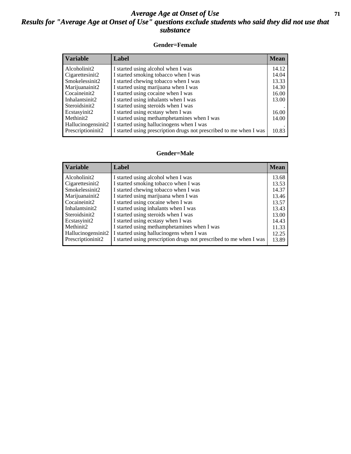#### *Average Age at Onset of Use* **71** *Results for "Average Age at Onset of Use" questions exclude students who said they did not use that substance*

#### **Gender=Female**

| <b>Mean</b> |
|-------------|
| 14.12       |
| 14.04       |
| 13.33       |
| 14.30       |
| 16.00       |
| 13.00       |
|             |
| 16.00       |
| 14.00       |
|             |
| 10.83       |
|             |

#### **Gender=Male**

| <b>Variable</b>    | Label                                                              | <b>Mean</b> |
|--------------------|--------------------------------------------------------------------|-------------|
| Alcoholinit2       | I started using alcohol when I was                                 | 13.68       |
| Cigarettesinit2    | I started smoking tobacco when I was                               | 13.53       |
| Smokelessinit2     | I started chewing tobacco when I was                               | 14.37       |
| Marijuanainit2     | I started using marijuana when I was                               | 13.46       |
| Cocaineinit2       | I started using cocaine when I was                                 | 13.57       |
| Inhalantsinit2     | I started using inhalants when I was                               | 13.43       |
| Steroidsinit2      | I started using steroids when I was                                | 13.00       |
| Ecstasyinit2       | I started using ecstasy when I was                                 | 14.43       |
| Methinit2          | I started using methamphetamines when I was                        | 11.33       |
| Hallucinogensinit2 | I started using hallucinogens when I was                           | 12.25       |
| Prescription in t2 | I started using prescription drugs not prescribed to me when I was | 13.89       |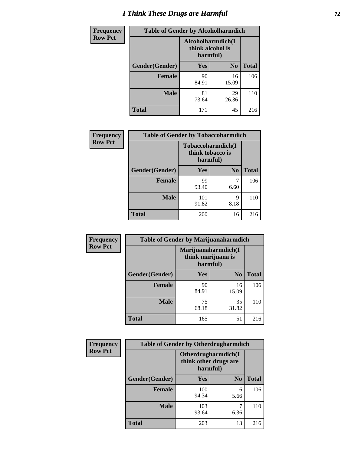# *I Think These Drugs are Harmful* **72**

| Frequency      | <b>Table of Gender by Alcoholharmdich</b> |                  |                               |              |  |
|----------------|-------------------------------------------|------------------|-------------------------------|--------------|--|
| <b>Row Pct</b> |                                           | think alcohol is | Alcoholharmdich(I<br>harmful) |              |  |
|                | Gender(Gender)                            | <b>Yes</b>       | N <sub>0</sub>                | <b>Total</b> |  |
|                | <b>Female</b>                             | 90<br>84.91      | 16<br>15.09                   | 106          |  |
|                | <b>Male</b>                               | 81<br>73.64      | 29<br>26.36                   | 110          |  |
|                | <b>Total</b>                              | 171              | 45                            | 216          |  |

| Frequency      | <b>Table of Gender by Tobaccoharmdich</b> |                  |                               |              |
|----------------|-------------------------------------------|------------------|-------------------------------|--------------|
| <b>Row Pct</b> |                                           | think tobacco is | Tobaccoharmdich(I<br>harmful) |              |
|                | Gender(Gender)                            | Yes              | N <sub>0</sub>                | <b>Total</b> |
|                | <b>Female</b>                             | 99<br>93.40      | 7<br>6.60                     | 106          |
|                | <b>Male</b>                               | 101<br>91.82     | 9<br>8.18                     | 110          |
|                | <b>Total</b>                              | 200              | 16                            | 216          |

| Frequency      | <b>Table of Gender by Marijuanaharmdich</b> |                                |                     |              |  |  |
|----------------|---------------------------------------------|--------------------------------|---------------------|--------------|--|--|
| <b>Row Pct</b> |                                             | think marijuana is<br>harmful) | Marijuanaharmdich(I |              |  |  |
|                | Gender(Gender)                              | <b>Yes</b>                     | N <sub>0</sub>      | <b>Total</b> |  |  |
|                | <b>Female</b>                               | 90<br>84.91                    | 16<br>15.09         | 106          |  |  |
|                | <b>Male</b>                                 | 75<br>68.18                    | 35<br>31.82         | 110          |  |  |
|                | <b>Total</b>                                | 165                            | 51                  | 216          |  |  |

| <b>Frequency</b> | <b>Table of Gender by Otherdrugharmdich</b> |              |                                              |              |  |
|------------------|---------------------------------------------|--------------|----------------------------------------------|--------------|--|
| <b>Row Pct</b>   |                                             | harmful)     | Otherdrugharmdich(I<br>think other drugs are |              |  |
|                  | Gender(Gender)                              | <b>Yes</b>   | N <sub>0</sub>                               | <b>Total</b> |  |
|                  | <b>Female</b>                               | 100<br>94.34 | 6<br>5.66                                    | 106          |  |
|                  | <b>Male</b>                                 | 103<br>93.64 | 6.36                                         | 110          |  |
|                  | <b>Total</b>                                | 203          | 13                                           | 216          |  |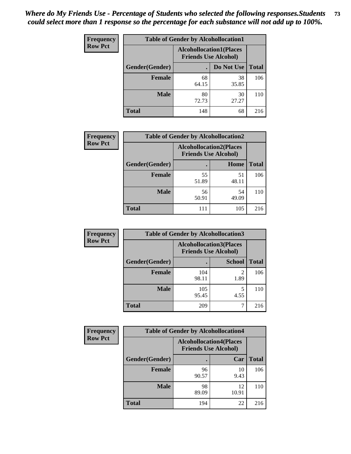| <b>Frequency</b> | <b>Table of Gender by Alcohollocation1</b> |             |                                                               |              |
|------------------|--------------------------------------------|-------------|---------------------------------------------------------------|--------------|
| <b>Row Pct</b>   |                                            |             | <b>Alcohollocation1(Places</b><br><b>Friends Use Alcohol)</b> |              |
|                  | Gender(Gender)                             |             | Do Not Use                                                    | <b>Total</b> |
|                  | <b>Female</b>                              | 68<br>64.15 | 38<br>35.85                                                   | 106          |
|                  | <b>Male</b>                                | 80<br>72.73 | 30<br>27.27                                                   | 110          |
|                  | <b>Total</b>                               | 148         | 68                                                            | 216          |

| <b>Frequency</b> | <b>Table of Gender by Alcohollocation2</b> |                                                               |             |              |
|------------------|--------------------------------------------|---------------------------------------------------------------|-------------|--------------|
| <b>Row Pct</b>   |                                            | <b>Alcohollocation2(Places</b><br><b>Friends Use Alcohol)</b> |             |              |
|                  | Gender(Gender)                             |                                                               | Home        | <b>Total</b> |
|                  | Female                                     | 55<br>51.89                                                   | 51<br>48.11 | 106          |
|                  | <b>Male</b>                                | 56<br>50.91                                                   | 54<br>49.09 | 110          |
|                  | <b>Total</b>                               | 111                                                           | 105         | 216          |

| Frequency      | <b>Table of Gender by Alcohollocation3</b> |                                                               |                        |              |
|----------------|--------------------------------------------|---------------------------------------------------------------|------------------------|--------------|
| <b>Row Pct</b> |                                            | <b>Alcohollocation3(Places</b><br><b>Friends Use Alcohol)</b> |                        |              |
|                | Gender(Gender)                             |                                                               | <b>School</b>          | <b>Total</b> |
|                | <b>Female</b>                              | 104<br>98.11                                                  | $\mathfrak{D}$<br>1.89 | 106          |
|                | <b>Male</b>                                | 105<br>95.45                                                  | 4.55                   | 110          |
|                | <b>Total</b>                               | 209                                                           |                        | 216          |

| <b>Frequency</b> | <b>Table of Gender by Alcohollocation4</b> |                                                               |             |              |
|------------------|--------------------------------------------|---------------------------------------------------------------|-------------|--------------|
| <b>Row Pct</b>   |                                            | <b>Alcohollocation4(Places</b><br><b>Friends Use Alcohol)</b> |             |              |
|                  | <b>Gender</b> (Gender)                     |                                                               | Car         | <b>Total</b> |
|                  | <b>Female</b>                              | 96<br>90.57                                                   | 10<br>9.43  | 106          |
|                  | <b>Male</b>                                | 98<br>89.09                                                   | 12<br>10.91 | 110          |
|                  | <b>Total</b>                               | 194                                                           | 22          | 216          |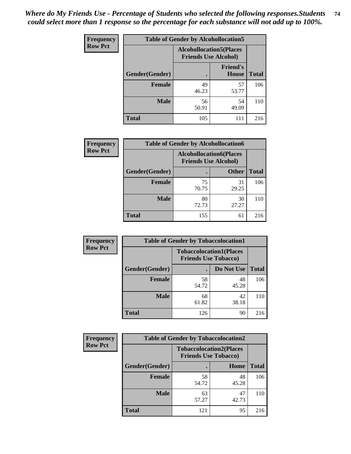| <b>Frequency</b> |                | <b>Table of Gender by Alcohollocation5</b>                    |                                 |              |
|------------------|----------------|---------------------------------------------------------------|---------------------------------|--------------|
| <b>Row Pct</b>   |                | <b>Alcohollocation5(Places</b><br><b>Friends Use Alcohol)</b> |                                 |              |
|                  | Gender(Gender) | $\bullet$                                                     | <b>Friend's</b><br><b>House</b> | <b>Total</b> |
|                  | <b>Female</b>  | 49<br>46.23                                                   | 57<br>53.77                     | 106          |
|                  | <b>Male</b>    | 56<br>50.91                                                   | 54<br>49.09                     | 110          |
|                  | <b>Total</b>   | 105                                                           | 111                             | 216          |

| Frequency      | <b>Table of Gender by Alcohollocation6</b> |                                                               |              |              |  |
|----------------|--------------------------------------------|---------------------------------------------------------------|--------------|--------------|--|
| <b>Row Pct</b> |                                            | <b>Alcohollocation6(Places</b><br><b>Friends Use Alcohol)</b> |              |              |  |
|                | <b>Gender</b> (Gender)                     |                                                               | <b>Other</b> | <b>Total</b> |  |
|                | <b>Female</b>                              | 75<br>70.75                                                   | 31<br>29.25  | 106          |  |
|                | <b>Male</b>                                | 80<br>72.73                                                   | 30<br>27.27  | 110          |  |
|                | <b>Total</b>                               | 155                                                           | 61           | 216          |  |

| Frequency      | <b>Table of Gender by Tobaccolocation1</b> |                                                               |             |              |  |
|----------------|--------------------------------------------|---------------------------------------------------------------|-------------|--------------|--|
| <b>Row Pct</b> |                                            | <b>Tobaccolocation1(Places</b><br><b>Friends Use Tobacco)</b> |             |              |  |
|                | Gender(Gender)                             |                                                               | Do Not Use  | <b>Total</b> |  |
|                | Female                                     | 58<br>54.72                                                   | 48<br>45.28 | 106          |  |
|                | <b>Male</b>                                | 68<br>61.82                                                   | 42<br>38.18 | 110          |  |
|                | <b>Total</b>                               | 126                                                           | 90          | 216          |  |

| <b>Frequency</b> | <b>Table of Gender by Tobaccolocation2</b> |                                                               |             |              |
|------------------|--------------------------------------------|---------------------------------------------------------------|-------------|--------------|
| <b>Row Pct</b>   |                                            | <b>Tobaccolocation2(Places</b><br><b>Friends Use Tobacco)</b> |             |              |
|                  | Gender(Gender)                             |                                                               | Home        | <b>Total</b> |
|                  | Female                                     | 58<br>54.72                                                   | 48<br>45.28 | 106          |
|                  | <b>Male</b>                                | 63<br>57.27                                                   | 47<br>42.73 | 110          |
|                  | <b>Total</b>                               | 121                                                           | 95          | 216          |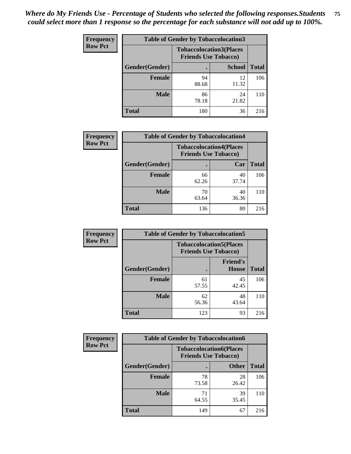| <b>Frequency</b> | <b>Table of Gender by Tobaccolocation3</b> |             |                                                               |              |
|------------------|--------------------------------------------|-------------|---------------------------------------------------------------|--------------|
| <b>Row Pct</b>   |                                            |             | <b>Tobaccolocation3(Places</b><br><b>Friends Use Tobacco)</b> |              |
|                  | Gender(Gender)                             |             | <b>School</b>                                                 | <b>Total</b> |
|                  | <b>Female</b>                              | 94<br>88.68 | 12<br>11.32                                                   | 106          |
|                  | <b>Male</b>                                | 86<br>78.18 | 24<br>21.82                                                   | 110          |
|                  | Total                                      | 180         | 36                                                            | 216          |

| <b>Frequency</b> | <b>Table of Gender by Tobaccolocation4</b> |                                                               |             |              |  |
|------------------|--------------------------------------------|---------------------------------------------------------------|-------------|--------------|--|
| <b>Row Pct</b>   |                                            | <b>Tobaccolocation4(Places</b><br><b>Friends Use Tobacco)</b> |             |              |  |
|                  | Gender(Gender)                             |                                                               | Car         | <b>Total</b> |  |
|                  | Female                                     | 66<br>62.26                                                   | 40<br>37.74 | 106          |  |
|                  | <b>Male</b>                                | 70<br>63.64                                                   | 40<br>36.36 | 110          |  |
|                  | <b>Total</b>                               | 136                                                           | 80          | 216          |  |

| <b>Frequency</b> | <b>Table of Gender by Tobaccolocation5</b> |                                                               |                                 |              |
|------------------|--------------------------------------------|---------------------------------------------------------------|---------------------------------|--------------|
| <b>Row Pct</b>   |                                            | <b>Tobaccolocation5(Places</b><br><b>Friends Use Tobacco)</b> |                                 |              |
|                  | Gender(Gender)                             |                                                               | <b>Friend's</b><br><b>House</b> | <b>Total</b> |
|                  | <b>Female</b>                              | 61<br>57.55                                                   | 45<br>42.45                     | 106          |
|                  | <b>Male</b>                                | 62<br>56.36                                                   | 48<br>43.64                     | 110          |
|                  | <b>Total</b>                               | 123                                                           | 93                              | 216          |

| Frequency      | <b>Table of Gender by Tobaccolocation6</b> |                                                               |              |              |
|----------------|--------------------------------------------|---------------------------------------------------------------|--------------|--------------|
| <b>Row Pct</b> |                                            | <b>Tobaccolocation6(Places</b><br><b>Friends Use Tobacco)</b> |              |              |
|                | <b>Gender</b> (Gender)                     |                                                               | <b>Other</b> | <b>Total</b> |
|                | Female                                     | 78<br>73.58                                                   | 28<br>26.42  | 106          |
|                | <b>Male</b>                                | 71<br>64.55                                                   | 39<br>35.45  | 110          |
|                | <b>Total</b>                               | 149                                                           | 67           | 216          |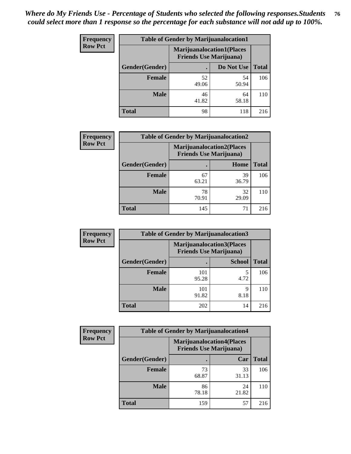| <b>Frequency</b> | <b>Table of Gender by Marijuanalocation1</b> |                                |                                  |              |
|------------------|----------------------------------------------|--------------------------------|----------------------------------|--------------|
| <b>Row Pct</b>   |                                              | <b>Friends Use Marijuana</b> ) | <b>Marijuanalocation1(Places</b> |              |
|                  | Gender(Gender)                               |                                | Do Not Use                       | <b>Total</b> |
|                  | <b>Female</b>                                | 52<br>49.06                    | 54<br>50.94                      | 106          |
|                  | <b>Male</b>                                  | 46<br>41.82                    | 64<br>58.18                      | 110          |
|                  | <b>Total</b>                                 | 98                             | 118                              | 216          |

| <b>Frequency</b> | <b>Table of Gender by Marijuanalocation2</b> |                                                                    |             |              |
|------------------|----------------------------------------------|--------------------------------------------------------------------|-------------|--------------|
| <b>Row Pct</b>   |                                              | <b>Marijuanalocation2(Places</b><br><b>Friends Use Marijuana</b> ) |             |              |
|                  | <b>Gender</b> (Gender)                       |                                                                    | Home        | <b>Total</b> |
|                  | <b>Female</b>                                | 67<br>63.21                                                        | 39<br>36.79 | 106          |
|                  | <b>Male</b>                                  | 78<br>70.91                                                        | 32<br>29.09 | 110          |
|                  | <b>Total</b>                                 | 145                                                                | 71          | 216          |

| <b>Frequency</b> |                | <b>Table of Gender by Marijuanalocation3</b> |                                  |              |
|------------------|----------------|----------------------------------------------|----------------------------------|--------------|
| <b>Row Pct</b>   |                | <b>Friends Use Marijuana</b> )               | <b>Marijuanalocation3(Places</b> |              |
|                  | Gender(Gender) |                                              | <b>School</b>                    | <b>Total</b> |
|                  | <b>Female</b>  | 101<br>95.28                                 | 5<br>4.72                        | 106          |
|                  | <b>Male</b>    | 101<br>91.82                                 | 9<br>8.18                        | 110          |
|                  | <b>Total</b>   | 202                                          | 14                               | 216          |

| <b>Frequency</b> | <b>Table of Gender by Marijuanalocation4</b> |             |                                                                    |              |  |
|------------------|----------------------------------------------|-------------|--------------------------------------------------------------------|--------------|--|
| <b>Row Pct</b>   |                                              |             | <b>Marijuanalocation4(Places</b><br><b>Friends Use Marijuana</b> ) |              |  |
|                  | Gender(Gender)                               |             | Car                                                                | <b>Total</b> |  |
|                  | <b>Female</b>                                | 73<br>68.87 | 33<br>31.13                                                        | 106          |  |
|                  | <b>Male</b>                                  | 86<br>78.18 | 24<br>21.82                                                        | 110          |  |
|                  | <b>Total</b>                                 | 159         | 57                                                                 | 216          |  |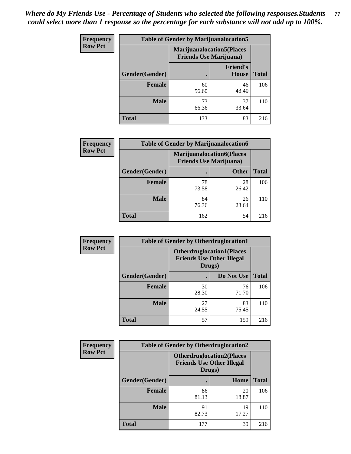| <b>Frequency</b> | <b>Table of Gender by Marijuanalocation5</b> |                                                                     |                                 |              |
|------------------|----------------------------------------------|---------------------------------------------------------------------|---------------------------------|--------------|
| <b>Row Pct</b>   |                                              | <b>Marijuanalocation5</b> (Places<br><b>Friends Use Marijuana</b> ) |                                 |              |
|                  | Gender(Gender)                               |                                                                     | <b>Friend's</b><br><b>House</b> | <b>Total</b> |
|                  | <b>Female</b>                                | 60<br>56.60                                                         | 46<br>43.40                     | 106          |
|                  | <b>Male</b>                                  | 73<br>66.36                                                         | 37<br>33.64                     | 110          |
|                  | <b>Total</b>                                 | 133                                                                 | 83                              | 216          |

| <b>Frequency</b> | <b>Table of Gender by Marijuanalocation6</b> |                                |                                  |              |
|------------------|----------------------------------------------|--------------------------------|----------------------------------|--------------|
| <b>Row Pct</b>   |                                              | <b>Friends Use Marijuana</b> ) | <b>Marijuanalocation6(Places</b> |              |
|                  | Gender(Gender)                               |                                | <b>Other</b>                     | <b>Total</b> |
|                  | Female                                       | 78<br>73.58                    | 28<br>26.42                      | 106          |
|                  | <b>Male</b>                                  | 84<br>76.36                    | 26<br>23.64                      | 110          |
|                  | Total                                        | 162                            | 54                               | 216          |

| <b>Frequency</b> | <b>Table of Gender by Otherdruglocation1</b> |                                                                                |             |              |
|------------------|----------------------------------------------|--------------------------------------------------------------------------------|-------------|--------------|
| <b>Row Pct</b>   |                                              | <b>Otherdruglocation1(Places</b><br><b>Friends Use Other Illegal</b><br>Drugs) |             |              |
|                  | Gender(Gender)                               |                                                                                | Do Not Use  | <b>Total</b> |
|                  | Female                                       | 30<br>28.30                                                                    | 76<br>71.70 | 106          |
|                  | <b>Male</b>                                  | 27<br>24.55                                                                    | 83<br>75.45 | 110          |
|                  | <b>Total</b>                                 | 57                                                                             | 159         | 216          |

| <b>Frequency</b> | <b>Table of Gender by Otherdruglocation2</b> |                                            |                                  |              |
|------------------|----------------------------------------------|--------------------------------------------|----------------------------------|--------------|
| <b>Row Pct</b>   |                                              | <b>Friends Use Other Illegal</b><br>Drugs) | <b>Otherdruglocation2(Places</b> |              |
|                  | Gender(Gender)                               |                                            | Home                             | <b>Total</b> |
|                  | Female                                       | 86<br>81.13                                | 20<br>18.87                      | 106          |
|                  | <b>Male</b>                                  | 91<br>82.73                                | 19<br>17.27                      | 110          |
|                  | <b>Total</b>                                 | 177                                        | 39                               | 216          |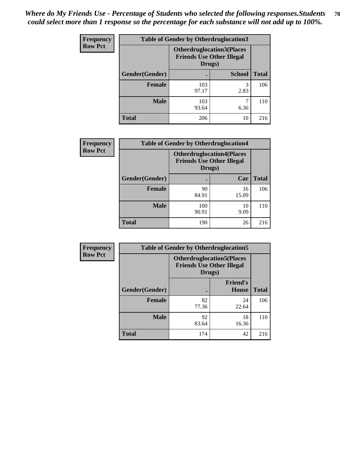| Frequency      | <b>Table of Gender by Otherdruglocation3</b> |                                                                                |               |              |
|----------------|----------------------------------------------|--------------------------------------------------------------------------------|---------------|--------------|
| <b>Row Pct</b> |                                              | <b>Otherdruglocation3(Places</b><br><b>Friends Use Other Illegal</b><br>Drugs) |               |              |
|                | Gender(Gender)                               |                                                                                | <b>School</b> | <b>Total</b> |
|                | <b>Female</b>                                | 103<br>97.17                                                                   | 3<br>2.83     | 106          |
|                | <b>Male</b>                                  | 103<br>93.64                                                                   | 6.36          | 110          |
|                | <b>Total</b>                                 | 206                                                                            | 10            | 216          |

| <b>Frequency</b> | <b>Table of Gender by Otherdruglocation4</b> |                                            |                                  |              |
|------------------|----------------------------------------------|--------------------------------------------|----------------------------------|--------------|
| <b>Row Pct</b>   |                                              | <b>Friends Use Other Illegal</b><br>Drugs) | <b>Otherdruglocation4(Places</b> |              |
|                  | Gender(Gender)                               |                                            | Car                              | <b>Total</b> |
|                  | Female                                       | 90<br>84.91                                | 16<br>15.09                      | 106          |
|                  | <b>Male</b>                                  | 100<br>90.91                               | 10<br>9.09                       | 110          |
|                  | <b>Total</b>                                 | 190                                        | 26                               | 216          |

| Frequency      | <b>Table of Gender by Otherdruglocation5</b> |                                                                                |                                 |              |
|----------------|----------------------------------------------|--------------------------------------------------------------------------------|---------------------------------|--------------|
| <b>Row Pct</b> |                                              | <b>Otherdruglocation5(Places</b><br><b>Friends Use Other Illegal</b><br>Drugs) |                                 |              |
|                | Gender(Gender)                               |                                                                                | <b>Friend's</b><br><b>House</b> | <b>Total</b> |
|                | <b>Female</b>                                | 82<br>77.36                                                                    | 24<br>22.64                     | 106          |
|                | <b>Male</b>                                  | 92<br>83.64                                                                    | 18<br>16.36                     | 110          |
|                | <b>Total</b>                                 | 174                                                                            | 42                              | 216          |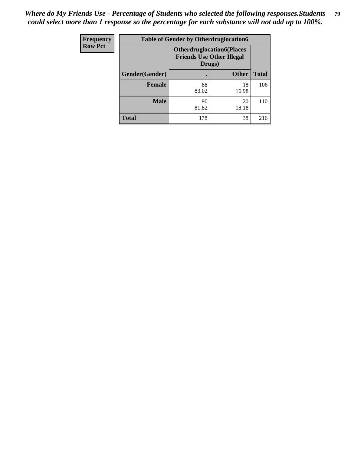| Frequency      | <b>Table of Gender by Otherdruglocation6</b> |                                            |                                  |              |
|----------------|----------------------------------------------|--------------------------------------------|----------------------------------|--------------|
| <b>Row Pct</b> |                                              | <b>Friends Use Other Illegal</b><br>Drugs) | <b>Otherdruglocation6(Places</b> |              |
|                | Gender(Gender)                               |                                            | <b>Other</b>                     | <b>Total</b> |
|                | <b>Female</b>                                | 88<br>83.02                                | 18<br>16.98                      | 106          |
|                | <b>Male</b>                                  | 90<br>81.82                                | 20<br>18.18                      | 110          |
|                | <b>Total</b>                                 | 178                                        | 38                               | 216          |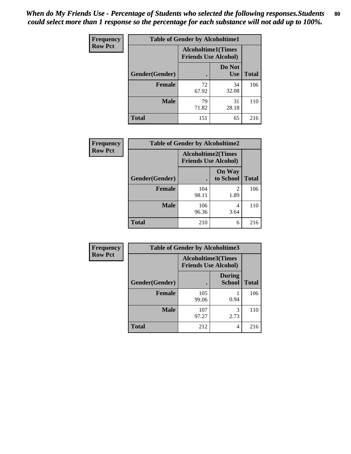| <b>Frequency</b> | <b>Table of Gender by Alcoholtime1</b> |                                                          |                      |              |
|------------------|----------------------------------------|----------------------------------------------------------|----------------------|--------------|
| <b>Row Pct</b>   |                                        | <b>Alcoholtime1(Times</b><br><b>Friends Use Alcohol)</b> |                      |              |
|                  | Gender(Gender)                         | $\bullet$                                                | Do Not<br><b>Use</b> | <b>Total</b> |
|                  | <b>Female</b>                          | 72<br>67.92                                              | 34<br>32.08          | 106          |
|                  | <b>Male</b>                            | 79<br>71.82                                              | 31<br>28.18          | 110          |
|                  | <b>Total</b>                           | 151                                                      | 65                   | 216          |

| <b>Frequency</b> | <b>Table of Gender by Alcoholtime2</b> |                                                          |                            |              |
|------------------|----------------------------------------|----------------------------------------------------------|----------------------------|--------------|
| <b>Row Pct</b>   |                                        | <b>Alcoholtime2(Times</b><br><b>Friends Use Alcohol)</b> |                            |              |
|                  | Gender(Gender)                         |                                                          | <b>On Way</b><br>to School | <b>Total</b> |
|                  | <b>Female</b>                          | 104<br>98.11                                             | 2<br>1.89                  | 106          |
|                  | <b>Male</b>                            | 106<br>96.36                                             | 4<br>3.64                  | 110          |
|                  | <b>Total</b>                           | 210                                                      | 6                          | 216          |

| <b>Frequency</b> | <b>Table of Gender by Alcoholtime3</b> |                                                   |                                |              |
|------------------|----------------------------------------|---------------------------------------------------|--------------------------------|--------------|
| <b>Row Pct</b>   |                                        | Alcoholtime3(Times<br><b>Friends Use Alcohol)</b> |                                |              |
|                  | Gender(Gender)                         |                                                   | <b>During</b><br><b>School</b> | <b>Total</b> |
|                  | <b>Female</b>                          | 105<br>99.06                                      | 0.94                           | 106          |
|                  | <b>Male</b>                            | 107<br>97.27                                      | 3<br>2.73                      | 110          |
|                  | <b>Total</b>                           | 212                                               | 4                              | 216          |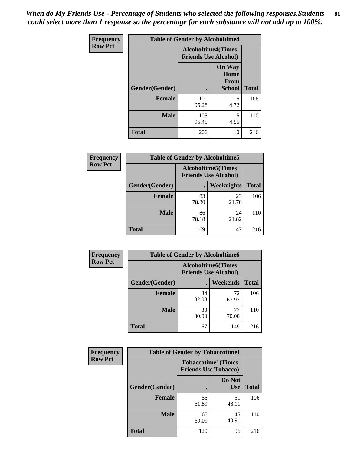*When do My Friends Use - Percentage of Students who selected the following responses.Students could select more than 1 response so the percentage for each substance will not add up to 100%.* **81**

| <b>Frequency</b> | <b>Table of Gender by Alcoholtime4</b> |                                                          |                                                |              |
|------------------|----------------------------------------|----------------------------------------------------------|------------------------------------------------|--------------|
| <b>Row Pct</b>   |                                        | <b>Alcoholtime4(Times</b><br><b>Friends Use Alcohol)</b> |                                                |              |
|                  | Gender(Gender)                         |                                                          | <b>On Way</b><br>Home<br>From<br><b>School</b> | <b>Total</b> |
|                  | <b>Female</b>                          | 101<br>95.28                                             | 5<br>4.72                                      | 106          |
|                  | <b>Male</b>                            | 105<br>95.45                                             | 5<br>4.55                                      | 110          |
|                  | <b>Total</b>                           | 206                                                      | 10                                             | 216          |

| <b>Frequency</b> | <b>Table of Gender by Alcoholtime5</b> |             |                                                           |              |
|------------------|----------------------------------------|-------------|-----------------------------------------------------------|--------------|
| <b>Row Pct</b>   |                                        |             | <b>Alcoholtime5</b> (Times<br><b>Friends Use Alcohol)</b> |              |
|                  | Gender(Gender)                         |             | Weeknights                                                | <b>Total</b> |
|                  | <b>Female</b>                          | 83<br>78.30 | 23<br>21.70                                               | 106          |
|                  | <b>Male</b>                            | 86<br>78.18 | 24<br>21.82                                               | 110          |
|                  | <b>Total</b>                           | 169         | 47                                                        | 216          |

| <b>Frequency</b> | <b>Table of Gender by Alcoholtime6</b> |                                                           |                 |              |
|------------------|----------------------------------------|-----------------------------------------------------------|-----------------|--------------|
| <b>Row Pct</b>   |                                        | <b>Alcoholtime6</b> (Times<br><b>Friends Use Alcohol)</b> |                 |              |
|                  | Gender(Gender)                         |                                                           | <b>Weekends</b> | <b>Total</b> |
|                  | Female                                 | 34<br>32.08                                               | 72<br>67.92     | 106          |
|                  | <b>Male</b>                            | 33<br>30.00                                               | 77<br>70.00     | 110          |
|                  | <b>Total</b>                           | 67                                                        | 149             | 216          |

| <b>Frequency</b> | <b>Table of Gender by Tobaccotime1</b> |                                                          |                      |              |
|------------------|----------------------------------------|----------------------------------------------------------|----------------------|--------------|
| <b>Row Pct</b>   |                                        | <b>Tobaccotime1(Times</b><br><b>Friends Use Tobacco)</b> |                      |              |
|                  | Gender(Gender)                         |                                                          | Do Not<br><b>Use</b> | <b>Total</b> |
|                  | Female                                 | 55<br>51.89                                              | 51<br>48.11          | 106          |
|                  | <b>Male</b>                            | 65<br>59.09                                              | 45<br>40.91          | 110          |
|                  | <b>Total</b>                           | 120                                                      | 96                   | 216          |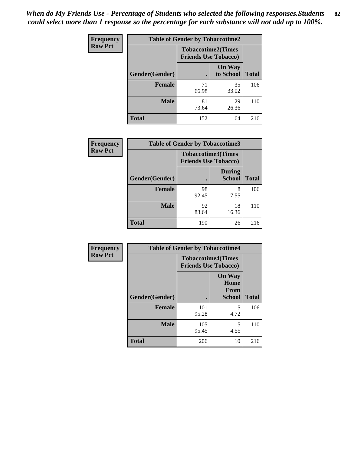| <b>Frequency</b> | <b>Table of Gender by Tobaccotime2</b> |                                                          |                            |              |
|------------------|----------------------------------------|----------------------------------------------------------|----------------------------|--------------|
| <b>Row Pct</b>   |                                        | <b>Tobaccotime2(Times</b><br><b>Friends Use Tobacco)</b> |                            |              |
|                  | Gender(Gender)                         |                                                          | <b>On Way</b><br>to School | <b>Total</b> |
|                  | <b>Female</b>                          | 71<br>66.98                                              | 35<br>33.02                | 106          |
|                  | <b>Male</b>                            | 81<br>73.64                                              | 29<br>26.36                | 110          |
|                  | <b>Total</b>                           | 152                                                      | 64                         | 216          |

| <b>Frequency</b> | <b>Table of Gender by Tobaccotime3</b> |                                                          |                                |              |
|------------------|----------------------------------------|----------------------------------------------------------|--------------------------------|--------------|
| <b>Row Pct</b>   |                                        | <b>Tobaccotime3(Times</b><br><b>Friends Use Tobacco)</b> |                                |              |
|                  | Gender(Gender)                         |                                                          | <b>During</b><br><b>School</b> | <b>Total</b> |
|                  | <b>Female</b>                          | 98<br>92.45                                              | 8<br>7.55                      | 106          |
|                  | <b>Male</b>                            | 92<br>83.64                                              | 18<br>16.36                    | 110          |
|                  | <b>Total</b>                           | 190                                                      | 26                             | 216          |

| Frequency      | <b>Table of Gender by Tobaccotime4</b> |                                                          |                                                       |              |
|----------------|----------------------------------------|----------------------------------------------------------|-------------------------------------------------------|--------------|
| <b>Row Pct</b> |                                        | <b>Tobaccotime4(Times</b><br><b>Friends Use Tobacco)</b> |                                                       |              |
|                | Gender(Gender)                         |                                                          | <b>On Way</b><br>Home<br><b>From</b><br><b>School</b> | <b>Total</b> |
|                | <b>Female</b>                          | 101<br>95.28                                             | 5<br>4.72                                             | 106          |
|                | <b>Male</b>                            | 105<br>95.45                                             | 5<br>4.55                                             | 110          |
|                | <b>Total</b>                           | 206                                                      | 10                                                    | 216          |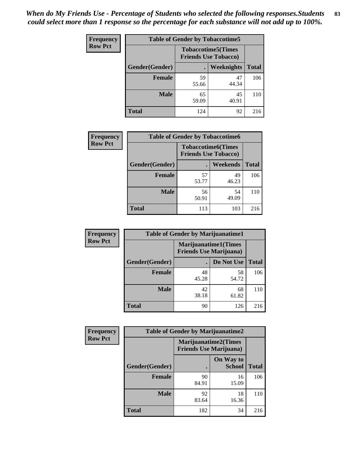| <b>Frequency</b> | <b>Table of Gender by Tobaccotime5</b> |                                                           |             |              |  |
|------------------|----------------------------------------|-----------------------------------------------------------|-------------|--------------|--|
| <b>Row Pct</b>   |                                        | <b>Tobaccotime5</b> (Times<br><b>Friends Use Tobacco)</b> |             |              |  |
|                  | Gender(Gender)                         |                                                           | Weeknights  | <b>Total</b> |  |
|                  | <b>Female</b>                          | 59<br>55.66                                               | 47<br>44.34 | 106          |  |
|                  | <b>Male</b>                            | 65<br>59.09                                               | 45<br>40.91 | 110          |  |
|                  | <b>Total</b>                           | 124                                                       | 92          | 216          |  |

| Frequency      | <b>Table of Gender by Tobaccotime6</b> |                                                          |                 |              |
|----------------|----------------------------------------|----------------------------------------------------------|-----------------|--------------|
| <b>Row Pct</b> |                                        | <b>Tobaccotime6(Times</b><br><b>Friends Use Tobacco)</b> |                 |              |
|                | Gender(Gender)                         |                                                          | <b>Weekends</b> | <b>Total</b> |
|                | Female                                 | 57<br>53.77                                              | 49<br>46.23     | 106          |
|                | <b>Male</b>                            | 56<br>50.91                                              | 54<br>49.09     | 110          |
|                | <b>Total</b>                           | 113                                                      | 103             | 216          |

| <b>Frequency</b> | <b>Table of Gender by Marijuanatime1</b> |                                                               |             |              |  |
|------------------|------------------------------------------|---------------------------------------------------------------|-------------|--------------|--|
| <b>Row Pct</b>   |                                          | <b>Marijuanatime1(Times</b><br><b>Friends Use Marijuana</b> ) |             |              |  |
|                  | Gender(Gender)                           |                                                               | Do Not Use  | <b>Total</b> |  |
|                  | <b>Female</b>                            | 48<br>45.28                                                   | 58<br>54.72 | 106          |  |
|                  | <b>Male</b>                              | 42<br>38.18                                                   | 68<br>61.82 | 110          |  |
|                  | <b>Total</b>                             | 90                                                            | 126         | 216          |  |

| <b>Frequency</b> | <b>Table of Gender by Marijuanatime2</b> |                                |                             |              |
|------------------|------------------------------------------|--------------------------------|-----------------------------|--------------|
| <b>Row Pct</b>   |                                          | <b>Friends Use Marijuana</b> ) | <b>Marijuanatime2(Times</b> |              |
|                  | Gender(Gender)                           |                                | On Way to<br><b>School</b>  | <b>Total</b> |
|                  | <b>Female</b>                            | 90<br>84.91                    | 16<br>15.09                 | 106          |
|                  | <b>Male</b>                              | 92<br>83.64                    | 18<br>16.36                 | 110          |
|                  | <b>Total</b>                             | 182                            | 34                          | 216          |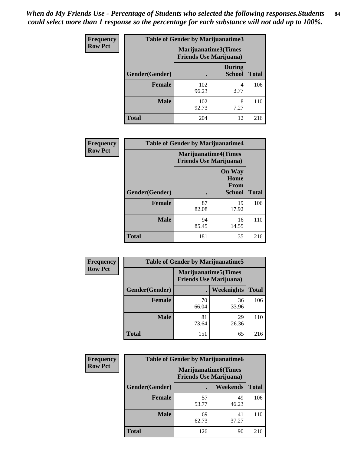| Frequency      | Table of Gender by Marijuanatime3 |                                |                                |              |
|----------------|-----------------------------------|--------------------------------|--------------------------------|--------------|
| <b>Row Pct</b> |                                   | <b>Friends Use Marijuana</b> ) | Marijuanatime3(Times           |              |
|                | <b>Gender</b> (Gender)            |                                | <b>During</b><br><b>School</b> | <b>Total</b> |
|                | Female                            | 102<br>96.23                   | 4<br>3.77                      | 106          |
|                | <b>Male</b>                       | 102<br>92.73                   | 8<br>7.27                      | 110          |
|                | <b>Total</b>                      | 204                            | 12                             | 216          |

| Frequency      | <b>Table of Gender by Marijuanatime4</b> |                                                               |                                                |              |
|----------------|------------------------------------------|---------------------------------------------------------------|------------------------------------------------|--------------|
| <b>Row Pct</b> |                                          | <b>Marijuanatime4(Times</b><br><b>Friends Use Marijuana</b> ) |                                                |              |
|                | Gender(Gender)                           |                                                               | <b>On Way</b><br>Home<br>From<br><b>School</b> | <b>Total</b> |
|                | <b>Female</b>                            | 87<br>82.08                                                   | 19<br>17.92                                    | 106          |
|                | <b>Male</b>                              | 94<br>85.45                                                   | 16<br>14.55                                    | 110          |
|                | <b>Total</b>                             | 181                                                           | 35                                             | 216          |

| <b>Frequency</b> | <b>Table of Gender by Marijuanatime5</b> |             |                                                                |              |
|------------------|------------------------------------------|-------------|----------------------------------------------------------------|--------------|
| <b>Row Pct</b>   |                                          |             | <b>Marijuanatime5</b> (Times<br><b>Friends Use Marijuana</b> ) |              |
|                  | Gender(Gender)                           | ٠           | Weeknights                                                     | <b>Total</b> |
|                  | <b>Female</b>                            | 70<br>66.04 | 36<br>33.96                                                    | 106          |
|                  | <b>Male</b>                              | 81<br>73.64 | 29<br>26.36                                                    | 110          |
|                  | <b>Total</b>                             | 151         | 65                                                             | 216          |

| <b>Frequency</b> | <b>Table of Gender by Marijuanatime6</b> |                                                               |             |              |
|------------------|------------------------------------------|---------------------------------------------------------------|-------------|--------------|
| <b>Row Pct</b>   |                                          | <b>Marijuanatime6(Times</b><br><b>Friends Use Marijuana</b> ) |             |              |
|                  | Gender(Gender)                           |                                                               | Weekends    | <b>Total</b> |
|                  | Female                                   | 57<br>53.77                                                   | 49<br>46.23 | 106          |
|                  | <b>Male</b>                              | 69<br>62.73                                                   | 41<br>37.27 | 110          |
|                  | <b>Total</b>                             | 126                                                           | 90          | 216          |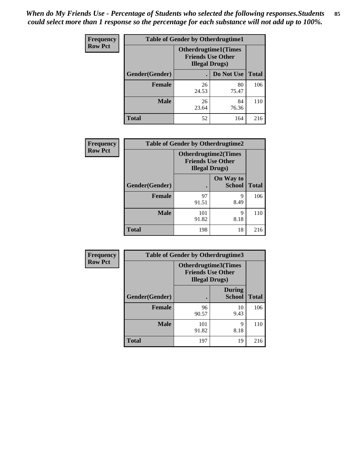*When do My Friends Use - Percentage of Students who selected the following responses.Students could select more than 1 response so the percentage for each substance will not add up to 100%.* **85**

| <b>Frequency</b> | <b>Table of Gender by Otherdrugtime1</b> |                                                                                    |             |              |
|------------------|------------------------------------------|------------------------------------------------------------------------------------|-------------|--------------|
| <b>Row Pct</b>   |                                          | <b>Otherdrugtime1</b> (Times<br><b>Friends Use Other</b><br><b>Illegal Drugs</b> ) |             |              |
|                  | Gender(Gender)                           |                                                                                    | Do Not Use  | <b>Total</b> |
|                  | <b>Female</b>                            | 26<br>24.53                                                                        | 80<br>75.47 | 106          |
|                  | <b>Male</b>                              | 26<br>23.64                                                                        | 84<br>76.36 | 110          |
|                  | <b>Total</b>                             | 52                                                                                 | 164         | 216          |

| Frequency      | <b>Table of Gender by Otherdrugtime2</b> |                                                                                   |                            |              |
|----------------|------------------------------------------|-----------------------------------------------------------------------------------|----------------------------|--------------|
| <b>Row Pct</b> |                                          | <b>Otherdrugtime2(Times</b><br><b>Friends Use Other</b><br><b>Illegal Drugs</b> ) |                            |              |
|                | Gender(Gender)                           |                                                                                   | On Way to<br><b>School</b> | <b>Total</b> |
|                | <b>Female</b>                            | 97<br>91.51                                                                       | 9<br>8.49                  | 106          |
|                | <b>Male</b>                              | 101<br>91.82                                                                      | 9<br>8.18                  | 110          |
|                | <b>Total</b>                             | 198                                                                               | 18                         | 216          |

| <b>Frequency</b> | <b>Table of Gender by Otherdrugtime3</b> |                                                    |                                |              |
|------------------|------------------------------------------|----------------------------------------------------|--------------------------------|--------------|
| <b>Row Pct</b>   |                                          | <b>Friends Use Other</b><br><b>Illegal Drugs</b> ) | Otherdrugtime3(Times           |              |
|                  | Gender(Gender)                           |                                                    | <b>During</b><br><b>School</b> | <b>Total</b> |
|                  | <b>Female</b>                            | 96<br>90.57                                        | 10<br>9.43                     | 106          |
|                  | <b>Male</b>                              | 101<br>91.82                                       | 9<br>8.18                      | 110          |
|                  | <b>Total</b>                             | 197                                                | 19                             | 216          |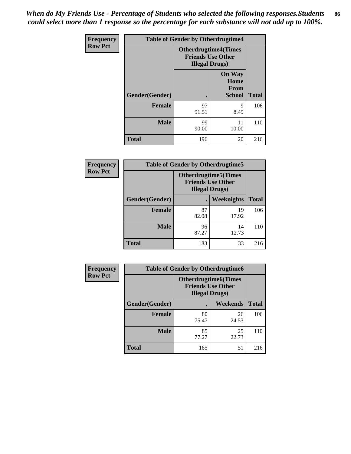*When do My Friends Use - Percentage of Students who selected the following responses.Students could select more than 1 response so the percentage for each substance will not add up to 100%.* **86**

| <b>Frequency</b> | <b>Table of Gender by Otherdrugtime4</b> |                                                    |                                                       |              |
|------------------|------------------------------------------|----------------------------------------------------|-------------------------------------------------------|--------------|
| <b>Row Pct</b>   |                                          | <b>Friends Use Other</b><br><b>Illegal Drugs</b> ) | <b>Otherdrugtime4(Times</b>                           |              |
|                  | Gender(Gender)                           |                                                    | <b>On Way</b><br>Home<br><b>From</b><br><b>School</b> | <b>Total</b> |
|                  | <b>Female</b>                            | 97<br>91.51                                        | 9<br>8.49                                             | 106          |
|                  | <b>Male</b>                              | 99<br>90.00                                        | 11<br>10.00                                           | 110          |
|                  | <b>Total</b>                             | 196                                                | 20                                                    | 216          |

| Frequency      | <b>Table of Gender by Otherdrugtime5</b> |                                                                                    |                   |              |
|----------------|------------------------------------------|------------------------------------------------------------------------------------|-------------------|--------------|
| <b>Row Pct</b> |                                          | <b>Otherdrugtime5</b> (Times<br><b>Friends Use Other</b><br><b>Illegal Drugs</b> ) |                   |              |
|                | Gender(Gender)                           |                                                                                    | <b>Weeknights</b> | <b>Total</b> |
|                | <b>Female</b>                            | 87<br>82.08                                                                        | 19<br>17.92       | 106          |
|                | <b>Male</b>                              | 96<br>87.27                                                                        | 14<br>12.73       | 110          |
|                | <b>Total</b>                             | 183                                                                                | 33                | 216          |

| <b>Frequency</b> | <b>Table of Gender by Otherdrugtime6</b> |                                                                                   |             |              |
|------------------|------------------------------------------|-----------------------------------------------------------------------------------|-------------|--------------|
| <b>Row Pct</b>   |                                          | <b>Otherdrugtime6(Times</b><br><b>Friends Use Other</b><br><b>Illegal Drugs</b> ) |             |              |
|                  | Gender(Gender)                           |                                                                                   | Weekends    | <b>Total</b> |
|                  | <b>Female</b>                            | 80<br>75.47                                                                       | 26<br>24.53 | 106          |
|                  | <b>Male</b>                              | 85<br>77.27                                                                       | 25<br>22.73 | 110          |
|                  | <b>Total</b>                             | 165                                                                               | 51          | 216          |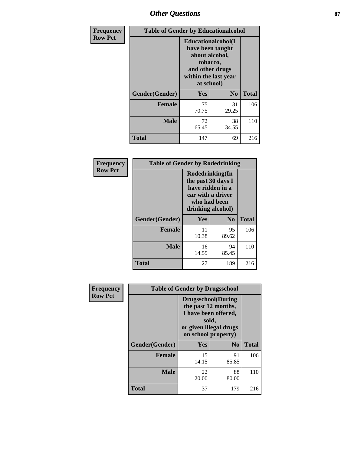## *Other Questions* **87**

| <b>Frequency</b> | <b>Table of Gender by Educationalcohol</b> |                                                                                                                                       |                |              |
|------------------|--------------------------------------------|---------------------------------------------------------------------------------------------------------------------------------------|----------------|--------------|
| <b>Row Pct</b>   |                                            | <b>Educationalcohol</b> (I<br>have been taught<br>about alcohol,<br>tobacco,<br>and other drugs<br>within the last year<br>at school) |                |              |
|                  | Gender(Gender)                             | Yes                                                                                                                                   | N <sub>0</sub> | <b>Total</b> |
|                  | <b>Female</b>                              | 75<br>70.75                                                                                                                           | 31<br>29.25    | 106          |
|                  | <b>Male</b>                                | 72<br>65.45                                                                                                                           | 38<br>34.55    | 110          |
|                  | <b>Total</b>                               | 147                                                                                                                                   | 69             | 216          |

| Frequency      | <b>Table of Gender by Rodedrinking</b> |                                                                                                                     |             |              |
|----------------|----------------------------------------|---------------------------------------------------------------------------------------------------------------------|-------------|--------------|
| <b>Row Pct</b> |                                        | Rodedrinking(In<br>the past 30 days I<br>have ridden in a<br>car with a driver<br>who had been<br>drinking alcohol) |             |              |
|                | Gender(Gender)                         | Yes                                                                                                                 | $\bf No$    | <b>Total</b> |
|                | <b>Female</b>                          | 11<br>10.38                                                                                                         | 95<br>89.62 | 106          |
|                | <b>Male</b>                            | 16<br>14.55                                                                                                         | 94<br>85.45 | 110          |
|                | <b>Total</b>                           | 27                                                                                                                  | 189         | 216          |

| Frequency      | <b>Table of Gender by Drugsschool</b> |                                                                                                                                     |                |              |
|----------------|---------------------------------------|-------------------------------------------------------------------------------------------------------------------------------------|----------------|--------------|
| <b>Row Pct</b> |                                       | <b>Drugsschool</b> (During<br>the past 12 months,<br>I have been offered,<br>sold,<br>or given illegal drugs<br>on school property) |                |              |
|                | Gender(Gender)                        | <b>Yes</b>                                                                                                                          | N <sub>0</sub> | <b>Total</b> |
|                | <b>Female</b>                         | 15<br>14.15                                                                                                                         | 91<br>85.85    | 106          |
|                | <b>Male</b>                           | 22<br>20.00                                                                                                                         | 88<br>80.00    | 110          |
|                | <b>Total</b>                          | 37                                                                                                                                  | 179            | 216          |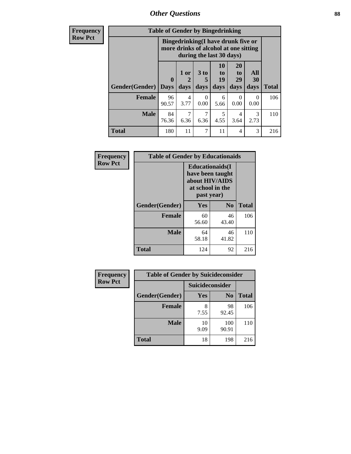*Other Questions* **88**

**Frequency Row Pct**

| <b>Table of Gender by Bingedrinking</b> |                         |                                                                                                         |                   |                        |                           |                       |              |
|-----------------------------------------|-------------------------|---------------------------------------------------------------------------------------------------------|-------------------|------------------------|---------------------------|-----------------------|--------------|
|                                         |                         | Bingedrinking(I have drunk five or<br>more drinks of alcohol at one sitting<br>during the last 30 days) |                   |                        |                           |                       |              |
| Gender(Gender)                          | $\bf{0}$<br><b>Days</b> | 1 or<br>2<br>days                                                                                       | 3 to<br>5<br>days | 10<br>to<br>19<br>days | 20<br>to<br>29<br>days    | All<br>30<br>days     | <b>Total</b> |
|                                         |                         |                                                                                                         |                   |                        |                           |                       |              |
| Female                                  | 96<br>90.57             | 4<br>3.77                                                                                               | 0<br>0.00         | 6<br>5.66              | $\mathbf{\Omega}$<br>0.00 | 0<br>0.00             | 106          |
| <b>Male</b>                             | 84<br>76.36             | 7<br>6.36                                                                                               | 6.36              | 5<br>4.55              | 4<br>3.64                 | $\mathcal{R}$<br>2.73 | 110          |

| Frequency      | <b>Table of Gender by Educationaids</b> |                                                                                                 |             |              |
|----------------|-----------------------------------------|-------------------------------------------------------------------------------------------------|-------------|--------------|
| <b>Row Pct</b> |                                         | <b>Educationaids</b> (I<br>have been taught<br>about HIV/AIDS<br>at school in the<br>past year) |             |              |
|                | Gender(Gender)                          | <b>Yes</b>                                                                                      | $\bf N_0$   | <b>Total</b> |
|                | <b>Female</b>                           | 60<br>56.60                                                                                     | 46<br>43.40 | 106          |
|                | <b>Male</b>                             | 64<br>58.18                                                                                     | 46<br>41.82 | 110          |
|                | <b>Total</b>                            | 124                                                                                             | 92          | 216          |

| <b>Frequency</b> | <b>Table of Gender by Suicideconsider</b> |                 |                |              |
|------------------|-------------------------------------------|-----------------|----------------|--------------|
| <b>Row Pct</b>   |                                           | Suicideconsider |                |              |
|                  | Gender(Gender)                            | <b>Yes</b>      | N <sub>0</sub> | <b>Total</b> |
|                  | Female                                    | 7.55            | 98<br>92.45    | 106          |
|                  | <b>Male</b>                               | 10<br>9.09      | 100<br>90.91   | 110          |
|                  | <b>Total</b>                              | 18              | 198            | 216          |